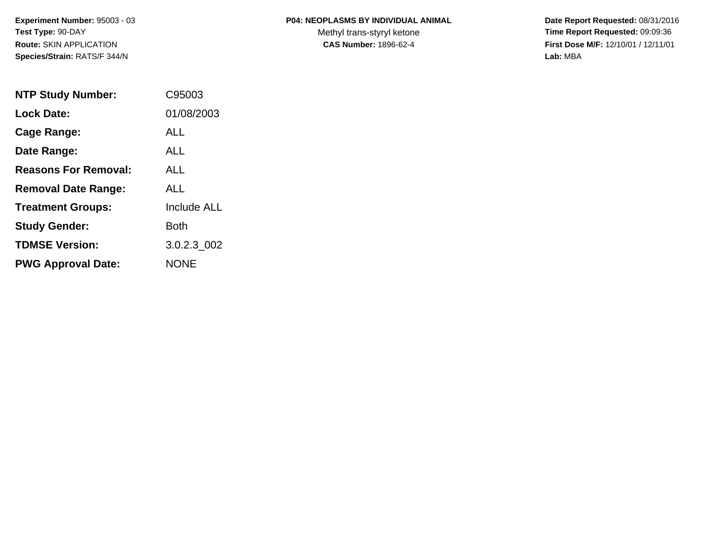#### **P04: NEOPLASMS BY INDIVIDUAL ANIMAL**

Methyl trans-styryl ketone<br>CAS Number: 1896-62-4

| <b>NTP Study Number:</b>    | C95003             |
|-----------------------------|--------------------|
| <b>Lock Date:</b>           | 01/08/2003         |
| Cage Range:                 | ALL                |
| Date Range:                 | ALL                |
| <b>Reasons For Removal:</b> | AI I               |
| <b>Removal Date Range:</b>  | <b>ALL</b>         |
| <b>Treatment Groups:</b>    | <b>Include ALL</b> |
| <b>Study Gender:</b>        | <b>Both</b>        |
| <b>TDMSE Version:</b>       | 3.0.2.3_002        |
| <b>PWG Approval Date:</b>   | <b>NONE</b>        |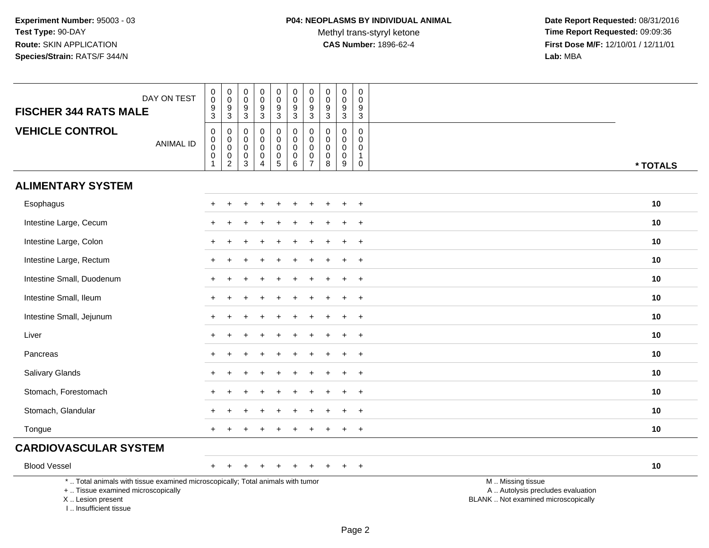| DAY ON TEST<br><b>FISCHER 344 RATS MALE</b>                                                                                                                         | $\pmb{0}$<br>$\overline{0}$<br>$\frac{9}{3}$                              | $\begin{smallmatrix}0\0\0\end{smallmatrix}$<br>$\frac{9}{3}$            | 0<br>$\bar{0}$<br>$\frac{9}{3}$                        | 0<br>$\pmb{0}$<br>$\frac{9}{3}$                                                | $\mathsf 0$<br>$\overline{0}$<br>$\frac{9}{3}$                       | $\begin{smallmatrix} 0\\0 \end{smallmatrix}$<br>$\frac{9}{3}$                  | $\pmb{0}$<br>$\overline{0}$<br>$\frac{9}{3}$               | 0<br>$\pmb{0}$<br>$\frac{9}{3}$                                  | $\begin{smallmatrix} 0\\0 \end{smallmatrix}$<br>$\frac{9}{3}$       | $\mathbf 0$<br>$\overline{0}$<br>$\boldsymbol{9}$<br>3      |                                                                                               |
|---------------------------------------------------------------------------------------------------------------------------------------------------------------------|---------------------------------------------------------------------------|-------------------------------------------------------------------------|--------------------------------------------------------|--------------------------------------------------------------------------------|----------------------------------------------------------------------|--------------------------------------------------------------------------------|------------------------------------------------------------|------------------------------------------------------------------|---------------------------------------------------------------------|-------------------------------------------------------------|-----------------------------------------------------------------------------------------------|
| <b>VEHICLE CONTROL</b><br><b>ANIMAL ID</b>                                                                                                                          | $\mathbf 0$<br>$\pmb{0}$<br>$\overline{0}$<br>$\mathbf 0$<br>$\mathbf{1}$ | $\mathbf 0$<br>$\mathbf 0$<br>$\ddot{\mathbf{0}}$<br>$^{\rm 0}_{\rm 2}$ | $\mathbf 0$<br>0<br>$\mathbf 0$<br>0<br>$\overline{3}$ | $\mathbf 0$<br>0<br>$\mathsf 0$<br>$\begin{smallmatrix}0\0\4\end{smallmatrix}$ | $\pmb{0}$<br>0<br>$\pmb{0}$<br>$\begin{array}{c} 0 \\ 5 \end{array}$ | $\pmb{0}$<br>$\mathbf 0$<br>$\pmb{0}$<br>$\begin{array}{c} 0 \\ 6 \end{array}$ | $\mathbf 0$<br>$\mathbf 0$<br>$\mathbf 0$<br>$\frac{0}{7}$ | $\mathbf 0$<br>$\mathbf 0$<br>$\mathbf 0$<br>0<br>$\overline{8}$ | $\mathbf 0$<br>$\mathbf 0$<br>$\ddot{\mathbf{0}}$<br>$_{9}^{\rm 0}$ | 0<br>$\Omega$<br>$\mathbf 0$<br>$\mathbf{1}$<br>$\mathbf 0$ | * TOTALS                                                                                      |
| <b>ALIMENTARY SYSTEM</b>                                                                                                                                            |                                                                           |                                                                         |                                                        |                                                                                |                                                                      |                                                                                |                                                            |                                                                  |                                                                     |                                                             |                                                                                               |
| Esophagus                                                                                                                                                           |                                                                           |                                                                         |                                                        |                                                                                |                                                                      |                                                                                |                                                            |                                                                  |                                                                     | $\overline{1}$                                              | 10                                                                                            |
| Intestine Large, Cecum                                                                                                                                              |                                                                           |                                                                         |                                                        |                                                                                |                                                                      |                                                                                |                                                            |                                                                  |                                                                     | $\overline{1}$                                              | 10                                                                                            |
| Intestine Large, Colon                                                                                                                                              | $\pm$                                                                     |                                                                         |                                                        |                                                                                |                                                                      |                                                                                |                                                            |                                                                  |                                                                     | $\div$                                                      | 10                                                                                            |
| Intestine Large, Rectum                                                                                                                                             | ÷                                                                         |                                                                         |                                                        |                                                                                |                                                                      |                                                                                |                                                            |                                                                  |                                                                     | $\overline{1}$                                              | 10                                                                                            |
| Intestine Small, Duodenum                                                                                                                                           |                                                                           |                                                                         |                                                        |                                                                                |                                                                      |                                                                                |                                                            |                                                                  |                                                                     | $\overline{1}$                                              | 10                                                                                            |
| Intestine Small, Ileum                                                                                                                                              | $+$                                                                       |                                                                         |                                                        |                                                                                |                                                                      |                                                                                |                                                            |                                                                  |                                                                     | $\overline{1}$                                              | 10                                                                                            |
| Intestine Small, Jejunum                                                                                                                                            | $+$                                                                       |                                                                         | ÷                                                      |                                                                                |                                                                      |                                                                                |                                                            |                                                                  |                                                                     | $+$                                                         | 10                                                                                            |
| Liver                                                                                                                                                               |                                                                           |                                                                         |                                                        |                                                                                |                                                                      |                                                                                |                                                            |                                                                  |                                                                     | $\overline{+}$                                              | 10                                                                                            |
| Pancreas                                                                                                                                                            |                                                                           |                                                                         |                                                        |                                                                                |                                                                      |                                                                                |                                                            |                                                                  |                                                                     | $\overline{1}$                                              | 10                                                                                            |
| <b>Salivary Glands</b>                                                                                                                                              | $\ddot{}$                                                                 |                                                                         |                                                        |                                                                                |                                                                      |                                                                                |                                                            |                                                                  |                                                                     | $\overline{+}$                                              | 10                                                                                            |
| Stomach, Forestomach                                                                                                                                                | $\pm$                                                                     |                                                                         |                                                        |                                                                                |                                                                      |                                                                                |                                                            |                                                                  |                                                                     | $\div$                                                      | 10                                                                                            |
| Stomach, Glandular                                                                                                                                                  |                                                                           |                                                                         |                                                        |                                                                                |                                                                      |                                                                                |                                                            |                                                                  |                                                                     | $\overline{1}$                                              | 10                                                                                            |
| Tongue                                                                                                                                                              | +                                                                         |                                                                         |                                                        |                                                                                |                                                                      |                                                                                |                                                            |                                                                  |                                                                     | $\overline{1}$                                              | 10                                                                                            |
| <b>CARDIOVASCULAR SYSTEM</b>                                                                                                                                        |                                                                           |                                                                         |                                                        |                                                                                |                                                                      |                                                                                |                                                            |                                                                  |                                                                     |                                                             |                                                                                               |
| <b>Blood Vessel</b>                                                                                                                                                 | $+$                                                                       | $\ddot{}$                                                               | $\ddot{}$                                              | $\pm$                                                                          | $\div$                                                               | $+$                                                                            | $\overline{+}$                                             | $\pm$                                                            | $+$                                                                 | $+$                                                         | 10                                                                                            |
| *  Total animals with tissue examined microscopically; Total animals with tumor<br>+  Tissue examined microscopically<br>X  Lesion present<br>I Insufficient tissue |                                                                           |                                                                         |                                                        |                                                                                |                                                                      |                                                                                |                                                            |                                                                  |                                                                     |                                                             | M  Missing tissue<br>A  Autolysis precludes evaluation<br>BLANK  Not examined microscopically |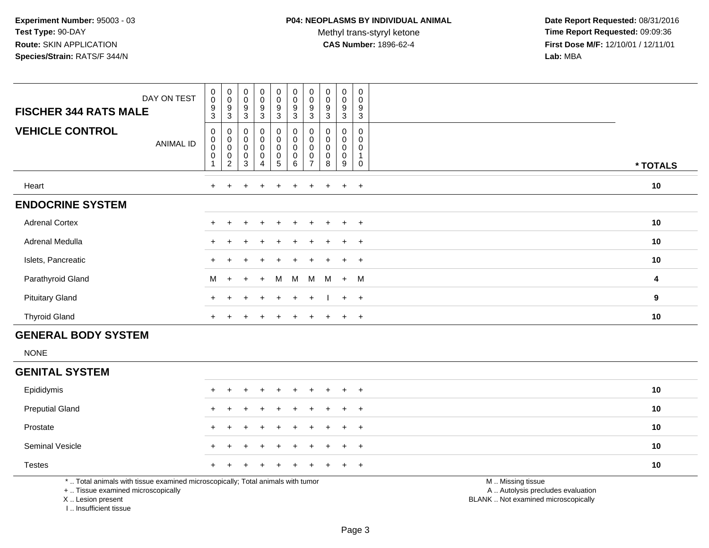Methyl trans-styryl ketone<br>CAS Number: 1896-62-4

 **Date Report Requested:** 08/31/2016 **Time Report Requested:** 09:09:36 **First Dose M/F:** 12/10/01 / 12/11/01<br>**Lab:** MBA **Lab:** MBA

| DAY ON TEST<br><b>FISCHER 344 RATS MALE</b> | $\begin{smallmatrix} 0\\0 \end{smallmatrix}$<br>9<br>$\mathbf{3}$ | $_{\rm 0}^{\rm 0}$<br>9<br>3                                                    | $_{0}^{0}$<br>9<br>3                                        | $_0^0$<br>9<br>3                   | $_{\rm 0}^{\rm 0}$<br>$\boldsymbol{9}$<br>3       | $_{\rm 0}^{\rm 0}$<br>$\boldsymbol{9}$<br>3                 | $_{\rm 0}^{\rm 0}$<br>9<br>3  | $\begin{smallmatrix}0\\0\end{smallmatrix}$<br>9<br>3 | $_0^0$<br>9<br>3      | $\boldsymbol{0}$<br>0<br>9<br>3 |                  |
|---------------------------------------------|-------------------------------------------------------------------|---------------------------------------------------------------------------------|-------------------------------------------------------------|------------------------------------|---------------------------------------------------|-------------------------------------------------------------|-------------------------------|------------------------------------------------------|-----------------------|---------------------------------|------------------|
| <b>VEHICLE CONTROL</b><br><b>ANIMAL ID</b>  | 0<br>$\pmb{0}$<br>$\mathbf 0$<br>$\pmb{0}$                        | 0<br>$\begin{smallmatrix}0\0\0\end{smallmatrix}$<br>$\pmb{0}$<br>$\overline{c}$ | $\mathbf 0$<br>$\mathbf 0$<br>$\mathbf 0$<br>$\pmb{0}$<br>3 | 0<br>0<br>0<br>0<br>$\overline{4}$ | 0<br>$\mathsf 0$<br>$\mathsf 0$<br>$\pmb{0}$<br>5 | $\pmb{0}$<br>$\pmb{0}$<br>$\pmb{0}$<br>$\pmb{0}$<br>$\,6\,$ | 0<br>0<br>0<br>$\overline{ }$ | 0<br>0<br>$\mathbf 0$<br>8                           | 0<br>0<br>0<br>0<br>9 | 0<br>0<br>0<br>0                | * TOTALS         |
| Heart                                       | $\pm$                                                             |                                                                                 |                                                             | $\mathbf +$                        | $\pm$                                             |                                                             | $\ddot{}$                     |                                                      | $+$                   | $+$                             | 10               |
| <b>ENDOCRINE SYSTEM</b>                     |                                                                   |                                                                                 |                                                             |                                    |                                                   |                                                             |                               |                                                      |                       |                                 |                  |
| <b>Adrenal Cortex</b>                       |                                                                   |                                                                                 | $\div$                                                      | $\ddot{}$                          | $+$                                               | $+$                                                         | $+$                           | $+$                                                  | $+$                   | $+$                             | 10               |
| Adrenal Medulla                             |                                                                   |                                                                                 |                                                             |                                    | $+$                                               | $+$                                                         | $+$                           | $+$                                                  | $+$                   | $+$                             | 10               |
| Islets, Pancreatic                          |                                                                   |                                                                                 |                                                             |                                    | +                                                 |                                                             |                               |                                                      | $+$                   | $+$                             | 10               |
| Parathyroid Gland                           | M                                                                 | $+$                                                                             | $\ddot{}$                                                   | $+$                                | M                                                 | M                                                           | M                             | M                                                    | $+$                   | $M_{\odot}$                     | 4                |
| <b>Pituitary Gland</b>                      | $+$                                                               |                                                                                 |                                                             |                                    | $+$                                               | $+$                                                         | $\ddot{}$                     |                                                      | $+$                   | $+$                             | $\boldsymbol{9}$ |
| <b>Thyroid Gland</b>                        | $+$                                                               |                                                                                 |                                                             |                                    | $\pm$                                             | $\pm$                                                       | ÷                             |                                                      | $\pm$                 | $+$                             | 10               |

# **GENERAL BODY SYSTEM**

NONE

 $\sim$ 

### **GENITAL SYSTEM**

| Epididymis             |  | + + + + + + + + + + |  |  |  | 10 |
|------------------------|--|---------------------|--|--|--|----|
| <b>Preputial Gland</b> |  | + + + + + + + + + + |  |  |  | 10 |
| Prostate               |  | + + + + + + + + + + |  |  |  | 10 |
| <b>Seminal Vesicle</b> |  | + + + + + + + + + + |  |  |  | 10 |
| <b>Testes</b>          |  | + + + + + + + + + + |  |  |  | 10 |
|                        |  |                     |  |  |  |    |

\* .. Total animals with tissue examined microscopically; Total animals with tumor

+ .. Tissue examined microscopically

X .. Lesion present

I .. Insufficient tissue

M .. Missing tissue

y the contract of the contract of the contract of the contract of the contract of the contract of the contract of  $A$ . Autolysis precludes evaluation

Lesion present BLANK .. Not examined microscopically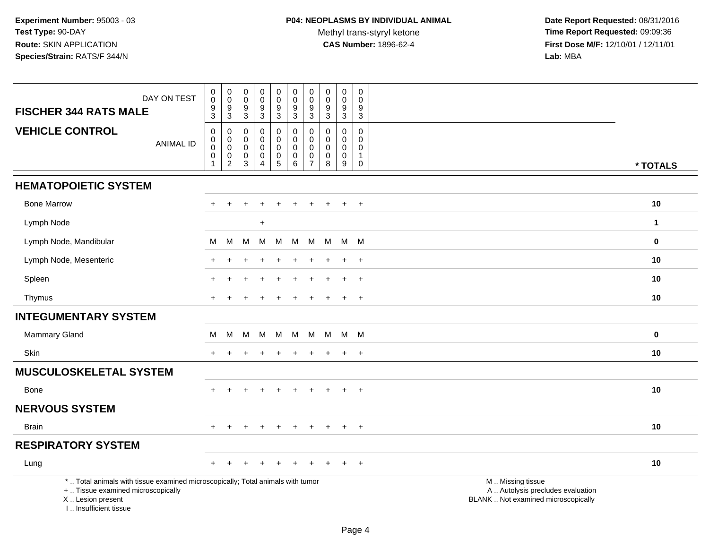| DAY ON TEST<br><b>FISCHER 344 RATS MALE</b>                                                                                                                         | $\pmb{0}$<br>$\mathbf 0$<br>$\frac{9}{3}$                                    | $\pmb{0}$<br>$\mathbf 0$<br>$\frac{9}{3}$                   | $\pmb{0}$<br>0<br>$\boldsymbol{9}$<br>$\mathbf{3}$ | $\pmb{0}$<br>$\mathbf 0$<br>$\boldsymbol{9}$<br>$\mathbf{3}$          | $\pmb{0}$<br>$\ddot{\mathbf{0}}$<br>$\boldsymbol{9}$<br>3 | $\pmb{0}$<br>$\mathbf 0$<br>$\boldsymbol{9}$<br>3                     | $\pmb{0}$<br>$\pmb{0}$<br>$\boldsymbol{9}$<br>$\mathbf{3}$               | $\mathbf 0$<br>$\mathbf 0$<br>$\boldsymbol{9}$<br>$\mathbf{3}$  | $\pmb{0}$<br>$\mathbf 0$<br>$\boldsymbol{9}$<br>$\mathbf{3}$ | $\pmb{0}$<br>$\mathbf 0$<br>$\boldsymbol{9}$<br>3                        |                                                                                               |
|---------------------------------------------------------------------------------------------------------------------------------------------------------------------|------------------------------------------------------------------------------|-------------------------------------------------------------|----------------------------------------------------|-----------------------------------------------------------------------|-----------------------------------------------------------|-----------------------------------------------------------------------|--------------------------------------------------------------------------|-----------------------------------------------------------------|--------------------------------------------------------------|--------------------------------------------------------------------------|-----------------------------------------------------------------------------------------------|
| <b>VEHICLE CONTROL</b><br><b>ANIMAL ID</b>                                                                                                                          | $\pmb{0}$<br>$\pmb{0}$<br>$\ddot{\mathbf{0}}$<br>$\mathbf 0$<br>$\mathbf{1}$ | 0<br>$\mathsf{O}\xspace$<br>$\pmb{0}$<br>$^{\rm 0}_{\rm 2}$ | 0<br>0<br>$\mathbf 0$<br>$\pmb{0}$<br>3            | $\mathbf 0$<br>$\Omega$<br>$\mathbf 0$<br>$\pmb{0}$<br>$\overline{4}$ | 0<br>$\mathsf 0$<br>0<br>$\pmb{0}$<br>$\overline{5}$      | $\mathbf 0$<br>$\mathbf 0$<br>0<br>$\mathsf{O}\xspace$<br>$6^{\circ}$ | $\mathbf 0$<br>$\mathbf 0$<br>$\mathbf 0$<br>$\pmb{0}$<br>$\overline{7}$ | $\mathbf{0}$<br>$\mathbf{0}$<br>$\mathbf 0$<br>$\mathbf 0$<br>8 | $\mathbf 0$<br>$\Omega$<br>$\mathbf 0$<br>$\pmb{0}$<br>9     | $\mathbf 0$<br>$\mathbf 0$<br>$\mathbf 0$<br>$\mathbf{1}$<br>$\mathbf 0$ | * TOTALS                                                                                      |
| <b>HEMATOPOIETIC SYSTEM</b>                                                                                                                                         |                                                                              |                                                             |                                                    |                                                                       |                                                           |                                                                       |                                                                          |                                                                 |                                                              |                                                                          |                                                                                               |
| <b>Bone Marrow</b>                                                                                                                                                  |                                                                              |                                                             |                                                    |                                                                       |                                                           |                                                                       |                                                                          |                                                                 |                                                              | $\overline{+}$                                                           | 10                                                                                            |
| Lymph Node                                                                                                                                                          |                                                                              |                                                             |                                                    | $\ddot{}$                                                             |                                                           |                                                                       |                                                                          |                                                                 |                                                              |                                                                          | $\mathbf 1$                                                                                   |
| Lymph Node, Mandibular                                                                                                                                              | M                                                                            | M                                                           | M                                                  | M                                                                     | M                                                         | M                                                                     |                                                                          | M M                                                             | M M                                                          |                                                                          | $\mathbf 0$                                                                                   |
| Lymph Node, Mesenteric                                                                                                                                              |                                                                              |                                                             |                                                    |                                                                       |                                                           |                                                                       |                                                                          |                                                                 |                                                              | $+$                                                                      | 10                                                                                            |
| Spleen                                                                                                                                                              |                                                                              |                                                             |                                                    |                                                                       |                                                           |                                                                       |                                                                          |                                                                 |                                                              | $\div$                                                                   | 10                                                                                            |
| Thymus                                                                                                                                                              | $+$                                                                          | $\div$                                                      |                                                    |                                                                       | <b>+</b>                                                  | $\pm$                                                                 | $\pm$                                                                    |                                                                 | $\pm$                                                        | $+$                                                                      | 10                                                                                            |
| <b>INTEGUMENTARY SYSTEM</b>                                                                                                                                         |                                                                              |                                                             |                                                    |                                                                       |                                                           |                                                                       |                                                                          |                                                                 |                                                              |                                                                          |                                                                                               |
| Mammary Gland                                                                                                                                                       | М                                                                            | м                                                           | M                                                  | M                                                                     | M                                                         | M                                                                     | M                                                                        | M                                                               | M M                                                          |                                                                          | $\bf{0}$                                                                                      |
| Skin                                                                                                                                                                | $\pm$                                                                        |                                                             |                                                    |                                                                       |                                                           |                                                                       |                                                                          |                                                                 |                                                              | $+$                                                                      | 10                                                                                            |
| <b>MUSCULOSKELETAL SYSTEM</b>                                                                                                                                       |                                                                              |                                                             |                                                    |                                                                       |                                                           |                                                                       |                                                                          |                                                                 |                                                              |                                                                          |                                                                                               |
| <b>Bone</b>                                                                                                                                                         | $+$                                                                          | $+$                                                         |                                                    |                                                                       | $\div$                                                    | $+$                                                                   | $+$                                                                      | $+$                                                             | $+$                                                          | $+$                                                                      | 10                                                                                            |
| <b>NERVOUS SYSTEM</b>                                                                                                                                               |                                                                              |                                                             |                                                    |                                                                       |                                                           |                                                                       |                                                                          |                                                                 |                                                              |                                                                          |                                                                                               |
| <b>Brain</b>                                                                                                                                                        | $+$                                                                          | $\overline{1}$                                              |                                                    |                                                                       | $\ddot{}$                                                 | $\ddot{}$                                                             | $\ddot{}$                                                                | $\ddot{}$                                                       | $\pm$                                                        | $+$                                                                      | 10                                                                                            |
| <b>RESPIRATORY SYSTEM</b>                                                                                                                                           |                                                                              |                                                             |                                                    |                                                                       |                                                           |                                                                       |                                                                          |                                                                 |                                                              |                                                                          |                                                                                               |
| Lung                                                                                                                                                                |                                                                              |                                                             |                                                    |                                                                       |                                                           |                                                                       |                                                                          |                                                                 |                                                              | $\overline{+}$                                                           | 10                                                                                            |
| *  Total animals with tissue examined microscopically; Total animals with tumor<br>+  Tissue examined microscopically<br>X  Lesion present<br>I Insufficient tissue |                                                                              |                                                             |                                                    |                                                                       |                                                           |                                                                       |                                                                          |                                                                 |                                                              |                                                                          | M  Missing tissue<br>A  Autolysis precludes evaluation<br>BLANK  Not examined microscopically |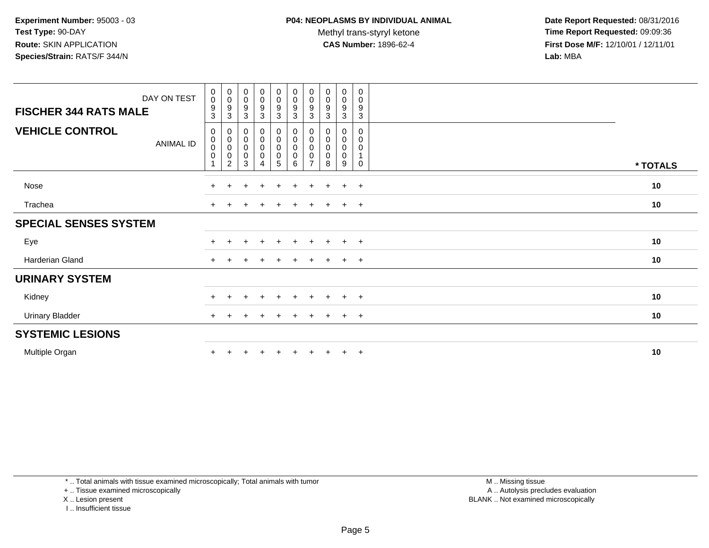Methyl trans-styryl ketone<br>CAS Number: 1896-62-4

 **Date Report Requested:** 08/31/2016 **Time Report Requested:** 09:09:36 **First Dose M/F:** 12/10/01 / 12/11/01<br>**Lab:** MBA **Lab:** MBA

| DAY ON TEST<br><b>FISCHER 344 RATS MALE</b> | $_{\rm 0}^{\rm 0}$<br>9<br>$\mathbf{3}$ | $\begin{matrix} 0 \\ 0 \\ 9 \\ 3 \end{matrix}$       | $\begin{smallmatrix} 0\\0 \end{smallmatrix}$<br>$\overline{9}$<br>$\sqrt{3}$ | $\begin{smallmatrix}0\0\0\end{smallmatrix}$<br>9<br>3 | $\begin{smallmatrix} 0\\0 \end{smallmatrix}$<br>$\overline{9}$<br>$\sqrt{3}$ | $\begin{smallmatrix} 0\\0 \end{smallmatrix}$<br>$\overline{9}$<br>$\sqrt{3}$ | $\begin{smallmatrix} 0\\0 \end{smallmatrix}$<br>9<br>$\sqrt{3}$ | $\begin{smallmatrix}0\\0\end{smallmatrix}$<br>9<br>$\mathbf{3}$ | $_0^0$<br>9<br>3                                    | $\pmb{0}$<br>$\mathbf 0$<br>$\boldsymbol{9}$<br>$\sqrt{3}$ |          |
|---------------------------------------------|-----------------------------------------|------------------------------------------------------|------------------------------------------------------------------------------|-------------------------------------------------------|------------------------------------------------------------------------------|------------------------------------------------------------------------------|-----------------------------------------------------------------|-----------------------------------------------------------------|-----------------------------------------------------|------------------------------------------------------------|----------|
| <b>VEHICLE CONTROL</b><br>ANIMAL ID         | 0<br>0<br>0<br>$\mathbf 0$              | $\begin{smallmatrix}0\0\0\0\0\end{smallmatrix}$<br>2 | $\begin{matrix}0\\0\\0\end{matrix}$<br>0<br>3                                | $_0^0$<br>0<br>$\mathbf 0$<br>$\overline{4}$          | 0<br>$\mathbf 0$<br>$\mathbf 0$<br>0<br>5                                    | $\begin{smallmatrix}0\\0\end{smallmatrix}$<br>$\pmb{0}$<br>$\pmb{0}$<br>6    | 0<br>0<br>$\pmb{0}$<br>0                                        | 0<br>0<br>0<br>0<br>8                                           | 0<br>$\mathbf 0$<br>$\mathbf 0$<br>$\mathbf 0$<br>9 | 0<br>0<br>0<br>$\Omega$                                    | * TOTALS |
| Nose                                        | $+$                                     | $\pm$                                                | $\ddot{}$                                                                    | $\div$                                                | $\pm$                                                                        | $\pm$                                                                        | +                                                               | $\pm$                                                           | $\ddot{}$                                           | $+$                                                        | 10       |
| Trachea                                     | $\pm$                                   |                                                      |                                                                              |                                                       |                                                                              | $\pm$                                                                        | $\pm$                                                           |                                                                 | $\pm$                                               | $+$                                                        | 10       |
| <b>SPECIAL SENSES SYSTEM</b>                |                                         |                                                      |                                                                              |                                                       |                                                                              |                                                                              |                                                                 |                                                                 |                                                     |                                                            |          |
| Eye                                         | $+$                                     |                                                      | $\div$                                                                       | $\ddot{}$                                             | $+$                                                                          | $\ddot{}$                                                                    | $+$                                                             | $+$                                                             | $+$                                                 | $+$                                                        | 10       |
| Harderian Gland                             | $+$                                     |                                                      |                                                                              |                                                       |                                                                              |                                                                              |                                                                 |                                                                 | $\pm$                                               | $+$                                                        | 10       |
| <b>URINARY SYSTEM</b>                       |                                         |                                                      |                                                                              |                                                       |                                                                              |                                                                              |                                                                 |                                                                 |                                                     |                                                            |          |
| Kidney                                      | $+$                                     |                                                      |                                                                              | $\div$                                                | $\pm$                                                                        | $\pm$                                                                        |                                                                 | $\pm$                                                           | $\pm$                                               | $+$                                                        | 10       |
| <b>Urinary Bladder</b>                      | $+$                                     |                                                      |                                                                              |                                                       |                                                                              | $\pm$                                                                        |                                                                 |                                                                 | $\pm$                                               | $+$                                                        | 10       |
| <b>SYSTEMIC LESIONS</b>                     |                                         |                                                      |                                                                              |                                                       |                                                                              |                                                                              |                                                                 |                                                                 |                                                     |                                                            |          |
| Multiple Organ                              | $\pm$                                   |                                                      |                                                                              |                                                       |                                                                              |                                                                              |                                                                 |                                                                 | $\ddot{}$                                           | $+$                                                        | 10       |

\* .. Total animals with tissue examined microscopically; Total animals with tumor

+ .. Tissue examined microscopically

X .. Lesion present

I .. Insufficient tissue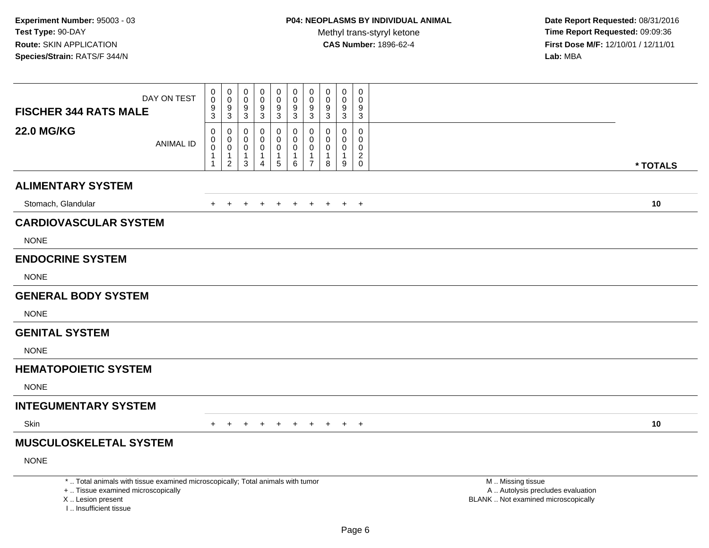| <b>FISCHER 344 RATS MALE</b>                                                     | DAY ON TEST                                                                     | 0<br>$\mathsf 0$<br>9<br>$\overline{3}$ | 0<br>$\overline{0}$<br>$\boldsymbol{9}$<br>$\overline{3}$                   | 0<br>$\mathbf 0$<br>9<br>3                | 0<br>$\pmb{0}$<br>9<br>$\mathbf{3}$                                      | 0<br>$\mathsf{O}\xspace$<br>9<br>$\overline{3}$     | 0<br>$\pmb{0}$<br>9<br>3                                       | 0<br>$\pmb{0}$<br>9<br>3                                         | 0<br>0<br>9<br>3                        | 0<br>$\mathsf{O}\xspace$<br>$\frac{9}{3}$                      | 0<br>$\mathbf 0$<br>9<br>$\mathsf 3$            |                                                                                               |          |
|----------------------------------------------------------------------------------|---------------------------------------------------------------------------------|-----------------------------------------|-----------------------------------------------------------------------------|-------------------------------------------|--------------------------------------------------------------------------|-----------------------------------------------------|----------------------------------------------------------------|------------------------------------------------------------------|-----------------------------------------|----------------------------------------------------------------|-------------------------------------------------|-----------------------------------------------------------------------------------------------|----------|
| <b>22.0 MG/KG</b>                                                                | <b>ANIMAL ID</b>                                                                | 0<br>0<br>$\mathsf 0$<br>1<br>-1        | $\mathbf 0$<br>$\mathbf 0$<br>$\mathbf 0$<br>$\mathbf{1}$<br>$\overline{2}$ | 0<br>$\Omega$<br>0<br>$\overline{1}$<br>3 | $\mathbf 0$<br>$\Omega$<br>$\mathbf 0$<br>$\mathbf{1}$<br>$\overline{4}$ | $\mathbf 0$<br>$\mathbf 0$<br>$\mathbf 0$<br>1<br>5 | $\mathbf 0$<br>$\mathbf 0$<br>$\mathbf 0$<br>$\mathbf{1}$<br>6 | 0<br>$\mathbf 0$<br>$\mathbf 0$<br>$\mathbf 1$<br>$\overline{7}$ | $\Omega$<br>0<br>0<br>$\mathbf{1}$<br>8 | $\mathbf 0$<br>$\mathbf 0$<br>$\mathbf 0$<br>$\mathbf{1}$<br>9 | 0<br>$\mathbf 0$<br>$\mathbf 0$<br>$^2_{\rm 0}$ |                                                                                               | * TOTALS |
| <b>ALIMENTARY SYSTEM</b>                                                         |                                                                                 |                                         |                                                                             |                                           |                                                                          |                                                     |                                                                |                                                                  |                                         |                                                                |                                                 |                                                                                               |          |
| Stomach, Glandular                                                               |                                                                                 | $+$                                     | $+$                                                                         | $\ddot{}$                                 | $\pm$                                                                    | $+$                                                 | $+$                                                            | $+$                                                              |                                         | $+$ $+$ $+$                                                    |                                                 |                                                                                               | 10       |
| <b>CARDIOVASCULAR SYSTEM</b>                                                     |                                                                                 |                                         |                                                                             |                                           |                                                                          |                                                     |                                                                |                                                                  |                                         |                                                                |                                                 |                                                                                               |          |
| <b>NONE</b>                                                                      |                                                                                 |                                         |                                                                             |                                           |                                                                          |                                                     |                                                                |                                                                  |                                         |                                                                |                                                 |                                                                                               |          |
| <b>ENDOCRINE SYSTEM</b>                                                          |                                                                                 |                                         |                                                                             |                                           |                                                                          |                                                     |                                                                |                                                                  |                                         |                                                                |                                                 |                                                                                               |          |
| <b>NONE</b>                                                                      |                                                                                 |                                         |                                                                             |                                           |                                                                          |                                                     |                                                                |                                                                  |                                         |                                                                |                                                 |                                                                                               |          |
| <b>GENERAL BODY SYSTEM</b>                                                       |                                                                                 |                                         |                                                                             |                                           |                                                                          |                                                     |                                                                |                                                                  |                                         |                                                                |                                                 |                                                                                               |          |
| <b>NONE</b>                                                                      |                                                                                 |                                         |                                                                             |                                           |                                                                          |                                                     |                                                                |                                                                  |                                         |                                                                |                                                 |                                                                                               |          |
| <b>GENITAL SYSTEM</b>                                                            |                                                                                 |                                         |                                                                             |                                           |                                                                          |                                                     |                                                                |                                                                  |                                         |                                                                |                                                 |                                                                                               |          |
| <b>NONE</b>                                                                      |                                                                                 |                                         |                                                                             |                                           |                                                                          |                                                     |                                                                |                                                                  |                                         |                                                                |                                                 |                                                                                               |          |
| <b>HEMATOPOIETIC SYSTEM</b>                                                      |                                                                                 |                                         |                                                                             |                                           |                                                                          |                                                     |                                                                |                                                                  |                                         |                                                                |                                                 |                                                                                               |          |
| <b>NONE</b>                                                                      |                                                                                 |                                         |                                                                             |                                           |                                                                          |                                                     |                                                                |                                                                  |                                         |                                                                |                                                 |                                                                                               |          |
| <b>INTEGUMENTARY SYSTEM</b>                                                      |                                                                                 |                                         |                                                                             |                                           |                                                                          |                                                     |                                                                |                                                                  |                                         |                                                                |                                                 |                                                                                               |          |
| <b>Skin</b>                                                                      |                                                                                 | $+$                                     | $+$                                                                         | $\pm$                                     | $\pm$                                                                    | $+$                                                 | $+$                                                            | $+$                                                              | $+$                                     | $+$ $+$                                                        |                                                 |                                                                                               | 10       |
| <b>MUSCULOSKELETAL SYSTEM</b>                                                    |                                                                                 |                                         |                                                                             |                                           |                                                                          |                                                     |                                                                |                                                                  |                                         |                                                                |                                                 |                                                                                               |          |
| <b>NONE</b>                                                                      |                                                                                 |                                         |                                                                             |                                           |                                                                          |                                                     |                                                                |                                                                  |                                         |                                                                |                                                 |                                                                                               |          |
| +  Tissue examined microscopically<br>X  Lesion present<br>I Insufficient tissue | *  Total animals with tissue examined microscopically; Total animals with tumor |                                         |                                                                             |                                           |                                                                          |                                                     |                                                                |                                                                  |                                         |                                                                |                                                 | M  Missing tissue<br>A  Autolysis precludes evaluation<br>BLANK  Not examined microscopically |          |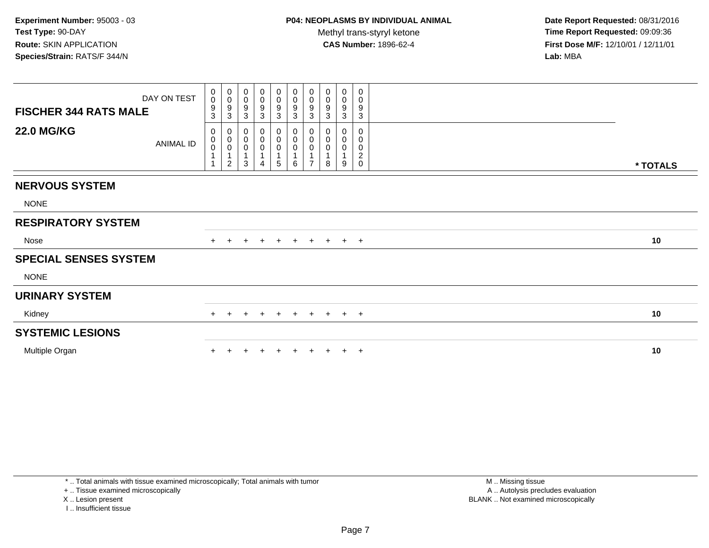**Date Report Requested:** 08/31/2016 **Time Report Requested:** 09:09:36 **First Dose M/F:** 12/10/01 / 12/11/01<br>**Lab:** MBA **Lab:** MBA

| <b>FISCHER 344 RATS MALE</b> | DAY ON TEST | 0<br>$\mathbf 0$<br>9<br>3 | $_{\rm 0}^{\rm 0}$<br>$\boldsymbol{9}$<br>$\mathbf{3}$                     | $\pmb{0}$<br>$\pmb{0}$<br>$\boldsymbol{9}$<br>$\mathsf 3$                       | 0<br>0<br>9<br>3 | $\pmb{0}$<br>$\mathsf 0$<br>$\frac{9}{3}$                                              | 0<br>$\mathsf{O}\xspace$<br>$\boldsymbol{9}$<br>$\mathbf{3}$ | $\boldsymbol{0}$<br>$\mathbf 0$<br>$\boldsymbol{9}$<br>$\mathbf{3}$               | 0<br>$\mathbf 0$<br>9<br>$\mathbf{3}$ | 0<br>0<br>9<br>$\sqrt{3}$ | 0<br>0<br>9<br>$\mathbf{3}$                              |          |  |
|------------------------------|-------------|----------------------------|----------------------------------------------------------------------------|---------------------------------------------------------------------------------|------------------|----------------------------------------------------------------------------------------|--------------------------------------------------------------|-----------------------------------------------------------------------------------|---------------------------------------|---------------------------|----------------------------------------------------------|----------|--|
| <b>22.0 MG/KG</b>            | ANIMAL ID   | 0<br>0<br>$\pmb{0}$        | $\pmb{0}$<br>$\overline{0}$ <sub>0</sub><br>$\mathbf{1}$<br>$\overline{c}$ | $\begin{smallmatrix}0\\0\\0\end{smallmatrix}$<br>1<br>$\ensuremath{\mathsf{3}}$ | 0<br>0<br>0<br>4 | $\begin{smallmatrix} 0\\0 \end{smallmatrix}$<br>$\pmb{0}$<br>$\mathbf 1$<br>$\sqrt{5}$ | $_0^0$<br>0<br>6                                             | $\begin{smallmatrix}0\\0\\0\end{smallmatrix}$<br>$\overline{1}$<br>$\overline{7}$ | 0<br>$\mathbf 0$<br>$\pmb{0}$<br>8    | 0<br>$\pmb{0}$<br>0<br>9  | $\mathbf 0$<br>0<br>0<br>$\boldsymbol{2}$<br>$\mathbf 0$ | * TOTALS |  |
| <b>NERVOUS SYSTEM</b>        |             |                            |                                                                            |                                                                                 |                  |                                                                                        |                                                              |                                                                                   |                                       |                           |                                                          |          |  |
| <b>NONE</b>                  |             |                            |                                                                            |                                                                                 |                  |                                                                                        |                                                              |                                                                                   |                                       |                           |                                                          |          |  |
| <b>RESPIRATORY SYSTEM</b>    |             |                            |                                                                            |                                                                                 |                  |                                                                                        |                                                              |                                                                                   |                                       |                           |                                                          |          |  |
| Nose                         |             | $+$                        | $\ddot{}$                                                                  | $+$                                                                             | $+$              | $+$                                                                                    | $+$                                                          |                                                                                   | + + + +                               |                           |                                                          | 10       |  |
| <b>SPECIAL SENSES SYSTEM</b> |             |                            |                                                                            |                                                                                 |                  |                                                                                        |                                                              |                                                                                   |                                       |                           |                                                          |          |  |
| <b>NONE</b>                  |             |                            |                                                                            |                                                                                 |                  |                                                                                        |                                                              |                                                                                   |                                       |                           |                                                          |          |  |
| <b>URINARY SYSTEM</b>        |             |                            |                                                                            |                                                                                 |                  |                                                                                        |                                                              |                                                                                   |                                       |                           |                                                          |          |  |
| Kidney                       |             | $+$                        | $+$                                                                        | $+$                                                                             | $+$              | $+$                                                                                    | $+$                                                          |                                                                                   | + + + +                               |                           |                                                          | 10       |  |
| <b>SYSTEMIC LESIONS</b>      |             |                            |                                                                            |                                                                                 |                  |                                                                                        |                                                              |                                                                                   |                                       |                           |                                                          |          |  |
| Multiple Organ               |             |                            |                                                                            |                                                                                 |                  |                                                                                        |                                                              |                                                                                   |                                       |                           | $+$                                                      | 10       |  |

\* .. Total animals with tissue examined microscopically; Total animals with tumor

+ .. Tissue examined microscopically

X .. Lesion present

I .. Insufficient tissue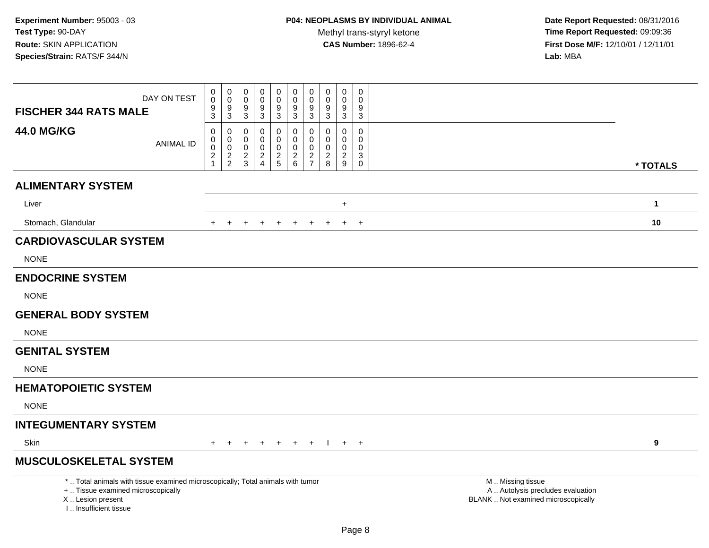| DAY ON TEST<br><b>FISCHER 344 RATS MALE</b>                                                                                                                         | $\boldsymbol{0}$<br>$\mathsf{O}\xspace$<br>9<br>3           | $\mathbf 0$<br>$\mathbf 0$<br>9<br>$\mathbf{3}$                 | $\mathbf 0$<br>$\mathbf 0$<br>9<br>$\mathbf{3}$ | $\mathbf 0$<br>$\mathbf 0$<br>9<br>3                             | $\pmb{0}$<br>$\mathbf 0$<br>$\boldsymbol{9}$<br>3 | $\pmb{0}$<br>$\mathbf 0$<br>$\boldsymbol{9}$<br>3 | 0<br>$\mathbf 0$<br>9<br>3                                       | 0<br>0<br>9<br>3                          | $\pmb{0}$<br>$\mathsf{O}\xspace$<br>9<br>$\sqrt{3}$            | $\mathbf 0$<br>$\mathbf 0$<br>9<br>$\mathbf{3}$         |                                                                                               |              |
|---------------------------------------------------------------------------------------------------------------------------------------------------------------------|-------------------------------------------------------------|-----------------------------------------------------------------|-------------------------------------------------|------------------------------------------------------------------|---------------------------------------------------|---------------------------------------------------|------------------------------------------------------------------|-------------------------------------------|----------------------------------------------------------------|---------------------------------------------------------|-----------------------------------------------------------------------------------------------|--------------|
| <b>44.0 MG/KG</b><br><b>ANIMAL ID</b>                                                                                                                               | 0<br>$\boldsymbol{0}$<br>$\pmb{0}$<br>$\boldsymbol{2}$<br>1 | 0<br>$\mathbf 0$<br>$\mathbf 0$<br>$\sqrt{2}$<br>$\overline{2}$ | 0<br>0<br>$\mathbf 0$<br>$\overline{2}$<br>3    | $\Omega$<br>0<br>$\mathbf 0$<br>$\overline{2}$<br>$\overline{4}$ | 0<br>0<br>$\mathbf 0$<br>$\frac{2}{5}$            | 0<br>$\mathbf 0$<br>$\mathbf 0$<br>$\frac{2}{6}$  | $\mathbf 0$<br>$\Omega$<br>0<br>$\overline{a}$<br>$\overline{7}$ | 0<br>$\Omega$<br>0<br>$\overline{2}$<br>8 | $\mathbf 0$<br>$\mathbf 0$<br>$\pmb{0}$<br>$\overline{a}$<br>9 | $\mathbf 0$<br>$\Omega$<br>$\Omega$<br>3<br>$\mathbf 0$ |                                                                                               | * TOTALS     |
| <b>ALIMENTARY SYSTEM</b>                                                                                                                                            |                                                             |                                                                 |                                                 |                                                                  |                                                   |                                                   |                                                                  |                                           |                                                                |                                                         |                                                                                               |              |
| Liver                                                                                                                                                               |                                                             |                                                                 |                                                 |                                                                  |                                                   |                                                   |                                                                  |                                           | $\ddot{}$                                                      |                                                         |                                                                                               | $\mathbf{1}$ |
| Stomach, Glandular                                                                                                                                                  | $+$                                                         |                                                                 | $\pm$                                           | $\ddot{}$                                                        | $+$                                               | $+$                                               | $+$                                                              | $+$                                       | $+$                                                            | $+$                                                     |                                                                                               | 10           |
| <b>CARDIOVASCULAR SYSTEM</b><br><b>NONE</b>                                                                                                                         |                                                             |                                                                 |                                                 |                                                                  |                                                   |                                                   |                                                                  |                                           |                                                                |                                                         |                                                                                               |              |
| <b>ENDOCRINE SYSTEM</b>                                                                                                                                             |                                                             |                                                                 |                                                 |                                                                  |                                                   |                                                   |                                                                  |                                           |                                                                |                                                         |                                                                                               |              |
| <b>NONE</b>                                                                                                                                                         |                                                             |                                                                 |                                                 |                                                                  |                                                   |                                                   |                                                                  |                                           |                                                                |                                                         |                                                                                               |              |
| <b>GENERAL BODY SYSTEM</b>                                                                                                                                          |                                                             |                                                                 |                                                 |                                                                  |                                                   |                                                   |                                                                  |                                           |                                                                |                                                         |                                                                                               |              |
| <b>NONE</b>                                                                                                                                                         |                                                             |                                                                 |                                                 |                                                                  |                                                   |                                                   |                                                                  |                                           |                                                                |                                                         |                                                                                               |              |
| <b>GENITAL SYSTEM</b>                                                                                                                                               |                                                             |                                                                 |                                                 |                                                                  |                                                   |                                                   |                                                                  |                                           |                                                                |                                                         |                                                                                               |              |
| <b>NONE</b>                                                                                                                                                         |                                                             |                                                                 |                                                 |                                                                  |                                                   |                                                   |                                                                  |                                           |                                                                |                                                         |                                                                                               |              |
| <b>HEMATOPOIETIC SYSTEM</b>                                                                                                                                         |                                                             |                                                                 |                                                 |                                                                  |                                                   |                                                   |                                                                  |                                           |                                                                |                                                         |                                                                                               |              |
| <b>NONE</b>                                                                                                                                                         |                                                             |                                                                 |                                                 |                                                                  |                                                   |                                                   |                                                                  |                                           |                                                                |                                                         |                                                                                               |              |
| <b>INTEGUMENTARY SYSTEM</b>                                                                                                                                         |                                                             |                                                                 |                                                 |                                                                  |                                                   |                                                   |                                                                  |                                           |                                                                |                                                         |                                                                                               |              |
| Skin                                                                                                                                                                |                                                             |                                                                 |                                                 | + + + + + + +                                                    |                                                   |                                                   |                                                                  |                                           |                                                                | $+$ $+$                                                 |                                                                                               | 9            |
| <b>MUSCULOSKELETAL SYSTEM</b>                                                                                                                                       |                                                             |                                                                 |                                                 |                                                                  |                                                   |                                                   |                                                                  |                                           |                                                                |                                                         |                                                                                               |              |
| *  Total animals with tissue examined microscopically; Total animals with tumor<br>+  Tissue examined microscopically<br>X  Lesion present<br>I Insufficient tissue |                                                             |                                                                 |                                                 |                                                                  |                                                   |                                                   |                                                                  |                                           | $\sim$                                                         | $\sim$                                                  | M  Missing tissue<br>A  Autolysis precludes evaluation<br>BLANK  Not examined microscopically |              |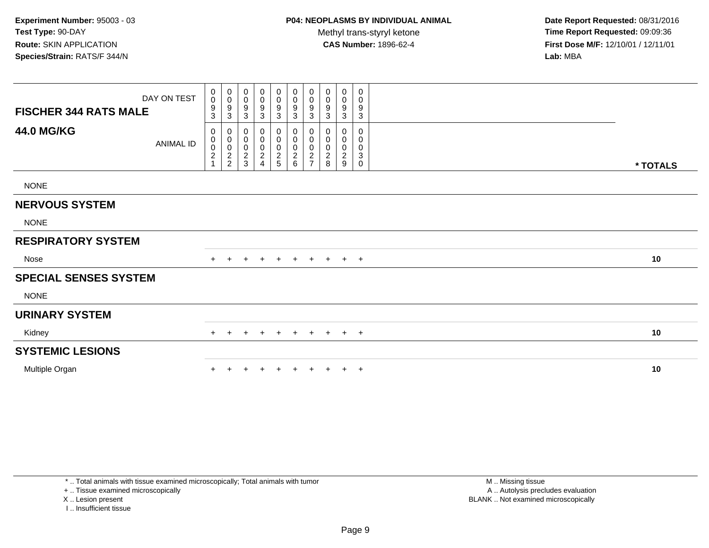| <b>FISCHER 344 RATS MALE</b> | DAY ON TEST | 0<br>0<br>9<br>3                                     | $_{\rm 0}^{\rm 0}$<br>$\boldsymbol{9}$<br>$\mathbf{3}$ | $\pmb{0}$<br>0<br>9<br>3                     | $\begin{smallmatrix}0\\0\end{smallmatrix}$<br>9<br>3 | $\mathbf 0$<br>$\boldsymbol{0}$<br>9<br>3 | $\begin{smallmatrix} 0\\0 \end{smallmatrix}$<br>$\boldsymbol{9}$<br>$\mathbf{3}$ | 0<br>0<br>9<br>3                             | 0<br>0<br>9<br>3       | $\begin{smallmatrix} 0\\0 \end{smallmatrix}$<br>$\boldsymbol{9}$<br>$\sqrt{3}$ | 0<br>$\pmb{0}$<br>9<br>$\mathbf{3}$                   |          |
|------------------------------|-------------|------------------------------------------------------|--------------------------------------------------------|----------------------------------------------|------------------------------------------------------|-------------------------------------------|----------------------------------------------------------------------------------|----------------------------------------------|------------------------|--------------------------------------------------------------------------------|-------------------------------------------------------|----------|
| <b>44.0 MG/KG</b>            | ANIMAL ID   | 0<br>0<br>$\begin{array}{c} 0 \\ 2 \\ 1 \end{array}$ | $\boldsymbol{0}$<br>$\pmb{0}$<br>$\frac{0}{2}$         | 0<br>$\pmb{0}$<br>$\pmb{0}$<br>$\frac{2}{3}$ | 0<br>$\pmb{0}$<br>$\pmb{0}$<br>$\boldsymbol{2}$<br>4 | 0<br>0<br>0<br>$\frac{2}{5}$              | 0<br>$\pmb{0}$<br>$\pmb{0}$<br>$\frac{2}{6}$                                     | 0<br>$\pmb{0}$<br>$\pmb{0}$<br>$\frac{2}{7}$ | 0<br>0<br>$^2_{\bf 8}$ | 0<br>$\pmb{0}$<br>$\pmb{0}$<br>$\boldsymbol{2}$<br>$\boldsymbol{9}$            | 0<br>0<br>$\pmb{0}$<br>$\sqrt{3}$<br>$\boldsymbol{0}$ | * TOTALS |
| <b>NONE</b>                  |             |                                                      |                                                        |                                              |                                                      |                                           |                                                                                  |                                              |                        |                                                                                |                                                       |          |
| <b>NERVOUS SYSTEM</b>        |             |                                                      |                                                        |                                              |                                                      |                                           |                                                                                  |                                              |                        |                                                                                |                                                       |          |
| <b>NONE</b>                  |             |                                                      |                                                        |                                              |                                                      |                                           |                                                                                  |                                              |                        |                                                                                |                                                       |          |
| <b>RESPIRATORY SYSTEM</b>    |             |                                                      |                                                        |                                              |                                                      |                                           |                                                                                  |                                              |                        |                                                                                |                                                       |          |
| Nose                         |             | $+$                                                  |                                                        |                                              | $\pm$                                                | $+$                                       | $+$                                                                              | $+$                                          | $+$                    |                                                                                | $+$ $+$                                               | 10       |
| <b>SPECIAL SENSES SYSTEM</b> |             |                                                      |                                                        |                                              |                                                      |                                           |                                                                                  |                                              |                        |                                                                                |                                                       |          |
| <b>NONE</b>                  |             |                                                      |                                                        |                                              |                                                      |                                           |                                                                                  |                                              |                        |                                                                                |                                                       |          |
| <b>URINARY SYSTEM</b>        |             |                                                      |                                                        |                                              |                                                      |                                           |                                                                                  |                                              |                        |                                                                                |                                                       |          |
| Kidney                       |             | $+$                                                  | $\pm$                                                  | $\pm$                                        | $\pm$                                                | $+$                                       | $+$                                                                              | $+$                                          | $+$                    |                                                                                | $+$ $+$                                               | 10       |
| <b>SYSTEMIC LESIONS</b>      |             |                                                      |                                                        |                                              |                                                      |                                           |                                                                                  |                                              |                        |                                                                                |                                                       |          |
| Multiple Organ               |             |                                                      |                                                        |                                              |                                                      |                                           |                                                                                  |                                              | $+$                    | $+$                                                                            | $+$                                                   | 10       |

\* .. Total animals with tissue examined microscopically; Total animals with tumor

+ .. Tissue examined microscopically

X .. Lesion present

I .. Insufficient tissue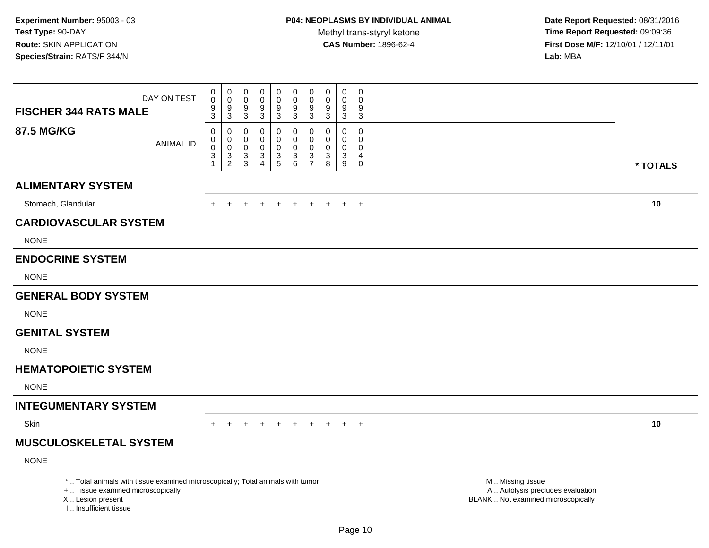| DAY ON TEST<br><b>FISCHER 344 RATS MALE</b>                                                                                                                         | 0<br>0<br>$\frac{9}{3}$                                    | $\pmb{0}$<br>$\mathbf 0$<br>$\frac{9}{3}$                  | 0<br>$\mathbf 0$<br>$\boldsymbol{9}$<br>$\mathbf{3}$ | $\mathbf 0$<br>$\Omega$<br>9<br>$\mathbf{3}$            | $\mathbf 0$<br>$\mathbf 0$<br>9<br>$\sqrt{3}$ | $\mathbf 0$<br>0<br>$\frac{9}{3}$      | $\mathbf 0$<br>$\mathbf 0$<br>$\boldsymbol{9}$<br>$\mathbf{3}$ | $\pmb{0}$<br>$\mathbf 0$<br>$\boldsymbol{9}$<br>$\sqrt{3}$                        | $\mathbf 0$<br>0<br>$\boldsymbol{9}$<br>$\mathbf{3}$                           | $\mathbf 0$<br>$\Omega$<br>9<br>3                             |                                                                                               |  |
|---------------------------------------------------------------------------------------------------------------------------------------------------------------------|------------------------------------------------------------|------------------------------------------------------------|------------------------------------------------------|---------------------------------------------------------|-----------------------------------------------|----------------------------------------|----------------------------------------------------------------|-----------------------------------------------------------------------------------|--------------------------------------------------------------------------------|---------------------------------------------------------------|-----------------------------------------------------------------------------------------------|--|
| <b>87.5 MG/KG</b><br><b>ANIMAL ID</b>                                                                                                                               | $\mathbf 0$<br>0<br>$\pmb{0}$<br>$\ensuremath{\mathsf{3}}$ | $\mathbf 0$<br>$\mathbf 0$<br>$\mathbf 0$<br>$\frac{3}{2}$ | 0<br>$\mathbf 0$<br>$\mathbf 0$<br>$\frac{3}{3}$     | 0<br>0<br>$\mathbf 0$<br>$\mathbf{3}$<br>$\overline{4}$ | 0<br>$\mathbf 0$<br>0<br>$\frac{3}{5}$        | 0<br>$\mathbf 0$<br>0<br>$\frac{3}{6}$ | 0<br>$\mathbf 0$<br>$\mathbf 0$<br>$\frac{3}{7}$               | $\mathbf 0$<br>$\mathbf 0$<br>$\mathbf 0$<br>$\ensuremath{\mathsf{3}}$<br>$\bf 8$ | $\mathbf 0$<br>$\overline{0}$<br>$\mathbf 0$<br>$\ensuremath{\mathsf{3}}$<br>9 | $\mathbf 0$<br>$\mathbf 0$<br>$\mathbf 0$<br>4<br>$\mathbf 0$ | * TOTALS                                                                                      |  |
| <b>ALIMENTARY SYSTEM</b>                                                                                                                                            |                                                            |                                                            |                                                      |                                                         |                                               |                                        |                                                                |                                                                                   |                                                                                |                                                               |                                                                                               |  |
| Stomach, Glandular                                                                                                                                                  | $\pm$                                                      |                                                            |                                                      |                                                         |                                               |                                        |                                                                | ÷                                                                                 | $+$                                                                            | $+$                                                           | 10                                                                                            |  |
| <b>CARDIOVASCULAR SYSTEM</b>                                                                                                                                        |                                                            |                                                            |                                                      |                                                         |                                               |                                        |                                                                |                                                                                   |                                                                                |                                                               |                                                                                               |  |
| <b>NONE</b>                                                                                                                                                         |                                                            |                                                            |                                                      |                                                         |                                               |                                        |                                                                |                                                                                   |                                                                                |                                                               |                                                                                               |  |
| <b>ENDOCRINE SYSTEM</b>                                                                                                                                             |                                                            |                                                            |                                                      |                                                         |                                               |                                        |                                                                |                                                                                   |                                                                                |                                                               |                                                                                               |  |
| <b>NONE</b>                                                                                                                                                         |                                                            |                                                            |                                                      |                                                         |                                               |                                        |                                                                |                                                                                   |                                                                                |                                                               |                                                                                               |  |
| <b>GENERAL BODY SYSTEM</b>                                                                                                                                          |                                                            |                                                            |                                                      |                                                         |                                               |                                        |                                                                |                                                                                   |                                                                                |                                                               |                                                                                               |  |
| <b>NONE</b>                                                                                                                                                         |                                                            |                                                            |                                                      |                                                         |                                               |                                        |                                                                |                                                                                   |                                                                                |                                                               |                                                                                               |  |
| <b>GENITAL SYSTEM</b>                                                                                                                                               |                                                            |                                                            |                                                      |                                                         |                                               |                                        |                                                                |                                                                                   |                                                                                |                                                               |                                                                                               |  |
| <b>NONE</b>                                                                                                                                                         |                                                            |                                                            |                                                      |                                                         |                                               |                                        |                                                                |                                                                                   |                                                                                |                                                               |                                                                                               |  |
| <b>HEMATOPOIETIC SYSTEM</b>                                                                                                                                         |                                                            |                                                            |                                                      |                                                         |                                               |                                        |                                                                |                                                                                   |                                                                                |                                                               |                                                                                               |  |
| <b>NONE</b>                                                                                                                                                         |                                                            |                                                            |                                                      |                                                         |                                               |                                        |                                                                |                                                                                   |                                                                                |                                                               |                                                                                               |  |
| <b>INTEGUMENTARY SYSTEM</b>                                                                                                                                         |                                                            |                                                            |                                                      |                                                         |                                               |                                        |                                                                |                                                                                   |                                                                                |                                                               |                                                                                               |  |
| Skin                                                                                                                                                                | $+$                                                        | $+$                                                        |                                                      |                                                         |                                               | $\overline{+}$                         | $\ddot{}$                                                      | $\ddot{}$                                                                         | $+$                                                                            | $+$                                                           | 10                                                                                            |  |
| <b>MUSCULOSKELETAL SYSTEM</b>                                                                                                                                       |                                                            |                                                            |                                                      |                                                         |                                               |                                        |                                                                |                                                                                   |                                                                                |                                                               |                                                                                               |  |
| <b>NONE</b>                                                                                                                                                         |                                                            |                                                            |                                                      |                                                         |                                               |                                        |                                                                |                                                                                   |                                                                                |                                                               |                                                                                               |  |
| *  Total animals with tissue examined microscopically; Total animals with tumor<br>+  Tissue examined microscopically<br>X  Lesion present<br>I Insufficient tissue |                                                            |                                                            |                                                      |                                                         |                                               |                                        |                                                                |                                                                                   |                                                                                |                                                               | M  Missing tissue<br>A  Autolysis precludes evaluation<br>BLANK  Not examined microscopically |  |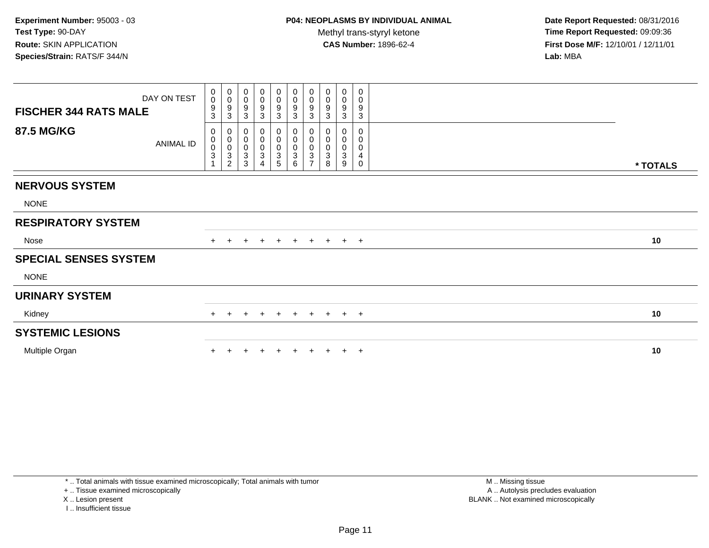**Date Report Requested:** 08/31/2016 **Time Report Requested:** 09:09:36 **First Dose M/F:** 12/10/01 / 12/11/01<br>**Lab:** MBA **Lab:** MBA

| DAY ON TEST<br><b>FISCHER 344 RATS MALE</b> | 0<br>$\mathbf 0$<br>9<br>3 | 0<br>$\boldsymbol{0}$<br>$\boldsymbol{9}$<br>3      | 0<br>$\pmb{0}$<br>$\boldsymbol{9}$<br>$\mathbf{3}$  | 0<br>0<br>$9\,$<br>$\mathbf{3}$                             | $\mathbf 0$<br>$\pmb{0}$<br>$\boldsymbol{9}$<br>$\mathbf{3}$     | 0<br>$\pmb{0}$<br>$\boldsymbol{9}$<br>$\mathbf{3}$ | 0<br>$\pmb{0}$<br>9<br>3                                                   | 0<br>$\pmb{0}$<br>9<br>$\mathbf{3}$   | 0<br>0<br>9<br>$\mathbf{3}$           | 0<br>$\pmb{0}$<br>9<br>$\sqrt{3}$               |          |  |
|---------------------------------------------|----------------------------|-----------------------------------------------------|-----------------------------------------------------|-------------------------------------------------------------|------------------------------------------------------------------|----------------------------------------------------|----------------------------------------------------------------------------|---------------------------------------|---------------------------------------|-------------------------------------------------|----------|--|
| <b>87.5 MG/KG</b><br>ANIMAL ID              | 0<br>0<br>0<br>3           | 0<br>$\mathbf 0$<br>$\frac{0}{3}$<br>$\overline{c}$ | $_{\rm 0}^{\rm 0}$<br>$\frac{0}{3}$<br>$\mathbf{3}$ | 0<br>$\pmb{0}$<br>$\pmb{0}$<br>$\sqrt{3}$<br>$\overline{4}$ | $\begin{matrix} 0 \\ 0 \\ 0 \\ 3 \end{matrix}$<br>$\overline{5}$ | 0<br>$\pmb{0}$<br>$\frac{0}{3}$<br>6               | 0<br>$\pmb{0}$<br>$\pmb{0}$<br>$\ensuremath{\mathsf{3}}$<br>$\overline{7}$ | 0<br>$\pmb{0}$<br>$\pmb{0}$<br>3<br>8 | 0<br>$\pmb{0}$<br>$\pmb{0}$<br>3<br>9 | $\pmb{0}$<br>0<br>$\pmb{0}$<br>4<br>$\mathbf 0$ | * TOTALS |  |
| <b>NERVOUS SYSTEM</b>                       |                            |                                                     |                                                     |                                                             |                                                                  |                                                    |                                                                            |                                       |                                       |                                                 |          |  |
| <b>NONE</b>                                 |                            |                                                     |                                                     |                                                             |                                                                  |                                                    |                                                                            |                                       |                                       |                                                 |          |  |
| <b>RESPIRATORY SYSTEM</b>                   |                            |                                                     |                                                     |                                                             |                                                                  |                                                    |                                                                            |                                       |                                       |                                                 |          |  |
| Nose                                        |                            | $\pm$                                               | $\ddot{}$                                           | $+$                                                         | $+$                                                              |                                                    |                                                                            | $+$ $+$ $+$                           |                                       | $+$ $+$                                         | 10       |  |
| <b>SPECIAL SENSES SYSTEM</b>                |                            |                                                     |                                                     |                                                             |                                                                  |                                                    |                                                                            |                                       |                                       |                                                 |          |  |
| <b>NONE</b>                                 |                            |                                                     |                                                     |                                                             |                                                                  |                                                    |                                                                            |                                       |                                       |                                                 |          |  |
| <b>URINARY SYSTEM</b>                       |                            |                                                     |                                                     |                                                             |                                                                  |                                                    |                                                                            |                                       |                                       |                                                 |          |  |
| Kidney                                      | $+$                        | $+$                                                 | $\ddot{}$                                           | $+$                                                         | $+$                                                              | $+$                                                | $+$                                                                        | $+$                                   |                                       | $+$ $+$                                         | 10       |  |
| <b>SYSTEMIC LESIONS</b>                     |                            |                                                     |                                                     |                                                             |                                                                  |                                                    |                                                                            |                                       |                                       |                                                 |          |  |
| Multiple Organ                              |                            |                                                     |                                                     |                                                             |                                                                  |                                                    |                                                                            |                                       |                                       | $^{+}$                                          | 10       |  |

\* .. Total animals with tissue examined microscopically; Total animals with tumor

+ .. Tissue examined microscopically

X .. Lesion present

I .. Insufficient tissue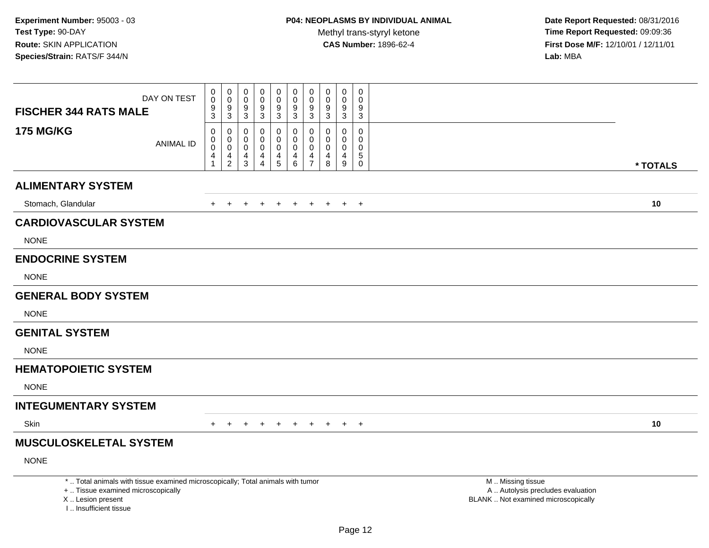| DAY ON TEST<br><b>FISCHER 344 RATS MALE</b>                                                                                                                         | 0<br>0<br>$\frac{9}{3}$                                      | 0<br>$\mathbf 0$<br>$\frac{9}{3}$                | $\mathbf 0$<br>$\mathbf 0$<br>$\boldsymbol{9}$<br>3              | 0<br>$\Omega$<br>9<br>3                      | $\mathbf 0$<br>$\mathbf 0$<br>9<br>3                | 0<br>$\pmb{0}$<br>$\frac{9}{3}$              | $\mathbf 0$<br>$\pmb{0}$<br>$\boldsymbol{9}$<br>3 | $\mathbf 0$<br>0<br>9<br>3      | 0<br>0<br>9<br>$\mathbf{3}$                              | $\mathbf 0$<br>$\mathbf 0$<br>$\boldsymbol{9}$<br>3                        |                                                                                               |
|---------------------------------------------------------------------------------------------------------------------------------------------------------------------|--------------------------------------------------------------|--------------------------------------------------|------------------------------------------------------------------|----------------------------------------------|-----------------------------------------------------|----------------------------------------------|---------------------------------------------------|---------------------------------|----------------------------------------------------------|----------------------------------------------------------------------------|-----------------------------------------------------------------------------------------------|
| <b>175 MG/KG</b><br><b>ANIMAL ID</b>                                                                                                                                | $\mathbf 0$<br>0<br>$\ddot{\mathbf{0}}$<br>4<br>$\mathbf{1}$ | $\mathbf 0$<br>0<br>$\mathbf 0$<br>$\frac{4}{2}$ | $\mathbf 0$<br>$\mathbf 0$<br>$\mathbf 0$<br>4<br>$\overline{3}$ | 0<br>0<br>$\mathbf 0$<br>4<br>$\overline{4}$ | 0<br>$\Omega$<br>$\mathbf 0$<br>4<br>$\overline{5}$ | 0<br>0<br>$\mathbf 0$<br>4<br>$\overline{6}$ | 0<br>0<br>$\mathsf{O}\xspace$<br>$\frac{4}{7}$    | 0<br>0<br>$\mathbf 0$<br>4<br>8 | $\mathbf 0$<br>0<br>$\mathbf 0$<br>4<br>$\boldsymbol{9}$ | $\mathbf 0$<br>$\mathbf 0$<br>$\mathbf 0$<br>$\overline{5}$<br>$\mathbf 0$ |                                                                                               |
| <b>ALIMENTARY SYSTEM</b>                                                                                                                                            |                                                              |                                                  |                                                                  |                                              |                                                     |                                              |                                                   |                                 |                                                          |                                                                            | * TOTALS                                                                                      |
|                                                                                                                                                                     |                                                              |                                                  |                                                                  |                                              |                                                     |                                              |                                                   |                                 |                                                          |                                                                            |                                                                                               |
| Stomach, Glandular                                                                                                                                                  | $\div$                                                       |                                                  |                                                                  |                                              |                                                     |                                              |                                                   | $\pm$                           | $+$                                                      | $+$                                                                        | 10                                                                                            |
| <b>CARDIOVASCULAR SYSTEM</b>                                                                                                                                        |                                                              |                                                  |                                                                  |                                              |                                                     |                                              |                                                   |                                 |                                                          |                                                                            |                                                                                               |
| <b>NONE</b>                                                                                                                                                         |                                                              |                                                  |                                                                  |                                              |                                                     |                                              |                                                   |                                 |                                                          |                                                                            |                                                                                               |
| <b>ENDOCRINE SYSTEM</b>                                                                                                                                             |                                                              |                                                  |                                                                  |                                              |                                                     |                                              |                                                   |                                 |                                                          |                                                                            |                                                                                               |
| <b>NONE</b>                                                                                                                                                         |                                                              |                                                  |                                                                  |                                              |                                                     |                                              |                                                   |                                 |                                                          |                                                                            |                                                                                               |
| <b>GENERAL BODY SYSTEM</b>                                                                                                                                          |                                                              |                                                  |                                                                  |                                              |                                                     |                                              |                                                   |                                 |                                                          |                                                                            |                                                                                               |
| <b>NONE</b>                                                                                                                                                         |                                                              |                                                  |                                                                  |                                              |                                                     |                                              |                                                   |                                 |                                                          |                                                                            |                                                                                               |
| <b>GENITAL SYSTEM</b>                                                                                                                                               |                                                              |                                                  |                                                                  |                                              |                                                     |                                              |                                                   |                                 |                                                          |                                                                            |                                                                                               |
| <b>NONE</b>                                                                                                                                                         |                                                              |                                                  |                                                                  |                                              |                                                     |                                              |                                                   |                                 |                                                          |                                                                            |                                                                                               |
| <b>HEMATOPOIETIC SYSTEM</b>                                                                                                                                         |                                                              |                                                  |                                                                  |                                              |                                                     |                                              |                                                   |                                 |                                                          |                                                                            |                                                                                               |
| <b>NONE</b>                                                                                                                                                         |                                                              |                                                  |                                                                  |                                              |                                                     |                                              |                                                   |                                 |                                                          |                                                                            |                                                                                               |
| <b>INTEGUMENTARY SYSTEM</b>                                                                                                                                         |                                                              |                                                  |                                                                  |                                              |                                                     |                                              |                                                   |                                 |                                                          |                                                                            |                                                                                               |
| Skin                                                                                                                                                                | $+$                                                          | $+$                                              |                                                                  |                                              |                                                     | $+$                                          | $+$                                               | $+$                             |                                                          | $+$ $+$                                                                    | 10                                                                                            |
| <b>MUSCULOSKELETAL SYSTEM</b>                                                                                                                                       |                                                              |                                                  |                                                                  |                                              |                                                     |                                              |                                                   |                                 |                                                          |                                                                            |                                                                                               |
| <b>NONE</b>                                                                                                                                                         |                                                              |                                                  |                                                                  |                                              |                                                     |                                              |                                                   |                                 |                                                          |                                                                            |                                                                                               |
| *  Total animals with tissue examined microscopically; Total animals with tumor<br>+  Tissue examined microscopically<br>X  Lesion present<br>I Insufficient tissue |                                                              |                                                  |                                                                  |                                              |                                                     |                                              |                                                   |                                 |                                                          |                                                                            | M  Missing tissue<br>A  Autolysis precludes evaluation<br>BLANK  Not examined microscopically |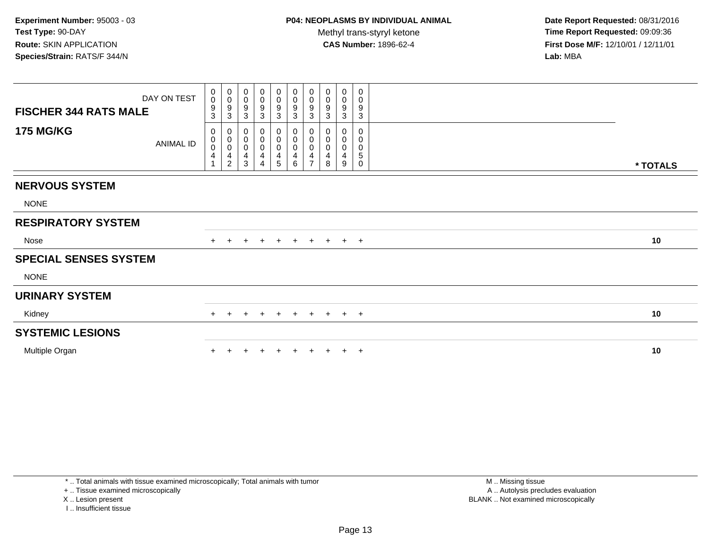**Date Report Requested:** 08/31/2016 **Time Report Requested:** 09:09:36 **First Dose M/F:** 12/10/01 / 12/11/01<br>**Lab:** MBA **Lab:** MBA

| DAY ON TEST<br><b>FISCHER 344 RATS MALE</b> | 0<br>$\mathsf{O}\xspace$<br>9<br>3           | $\begin{smallmatrix}0\0\0\9\end{smallmatrix}$<br>$\mathbf{3}$                       | $\pmb{0}$<br>$\pmb{0}$<br>$\boldsymbol{9}$<br>$\mathbf{3}$                                            | 0<br>0<br>9<br>3                   | $\boldsymbol{0}$<br>$\frac{0}{9}$<br>$\mathbf{3}$                                         | 0<br>$\frac{0}{9}$<br>$\mathfrak{S}$ | $\pmb{0}$<br>$\frac{0}{9}$<br>$\mathbf{3}$                                                             | 0<br>$\boldsymbol{0}$<br>$\boldsymbol{9}$<br>3 | 0<br>0<br>$\boldsymbol{9}$<br>$\mathbf{3}$ | 0<br>0<br>$\boldsymbol{9}$<br>$\mathbf{3}$         |          |  |
|---------------------------------------------|----------------------------------------------|-------------------------------------------------------------------------------------|-------------------------------------------------------------------------------------------------------|------------------------------------|-------------------------------------------------------------------------------------------|--------------------------------------|--------------------------------------------------------------------------------------------------------|------------------------------------------------|--------------------------------------------|----------------------------------------------------|----------|--|
| <b>175 MG/KG</b><br>ANIMAL ID               | $\mathbf 0$<br>0<br>$\mathsf{O}\xspace$<br>4 | $\begin{smallmatrix}0\0\0\0\end{smallmatrix}$<br>$\overline{4}$<br>$\boldsymbol{2}$ | $\begin{smallmatrix} 0\\0 \end{smallmatrix}$<br>$\mathbf 0$<br>$\overline{\mathbf{4}}$<br>$\mathsf 3$ | 0<br>0<br>0<br>4<br>$\overline{4}$ | $\begin{smallmatrix} 0\\0 \end{smallmatrix}$<br>$\pmb{0}$<br>$\overline{4}$<br>$\sqrt{5}$ | $_{\rm 0}^{\rm 0}$<br>0<br>4<br>6    | $\begin{smallmatrix} 0\\0 \end{smallmatrix}$<br>$\pmb{0}$<br>$\overline{\mathbf{4}}$<br>$\overline{7}$ | 0<br>$\mathbf 0$<br>$\pmb{0}$<br>4<br>8        | 0<br>0<br>$\mathsf 0$<br>4<br>9            | $\mathbf 0$<br>0<br>0<br>$\sqrt{5}$<br>$\mathbf 0$ | * TOTALS |  |
| <b>NERVOUS SYSTEM</b>                       |                                              |                                                                                     |                                                                                                       |                                    |                                                                                           |                                      |                                                                                                        |                                                |                                            |                                                    |          |  |
| <b>NONE</b>                                 |                                              |                                                                                     |                                                                                                       |                                    |                                                                                           |                                      |                                                                                                        |                                                |                                            |                                                    |          |  |
| <b>RESPIRATORY SYSTEM</b>                   |                                              |                                                                                     |                                                                                                       |                                    |                                                                                           |                                      |                                                                                                        |                                                |                                            |                                                    |          |  |
| Nose                                        | $+$                                          | $+$                                                                                 | $+$                                                                                                   | $+$                                | $+$                                                                                       |                                      |                                                                                                        | + + + + +                                      |                                            |                                                    | 10       |  |
| <b>SPECIAL SENSES SYSTEM</b>                |                                              |                                                                                     |                                                                                                       |                                    |                                                                                           |                                      |                                                                                                        |                                                |                                            |                                                    |          |  |
| <b>NONE</b>                                 |                                              |                                                                                     |                                                                                                       |                                    |                                                                                           |                                      |                                                                                                        |                                                |                                            |                                                    |          |  |
| <b>URINARY SYSTEM</b>                       |                                              |                                                                                     |                                                                                                       |                                    |                                                                                           |                                      |                                                                                                        |                                                |                                            |                                                    |          |  |
| Kidney                                      | $+$                                          | $+$                                                                                 | $+$                                                                                                   | $+$                                | $+$                                                                                       |                                      |                                                                                                        | + + + + +                                      |                                            |                                                    | 10       |  |
| <b>SYSTEMIC LESIONS</b>                     |                                              |                                                                                     |                                                                                                       |                                    |                                                                                           |                                      |                                                                                                        |                                                |                                            |                                                    |          |  |
| Multiple Organ                              |                                              |                                                                                     |                                                                                                       |                                    |                                                                                           |                                      |                                                                                                        |                                                |                                            | $+$                                                | 10       |  |

\* .. Total animals with tissue examined microscopically; Total animals with tumor

+ .. Tissue examined microscopically

X .. Lesion present

I .. Insufficient tissue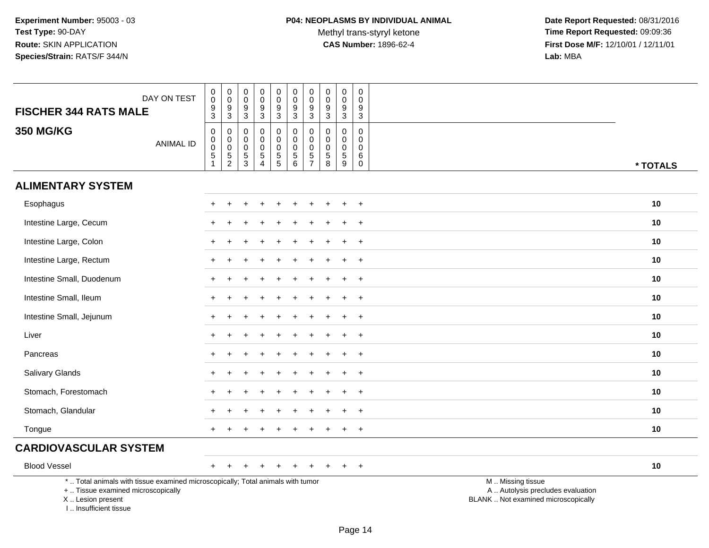Methyl trans-styryl ketone<br>CAS Number: 1896-62-4

| DAY ON TEST<br><b>FISCHER 344 RATS MALE</b>                                                                                                                         | $\begin{array}{c} 0 \\ 0 \\ 9 \\ 3 \end{array}$ | $\begin{array}{c} 0 \\ 0 \\ 9 \\ 3 \end{array}$        | $\mathbf 0$<br>$\pmb{0}$<br>9<br>$\overline{3}$  | $\pmb{0}$<br>$\mathbf 0$<br>9<br>$\overline{3}$         | $\pmb{0}$<br>$\mathbf 0$<br>$\boldsymbol{9}$<br>$\overline{3}$ | $\begin{smallmatrix}0\0\0\end{smallmatrix}$<br>$\boldsymbol{9}$<br>$\overline{3}$ | $\pmb{0}$<br>$\mathbf 0$<br>$\boldsymbol{9}$<br>$\overline{3}$ | $\mathbf 0$<br>$\pmb{0}$<br>$\boldsymbol{9}$<br>$\overline{3}$           | $\pmb{0}$<br>$\mathbf 0$<br>9<br>$\sqrt{3}$               | $\pmb{0}$<br>$\boldsymbol{0}$<br>9<br>$\overline{3}$  |                                                                                               |
|---------------------------------------------------------------------------------------------------------------------------------------------------------------------|-------------------------------------------------|--------------------------------------------------------|--------------------------------------------------|---------------------------------------------------------|----------------------------------------------------------------|-----------------------------------------------------------------------------------|----------------------------------------------------------------|--------------------------------------------------------------------------|-----------------------------------------------------------|-------------------------------------------------------|-----------------------------------------------------------------------------------------------|
| <b>350 MG/KG</b><br><b>ANIMAL ID</b>                                                                                                                                | $\,0\,$<br>$\pmb{0}$<br>$\frac{0}{5}$           | $\pmb{0}$<br>$\pmb{0}$<br>$\mathsf 0$<br>$\frac{5}{2}$ | 0<br>$\mathbf 0$<br>$\mathbf 0$<br>$\frac{5}{3}$ | $\mathbf 0$<br>$\Omega$<br>$\mathbf 0$<br>$\frac{5}{4}$ | 0<br>$\mathbf 0$<br>$\mathsf 0$<br>$\frac{5}{5}$               | 0<br>$\mathbf 0$<br>0<br>$\overline{5}$ 6                                         | $\mathbf 0$<br>$\pmb{0}$<br>$\pmb{0}$<br>$\frac{5}{7}$         | 0<br>$\mathbf 0$<br>$\mathbf 0$<br>$\begin{array}{c} 5 \\ 8 \end{array}$ | $\mathbf 0$<br>$\Omega$<br>$\mathbf 0$<br>$\sqrt{5}$<br>9 | 0<br>$\mathbf 0$<br>$\mathbf 0$<br>$\,6\,$<br>$\,0\,$ | * TOTALS                                                                                      |
| <b>ALIMENTARY SYSTEM</b>                                                                                                                                            |                                                 |                                                        |                                                  |                                                         |                                                                |                                                                                   |                                                                |                                                                          |                                                           |                                                       |                                                                                               |
| Esophagus                                                                                                                                                           |                                                 |                                                        |                                                  |                                                         |                                                                |                                                                                   |                                                                |                                                                          |                                                           | $\ddot{}$                                             | 10                                                                                            |
| Intestine Large, Cecum                                                                                                                                              |                                                 |                                                        |                                                  |                                                         |                                                                |                                                                                   |                                                                |                                                                          |                                                           | $\ddot{}$                                             | 10                                                                                            |
| Intestine Large, Colon                                                                                                                                              |                                                 |                                                        |                                                  |                                                         |                                                                |                                                                                   |                                                                |                                                                          |                                                           | $\overline{+}$                                        | 10                                                                                            |
| Intestine Large, Rectum                                                                                                                                             |                                                 |                                                        |                                                  |                                                         |                                                                |                                                                                   |                                                                |                                                                          |                                                           | $\overline{+}$                                        | 10                                                                                            |
| Intestine Small, Duodenum                                                                                                                                           |                                                 |                                                        |                                                  |                                                         |                                                                |                                                                                   |                                                                |                                                                          |                                                           | $\ddot{}$                                             | 10                                                                                            |
| Intestine Small, Ileum                                                                                                                                              |                                                 |                                                        |                                                  |                                                         |                                                                |                                                                                   |                                                                |                                                                          |                                                           | $\overline{+}$                                        | 10                                                                                            |
| Intestine Small, Jejunum                                                                                                                                            |                                                 |                                                        |                                                  |                                                         |                                                                |                                                                                   |                                                                |                                                                          |                                                           | $\overline{+}$                                        | 10                                                                                            |
| Liver                                                                                                                                                               |                                                 |                                                        |                                                  |                                                         |                                                                |                                                                                   |                                                                |                                                                          |                                                           | $\overline{+}$                                        | 10                                                                                            |
| Pancreas                                                                                                                                                            |                                                 |                                                        |                                                  |                                                         |                                                                |                                                                                   |                                                                |                                                                          |                                                           | $\overline{+}$                                        | 10                                                                                            |
| Salivary Glands                                                                                                                                                     | $+$                                             | $\overline{ }$                                         |                                                  |                                                         |                                                                |                                                                                   |                                                                |                                                                          | ÷                                                         | $+$                                                   | 10                                                                                            |
| Stomach, Forestomach                                                                                                                                                |                                                 |                                                        |                                                  |                                                         |                                                                |                                                                                   |                                                                |                                                                          |                                                           | $\overline{+}$                                        | 10                                                                                            |
| Stomach, Glandular                                                                                                                                                  |                                                 |                                                        |                                                  |                                                         |                                                                |                                                                                   |                                                                |                                                                          |                                                           | $\div$                                                | 10                                                                                            |
| Tongue                                                                                                                                                              |                                                 |                                                        |                                                  |                                                         |                                                                |                                                                                   |                                                                |                                                                          |                                                           | $\ddot{}$                                             | 10                                                                                            |
| <b>CARDIOVASCULAR SYSTEM</b>                                                                                                                                        |                                                 |                                                        |                                                  |                                                         |                                                                |                                                                                   |                                                                |                                                                          |                                                           |                                                       |                                                                                               |
| <b>Blood Vessel</b>                                                                                                                                                 | $+$                                             |                                                        |                                                  |                                                         | $\div$                                                         |                                                                                   |                                                                |                                                                          |                                                           | $+$                                                   | 10                                                                                            |
| *  Total animals with tissue examined microscopically; Total animals with tumor<br>+  Tissue examined microscopically<br>X  Lesion present<br>I Insufficient tissue |                                                 |                                                        |                                                  |                                                         |                                                                |                                                                                   |                                                                |                                                                          |                                                           |                                                       | M  Missing tissue<br>A  Autolysis precludes evaluation<br>BLANK  Not examined microscopically |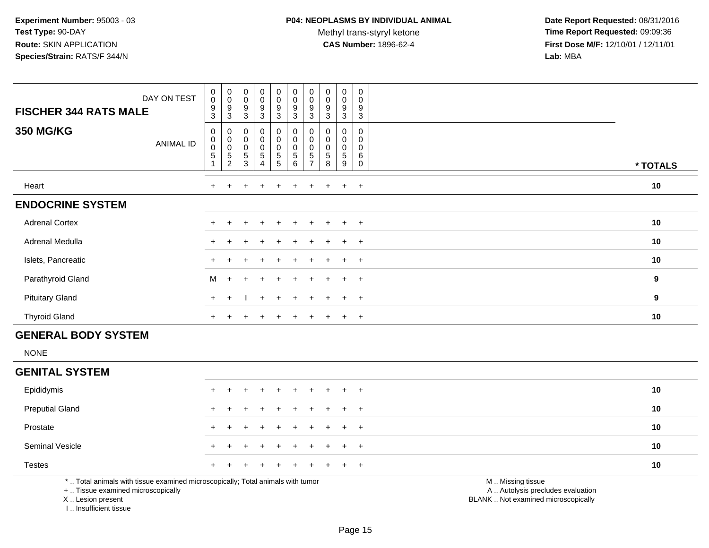Methyl trans-styryl ketone<br>CAS Number: 1896-62-4

 **Date Report Requested:** 08/31/2016 **Time Report Requested:** 09:09:36 **First Dose M/F:** 12/10/01 / 12/11/01<br>**Lab:** MBA **Lab:** MBA

| DAY ON TEST<br><b>FISCHER 344 RATS MALE</b> | $\pmb{0}$<br>$\mathbf 0$<br>9<br>$\sqrt{3}$ | $\begin{smallmatrix}0\0\0\9\end{smallmatrix}$<br>$\sqrt{3}$ | $_{\rm 0}^{\rm 0}$<br>9<br>3                            | $\begin{smallmatrix} 0\\0 \end{smallmatrix}$<br>9<br>3 | $\begin{smallmatrix} 0\\0 \end{smallmatrix}$<br>$\boldsymbol{9}$<br>$\mathbf{3}$ | $_{\rm 0}^{\rm 0}$<br>$\boldsymbol{9}$<br>$\ensuremath{\mathsf{3}}$              | $\begin{smallmatrix} 0\\0 \end{smallmatrix}$<br>$\boldsymbol{9}$<br>3 | $_{\rm 0}^{\rm 0}$<br>9<br>3 | 0<br>$\pmb{0}$<br>9<br>3        | $\pmb{0}$<br>$\mathbf 0$<br>9<br>$\mathbf{3}$ |                  |
|---------------------------------------------|---------------------------------------------|-------------------------------------------------------------|---------------------------------------------------------|--------------------------------------------------------|----------------------------------------------------------------------------------|----------------------------------------------------------------------------------|-----------------------------------------------------------------------|------------------------------|---------------------------------|-----------------------------------------------|------------------|
| <b>350 MG/KG</b><br><b>ANIMAL ID</b>        | 0<br>$\,0\,$<br>$\overline{0}$<br>5         | 0<br>$\begin{matrix}0\\0\\5\\2\end{matrix}$                 | 0<br>$\begin{smallmatrix}0\0\0\5\end{smallmatrix}$<br>3 | 0<br>0<br>0<br>5<br>4                                  | 0<br>0<br>0<br>$\frac{5}{5}$                                                     | $\boldsymbol{0}$<br>$\pmb{0}$<br>$\begin{smallmatrix}0\\5\end{smallmatrix}$<br>6 | 0<br>$\pmb{0}$<br>$\pmb{0}$<br>5<br>$\overline{ }$                    | 0<br>$\pmb{0}$<br>5<br>8     | 0<br>0<br>$\mathbf 0$<br>5<br>9 | 0<br>0<br>0<br>6<br>$\mathbf 0$               | * TOTALS         |
| Heart                                       | $^{+}$                                      | $\pm$                                                       | $\pm$                                                   | $\ddot{}$                                              | $+$                                                                              | $\ddot{}$                                                                        | $\pm$                                                                 | $+$                          | $+$                             | $+$                                           | 10               |
| <b>ENDOCRINE SYSTEM</b>                     |                                             |                                                             |                                                         |                                                        |                                                                                  |                                                                                  |                                                                       |                              |                                 |                                               |                  |
| <b>Adrenal Cortex</b>                       | $+$                                         | $\pm$                                                       | $\ddot{}$                                               | $\ddot{}$                                              | $+$                                                                              | $+$                                                                              | $+$                                                                   | $+$                          | $\ddot{}$                       | $+$                                           | 10               |
| Adrenal Medulla                             | $+$                                         |                                                             |                                                         | $\pm$                                                  | $+$                                                                              | $+$                                                                              | $+$                                                                   | $+$                          | $\pm$                           | $+$                                           | 10               |
| Islets, Pancreatic                          |                                             |                                                             |                                                         | $\div$                                                 | $+$                                                                              | $\div$                                                                           |                                                                       | $+$                          | $\ddot{}$                       | $+$                                           | 10               |
| Parathyroid Gland                           | M                                           | $+$                                                         | $+$                                                     | $\ddot{}$                                              | $+$                                                                              | $+$                                                                              | $+$                                                                   | $+$                          | $\ddot{}$                       | $+$                                           | $\boldsymbol{9}$ |
| <b>Pituitary Gland</b>                      | $+$                                         | $\div$                                                      |                                                         | $\ddot{}$                                              | $+$                                                                              | $+$                                                                              | $+$                                                                   | $\pm$                        | $\ddot{}$                       | $+$                                           | $\boldsymbol{9}$ |
| <b>Thyroid Gland</b>                        | $\ddot{}$                                   |                                                             |                                                         | +                                                      |                                                                                  | $\div$                                                                           |                                                                       |                              | $\div$                          | $+$                                           | 10               |

# **GENERAL BODY SYSTEM**

NONE

 $\sim$ 

#### **GENITAL SYSTEM**

| Epididymis             |  |  | + + + + + + + + + + |  |  | 10 |
|------------------------|--|--|---------------------|--|--|----|
| <b>Preputial Gland</b> |  |  | + + + + + + + + + + |  |  | 10 |
| Prostate               |  |  | + + + + + + + + + + |  |  | 10 |
| Seminal Vesicle        |  |  | + + + + + + + + + + |  |  | 10 |
| <b>Testes</b>          |  |  | + + + + + + + + + + |  |  | 10 |

\* .. Total animals with tissue examined microscopically; Total animals with tumor

+ .. Tissue examined microscopically

X .. Lesion present

I .. Insufficient tissue

M .. Missing tissue

y the contract of the contract of the contract of the contract of the contract of the contract of the contract of  $A$ . Autolysis precludes evaluation

Lesion present BLANK .. Not examined microscopically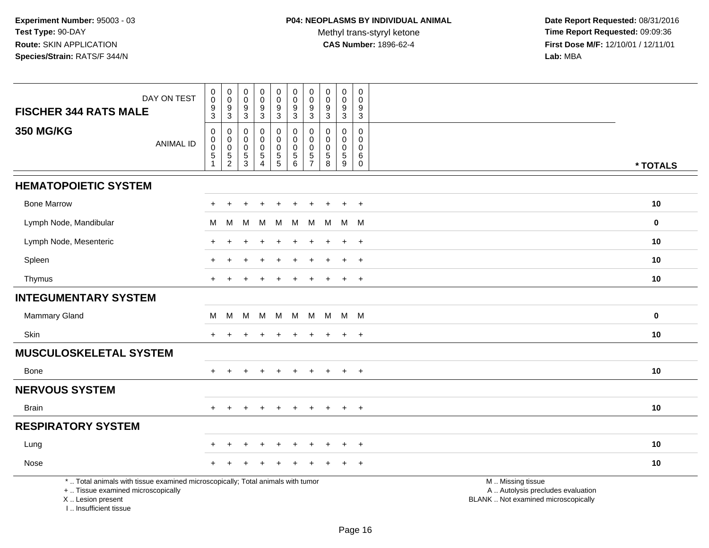| DAY ON TEST<br><b>FISCHER 344 RATS MALE</b>                                                                                                                         | $\pmb{0}$<br>$\pmb{0}$<br>$\frac{9}{3}$                               | $_{\rm 0}^{\rm 0}$<br>$\frac{9}{3}$                               | 0<br>0<br>9<br>3                       | $\pmb{0}$<br>$\mathbf 0$<br>$9\,$<br>$\mathbf{3}$                          | $\pmb{0}$<br>$\mathbf 0$<br>$\boldsymbol{9}$<br>$\mathbf{3}$ | $\pmb{0}$<br>$\mathbf 0$<br>$\boldsymbol{9}$<br>$\mathbf{3}$            | $\pmb{0}$<br>$\pmb{0}$<br>$\boldsymbol{9}$<br>$\sqrt{3}$      | $\mathsf 0$<br>$\mathbf 0$<br>$\boldsymbol{9}$<br>$\mathbf{3}$ | $\mathbf 0$<br>$\mathbf 0$<br>$\boldsymbol{9}$<br>$\mathbf{3}$ | $\mathbf 0$<br>$\mathbf 0$<br>9<br>$\mathbf{3}$                   |                                                                                               |
|---------------------------------------------------------------------------------------------------------------------------------------------------------------------|-----------------------------------------------------------------------|-------------------------------------------------------------------|----------------------------------------|----------------------------------------------------------------------------|--------------------------------------------------------------|-------------------------------------------------------------------------|---------------------------------------------------------------|----------------------------------------------------------------|----------------------------------------------------------------|-------------------------------------------------------------------|-----------------------------------------------------------------------------------------------|
| <b>350 MG/KG</b><br><b>ANIMAL ID</b>                                                                                                                                | $\pmb{0}$<br>$\pmb{0}$<br>$\pmb{0}$<br>$\overline{5}$<br>$\mathbf{1}$ | $\pmb{0}$<br>$\mathbf 0$<br>$\overline{0}$<br>5<br>$\overline{2}$ | $\Omega$<br>0<br>$\mathbf 0$<br>5<br>3 | $\mathbf 0$<br>$\mathbf 0$<br>$\mathbf 0$<br>$\,$ 5 $\,$<br>$\overline{4}$ | $\mathbf 0$<br>0<br>$\mathbf 0$<br>$\overline{5}$            | $\pmb{0}$<br>$\mathbf 0$<br>$\mathbf 0$<br>$\sqrt{5}$<br>$6\phantom{a}$ | $\mathbf 0$<br>$\pmb{0}$<br>$\boldsymbol{0}$<br>$\frac{5}{7}$ | $\mathbf{0}$<br>$\mathbf 0$<br>$\mathbf 0$<br>$\sqrt{5}$<br>8  | $\Omega$<br>$\mathbf 0$<br>$\mathbf 0$<br>$\,$ 5 $\,$<br>9     | $\mathbf 0$<br>0<br>$\mathbf 0$<br>$6\phantom{1}6$<br>$\mathbf 0$ | * TOTALS                                                                                      |
| <b>HEMATOPOIETIC SYSTEM</b>                                                                                                                                         |                                                                       |                                                                   |                                        |                                                                            |                                                              |                                                                         |                                                               |                                                                |                                                                |                                                                   |                                                                                               |
| <b>Bone Marrow</b>                                                                                                                                                  |                                                                       |                                                                   |                                        |                                                                            |                                                              |                                                                         |                                                               |                                                                |                                                                | $\overline{+}$                                                    | 10                                                                                            |
| Lymph Node, Mandibular                                                                                                                                              | M                                                                     | M                                                                 | M                                      | M                                                                          | M                                                            | M                                                                       | M                                                             | M                                                              |                                                                | M M                                                               | $\bf{0}$                                                                                      |
| Lymph Node, Mesenteric                                                                                                                                              | $+$                                                                   |                                                                   |                                        |                                                                            |                                                              | $\div$                                                                  |                                                               |                                                                | $\pm$                                                          | $+$                                                               | 10                                                                                            |
| Spleen                                                                                                                                                              | $+$                                                                   |                                                                   |                                        |                                                                            | ÷                                                            | $\ddot{}$                                                               | $\ddot{}$                                                     | $\pm$                                                          | $\ddot{}$                                                      | $+$                                                               | 10                                                                                            |
| Thymus                                                                                                                                                              |                                                                       |                                                                   |                                        |                                                                            |                                                              |                                                                         |                                                               |                                                                |                                                                | $+$                                                               | 10                                                                                            |
| <b>INTEGUMENTARY SYSTEM</b>                                                                                                                                         |                                                                       |                                                                   |                                        |                                                                            |                                                              |                                                                         |                                                               |                                                                |                                                                |                                                                   |                                                                                               |
| Mammary Gland                                                                                                                                                       | M                                                                     | M                                                                 | M                                      |                                                                            | M M                                                          |                                                                         |                                                               | M M M M M                                                      |                                                                |                                                                   | $\pmb{0}$                                                                                     |
| Skin                                                                                                                                                                | $+$                                                                   | $\ddot{}$                                                         |                                        |                                                                            | $\div$                                                       | $\ddot{}$                                                               | $\ddot{}$                                                     | $\pm$                                                          | $\ddot{}$                                                      | $+$                                                               | 10                                                                                            |
| <b>MUSCULOSKELETAL SYSTEM</b>                                                                                                                                       |                                                                       |                                                                   |                                        |                                                                            |                                                              |                                                                         |                                                               |                                                                |                                                                |                                                                   |                                                                                               |
| Bone                                                                                                                                                                | $+$                                                                   |                                                                   |                                        |                                                                            | $\ddot{}$                                                    | $\ddot{}$                                                               | $\ddot{}$                                                     | $\pm$                                                          | $\ddot{}$                                                      | $^{+}$                                                            | 10                                                                                            |
| <b>NERVOUS SYSTEM</b>                                                                                                                                               |                                                                       |                                                                   |                                        |                                                                            |                                                              |                                                                         |                                                               |                                                                |                                                                |                                                                   |                                                                                               |
| <b>Brain</b>                                                                                                                                                        | $+$                                                                   | $+$                                                               | $+$                                    | $+$                                                                        | $+$                                                          | $+$                                                                     | $+$                                                           | $+$                                                            |                                                                | $+$ $+$                                                           | 10                                                                                            |
| <b>RESPIRATORY SYSTEM</b>                                                                                                                                           |                                                                       |                                                                   |                                        |                                                                            |                                                              |                                                                         |                                                               |                                                                |                                                                |                                                                   |                                                                                               |
| Lung                                                                                                                                                                |                                                                       |                                                                   |                                        |                                                                            |                                                              |                                                                         |                                                               |                                                                |                                                                | $\ddot{}$                                                         | 10                                                                                            |
| Nose                                                                                                                                                                |                                                                       |                                                                   |                                        |                                                                            |                                                              |                                                                         |                                                               |                                                                |                                                                | $\ddot{}$                                                         | 10                                                                                            |
| *  Total animals with tissue examined microscopically; Total animals with tumor<br>+  Tissue examined microscopically<br>X  Lesion present<br>I Insufficient tissue |                                                                       |                                                                   |                                        |                                                                            |                                                              |                                                                         |                                                               |                                                                |                                                                |                                                                   | M  Missing tissue<br>A  Autolysis precludes evaluation<br>BLANK  Not examined microscopically |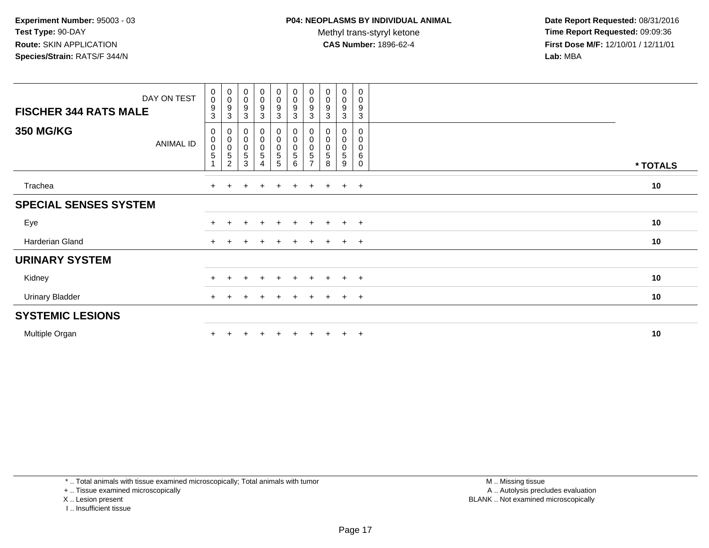Methyl trans-styryl ketone<br>CAS Number: 1896-62-4

 **Date Report Requested:** 08/31/2016 **Time Report Requested:** 09:09:36 **First Dose M/F:** 12/10/01 / 12/11/01<br>**Lab:** MBA **Lab:** MBA

| DAY ON TEST<br><b>FISCHER 344 RATS MALE</b> | $\begin{smallmatrix} 0\\0 \end{smallmatrix}$<br>9<br>3 | $_{\rm 0}^{\rm 0}$<br>9<br>3                         | $_{0}^{0}$<br>9<br>3                  | $\begin{smallmatrix}0\0\0\end{smallmatrix}$<br>$\boldsymbol{9}$<br>3 | $\begin{smallmatrix}0\0\0\9\end{smallmatrix}$<br>$\mathbf{3}$ | $\begin{smallmatrix}0\\0\\9\end{smallmatrix}$<br>$\mathbf{3}$ | $_{\rm 0}^{\rm 0}$<br>9<br>3  | $\begin{smallmatrix}0\\0\end{smallmatrix}$<br>9<br>3 | $_0^0$<br>9<br>3      | $\boldsymbol{0}$<br>$\mathsf{O}\xspace$<br>9<br>$\mathbf{3}$ |          |
|---------------------------------------------|--------------------------------------------------------|------------------------------------------------------|---------------------------------------|----------------------------------------------------------------------|---------------------------------------------------------------|---------------------------------------------------------------|-------------------------------|------------------------------------------------------|-----------------------|--------------------------------------------------------------|----------|
| <b>350 MG/KG</b><br><b>ANIMAL ID</b>        | 0<br>$\begin{smallmatrix} 0\\0 \end{smallmatrix}$<br>5 | 0<br>$\mathsf 0$<br>$\pmb{0}$<br>5<br>$\overline{c}$ | 0<br>$\pmb{0}$<br>$\pmb{0}$<br>5<br>3 | $\begin{matrix} 0 \\ 0 \\ 0 \end{matrix}$<br>5<br>4                  | $\begin{matrix} 0 \\ 0 \\ 0 \end{matrix}$<br>$\frac{5}{5}$    | $\pmb{0}$<br>$\pmb{0}$<br>$\pmb{0}$<br>$\sqrt{5}$<br>$\,6\,$  | 0<br>0<br>5<br>$\overline{ }$ | 0<br>0<br>$\mathbf 5$<br>8                           | 0<br>0<br>0<br>5<br>9 | 0<br>0<br>0<br>6<br>0                                        | * TOTALS |
| Trachea                                     | $+$                                                    | $+$                                                  | $\pm$                                 | $\ddot{}$                                                            | $+$                                                           | $+$                                                           | $+$                           | $+$                                                  | $+$                   | $+$                                                          | 10       |
| <b>SPECIAL SENSES SYSTEM</b>                |                                                        |                                                      |                                       |                                                                      |                                                               |                                                               |                               |                                                      |                       |                                                              |          |
| Eye                                         |                                                        |                                                      |                                       | $\ddot{}$                                                            | $+$                                                           | $+$                                                           | $\pm$                         | $+$                                                  | $+$ $+$               |                                                              | 10       |
| Harderian Gland                             | $+$                                                    |                                                      |                                       |                                                                      | $\pm$                                                         |                                                               | $\ddot{}$                     | $\pm$                                                | $+$                   | $+$                                                          | 10       |
| <b>URINARY SYSTEM</b>                       |                                                        |                                                      |                                       |                                                                      |                                                               |                                                               |                               |                                                      |                       |                                                              |          |
| Kidney                                      | $+$                                                    |                                                      | $\pm$                                 | $\ddot{}$                                                            | $+$                                                           | $+$                                                           | $+$                           | $+$                                                  | $+$ $+$               |                                                              | 10       |
| <b>Urinary Bladder</b>                      | $+$                                                    |                                                      |                                       |                                                                      | $+$                                                           |                                                               | ÷                             | $+$                                                  | $\ddot{}$             | $+$                                                          | 10       |
| <b>SYSTEMIC LESIONS</b>                     |                                                        |                                                      |                                       |                                                                      |                                                               |                                                               |                               |                                                      |                       |                                                              |          |
| Multiple Organ                              |                                                        |                                                      |                                       |                                                                      | $\pm$                                                         |                                                               |                               |                                                      | $\ddot{}$             | $+$                                                          | 10       |

\* .. Total animals with tissue examined microscopically; Total animals with tumor

+ .. Tissue examined microscopically

X .. Lesion present

I .. Insufficient tissue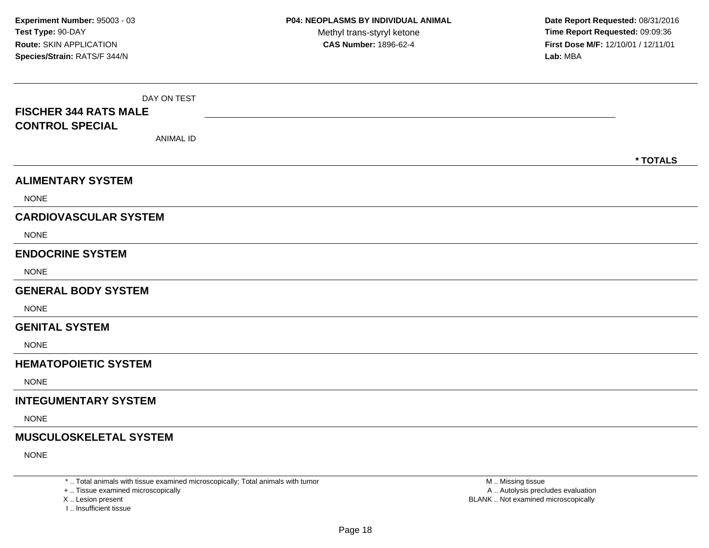| DAY ON TEST<br><b>FISCHER 344 RATS MALE</b><br><b>CONTROL SPECIAL</b><br><b>ANIMAL ID</b> |          |
|-------------------------------------------------------------------------------------------|----------|
|                                                                                           | * TOTALS |
| <b>ALIMENTARY SYSTEM</b>                                                                  |          |
| <b>NONE</b>                                                                               |          |
| <b>CARDIOVASCULAR SYSTEM</b>                                                              |          |
| <b>NONE</b>                                                                               |          |
| <b>ENDOCRINE SYSTEM</b>                                                                   |          |
| <b>NONE</b>                                                                               |          |
| <b>GENERAL BODY SYSTEM</b>                                                                |          |
| <b>NONE</b>                                                                               |          |
| <b>GENITAL SYSTEM</b>                                                                     |          |
| <b>NONE</b>                                                                               |          |
| <b>HEMATOPOIETIC SYSTEM</b>                                                               |          |
| <b>NONE</b>                                                                               |          |
| <b>INTEGUMENTARY SYSTEM</b>                                                               |          |
| <b>NONE</b>                                                                               |          |
| <b>MUSCULOSKELETAL SYSTEM</b>                                                             |          |
| <b>NONE</b>                                                                               |          |

\* .. Total animals with tissue examined microscopically; Total animals with tumor

+ .. Tissue examined microscopically

X .. Lesion present

I .. Insufficient tissue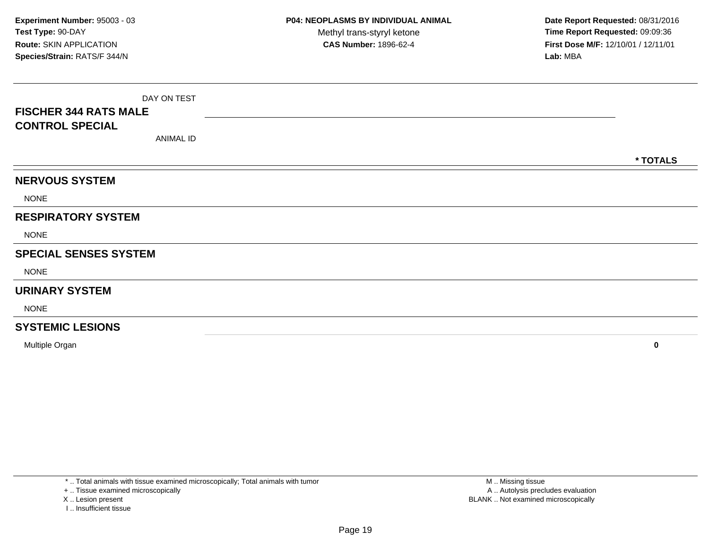| DAY ON TEST<br><b>FISCHER 344 RATS MALE</b> |          |
|---------------------------------------------|----------|
| <b>CONTROL SPECIAL</b>                      |          |
| ANIMAL ID                                   |          |
|                                             | * TOTALS |
| <b>NERVOUS SYSTEM</b>                       |          |
| <b>NONE</b>                                 |          |
| <b>RESPIRATORY SYSTEM</b>                   |          |
| <b>NONE</b>                                 |          |
| <b>SPECIAL SENSES SYSTEM</b>                |          |
| <b>NONE</b>                                 |          |
| <b>URINARY SYSTEM</b>                       |          |
| <b>NONE</b>                                 |          |
| <b>SYSTEMIC LESIONS</b>                     |          |

Multiple Organ**<sup>0</sup>**

\* .. Total animals with tissue examined microscopically; Total animals with tumor

+ .. Tissue examined microscopically

X .. Lesion present

I .. Insufficient tissue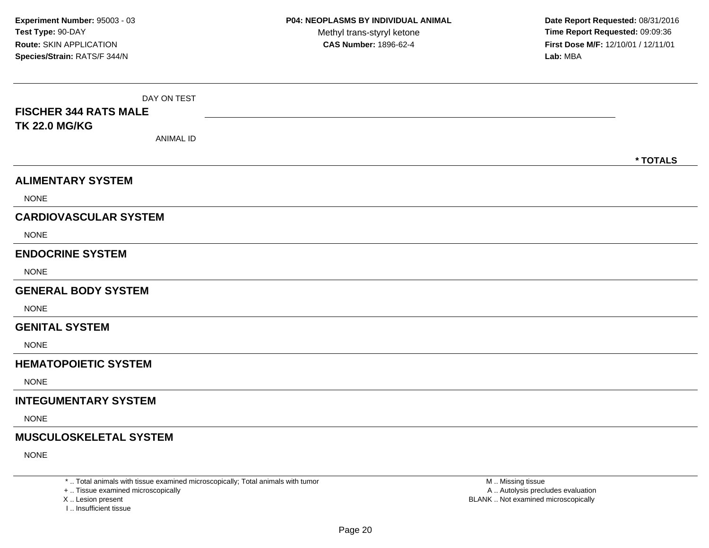| DAY ON TEST<br><b>FISCHER 344 RATS MALE</b> |          |
|---------------------------------------------|----------|
| <b>TK 22.0 MG/KG</b><br><b>ANIMAL ID</b>    |          |
|                                             |          |
|                                             | * TOTALS |
| <b>ALIMENTARY SYSTEM</b>                    |          |
| <b>NONE</b>                                 |          |
| <b>CARDIOVASCULAR SYSTEM</b>                |          |
| <b>NONE</b>                                 |          |
| <b>ENDOCRINE SYSTEM</b>                     |          |
| <b>NONE</b>                                 |          |
| <b>GENERAL BODY SYSTEM</b>                  |          |
| <b>NONE</b>                                 |          |
| <b>GENITAL SYSTEM</b>                       |          |
| <b>NONE</b>                                 |          |
| <b>HEMATOPOIETIC SYSTEM</b>                 |          |
| <b>NONE</b>                                 |          |
| <b>INTEGUMENTARY SYSTEM</b>                 |          |
| <b>NONE</b>                                 |          |
| <b>MUSCULOSKELETAL SYSTEM</b>               |          |
| <b>NONE</b>                                 |          |

\* .. Total animals with tissue examined microscopically; Total animals with tumor

+ .. Tissue examined microscopically

X .. Lesion present

I .. Insufficient tissue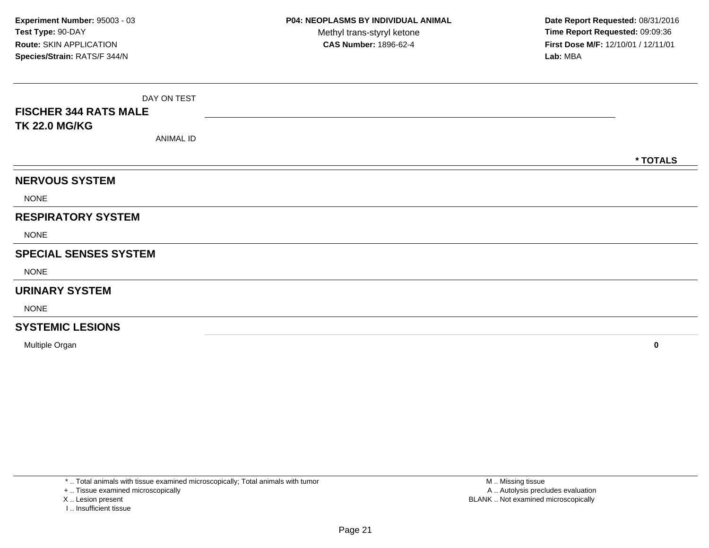| <b>FISCHER 344 RATS MALE</b> | DAY ON TEST      |  |  |          |
|------------------------------|------------------|--|--|----------|
| <b>TK 22.0 MG/KG</b>         | <b>ANIMAL ID</b> |  |  |          |
|                              |                  |  |  | * TOTALS |
| <b>NERVOUS SYSTEM</b>        |                  |  |  |          |
| <b>NONE</b>                  |                  |  |  |          |
| <b>RESPIRATORY SYSTEM</b>    |                  |  |  |          |
| <b>NONE</b>                  |                  |  |  |          |
| <b>SPECIAL SENSES SYSTEM</b> |                  |  |  |          |
| <b>NONE</b>                  |                  |  |  |          |
| <b>URINARY SYSTEM</b>        |                  |  |  |          |
| <b>NONE</b>                  |                  |  |  |          |
| <b>SYSTEMIC LESIONS</b>      |                  |  |  |          |

Multiple Organ**<sup>0</sup>**

\* .. Total animals with tissue examined microscopically; Total animals with tumor

+ .. Tissue examined microscopically

X .. Lesion present

I .. Insufficient tissue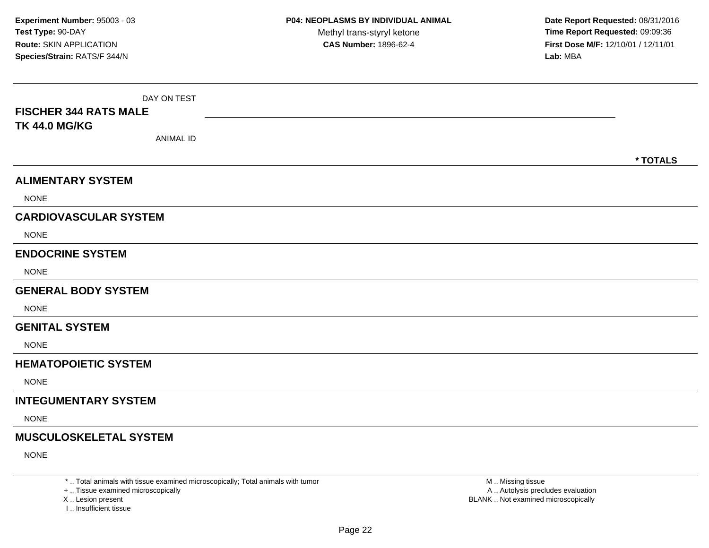| DAY ON TEST<br><b>FISCHER 344 RATS MALE</b> |          |  |
|---------------------------------------------|----------|--|
| <b>TK 44.0 MG/KG</b><br><b>ANIMAL ID</b>    |          |  |
|                                             | * TOTALS |  |
| <b>ALIMENTARY SYSTEM</b>                    |          |  |
| <b>NONE</b>                                 |          |  |
| <b>CARDIOVASCULAR SYSTEM</b>                |          |  |
| <b>NONE</b>                                 |          |  |
| <b>ENDOCRINE SYSTEM</b>                     |          |  |
| <b>NONE</b>                                 |          |  |
| <b>GENERAL BODY SYSTEM</b>                  |          |  |
| <b>NONE</b>                                 |          |  |
| <b>GENITAL SYSTEM</b>                       |          |  |
| <b>NONE</b>                                 |          |  |
| <b>HEMATOPOIETIC SYSTEM</b>                 |          |  |
| <b>NONE</b>                                 |          |  |
| <b>INTEGUMENTARY SYSTEM</b>                 |          |  |
| <b>NONE</b>                                 |          |  |
| <b>MUSCULOSKELETAL SYSTEM</b>               |          |  |
| <b>NONE</b>                                 |          |  |

\* .. Total animals with tissue examined microscopically; Total animals with tumor

+ .. Tissue examined microscopically

X .. Lesion present

I .. Insufficient tissue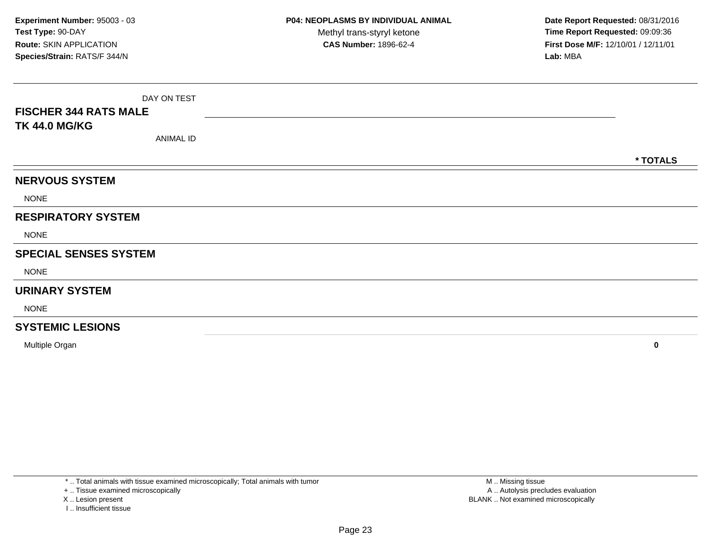| <b>FISCHER 344 RATS MALE</b> | DAY ON TEST      |  |          |
|------------------------------|------------------|--|----------|
| <b>TK 44.0 MG/KG</b>         | <b>ANIMAL ID</b> |  |          |
|                              |                  |  | * TOTALS |
| <b>NERVOUS SYSTEM</b>        |                  |  |          |
| <b>NONE</b>                  |                  |  |          |
| <b>RESPIRATORY SYSTEM</b>    |                  |  |          |
| <b>NONE</b>                  |                  |  |          |
| <b>SPECIAL SENSES SYSTEM</b> |                  |  |          |
| <b>NONE</b>                  |                  |  |          |
| <b>URINARY SYSTEM</b>        |                  |  |          |
| <b>NONE</b>                  |                  |  |          |
| <b>SYSTEMIC LESIONS</b>      |                  |  |          |

Multiple Organ**<sup>0</sup>**

\* .. Total animals with tissue examined microscopically; Total animals with tumor

+ .. Tissue examined microscopically

X .. Lesion present

I .. Insufficient tissue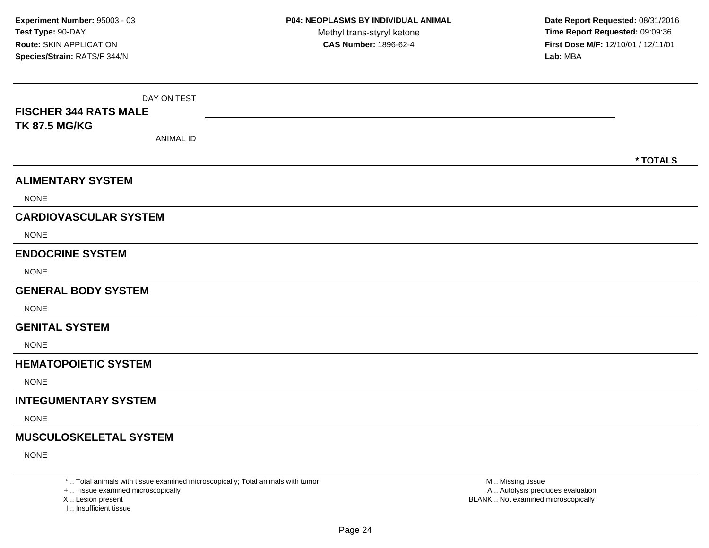| DAY ON TEST<br><b>FISCHER 344 RATS MALE</b> |          |
|---------------------------------------------|----------|
| <b>TK 87.5 MG/KG</b>                        |          |
| <b>ANIMAL ID</b>                            |          |
|                                             | * TOTALS |
| <b>ALIMENTARY SYSTEM</b>                    |          |
| <b>NONE</b>                                 |          |
| <b>CARDIOVASCULAR SYSTEM</b>                |          |
| <b>NONE</b>                                 |          |
| <b>ENDOCRINE SYSTEM</b>                     |          |
| <b>NONE</b>                                 |          |
| <b>GENERAL BODY SYSTEM</b>                  |          |
| <b>NONE</b>                                 |          |
| <b>GENITAL SYSTEM</b>                       |          |
| <b>NONE</b>                                 |          |
| <b>HEMATOPOIETIC SYSTEM</b>                 |          |
| <b>NONE</b>                                 |          |
| <b>INTEGUMENTARY SYSTEM</b>                 |          |
| <b>NONE</b>                                 |          |
| <b>MUSCULOSKELETAL SYSTEM</b>               |          |
| <b>NONE</b>                                 |          |

\* .. Total animals with tissue examined microscopically; Total animals with tumor

+ .. Tissue examined microscopically

X .. Lesion present

I .. Insufficient tissue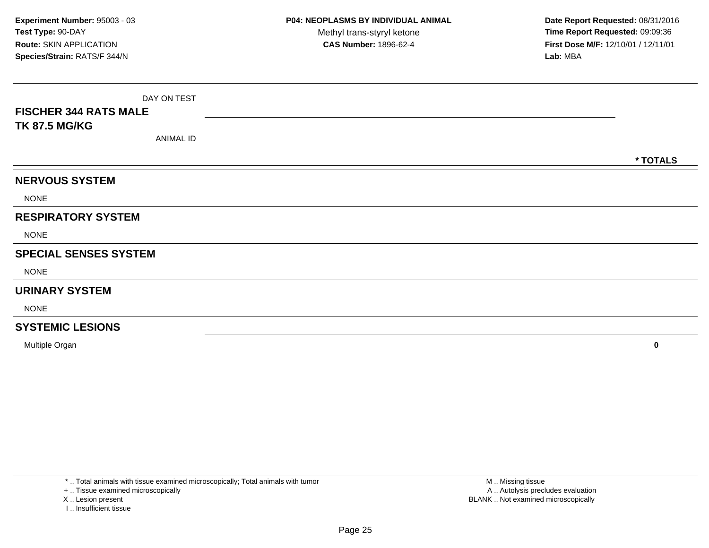| <b>FISCHER 344 RATS MALE</b> | DAY ON TEST      |  |  |          |
|------------------------------|------------------|--|--|----------|
| <b>TK 87.5 MG/KG</b>         | <b>ANIMAL ID</b> |  |  |          |
|                              |                  |  |  | * TOTALS |
| <b>NERVOUS SYSTEM</b>        |                  |  |  |          |
| <b>NONE</b>                  |                  |  |  |          |
| <b>RESPIRATORY SYSTEM</b>    |                  |  |  |          |
| <b>NONE</b>                  |                  |  |  |          |
| <b>SPECIAL SENSES SYSTEM</b> |                  |  |  |          |
| <b>NONE</b>                  |                  |  |  |          |
| <b>URINARY SYSTEM</b>        |                  |  |  |          |
| <b>NONE</b>                  |                  |  |  |          |
| <b>SYSTEMIC LESIONS</b>      |                  |  |  |          |

Multiple Organ**<sup>0</sup>**

\* .. Total animals with tissue examined microscopically; Total animals with tumor

+ .. Tissue examined microscopically

X .. Lesion present

I .. Insufficient tissue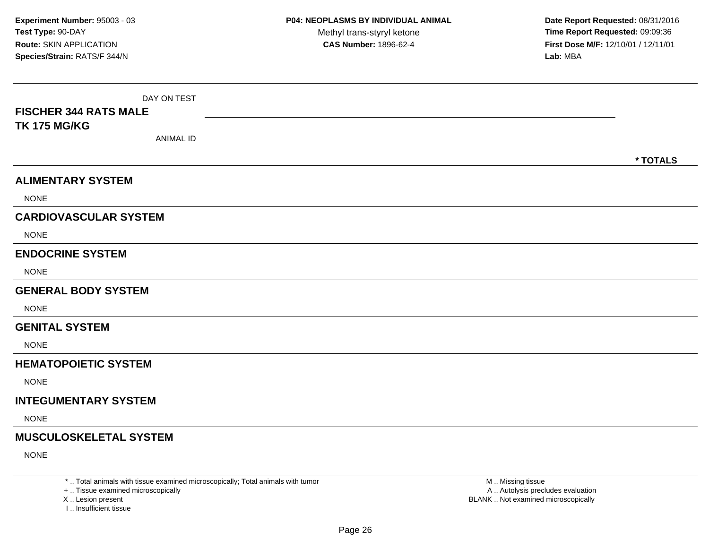| DAY ON TEST<br><b>FISCHER 344 RATS MALE</b><br><b>TK 175 MG/KG</b><br><b>ANIMAL ID</b> |          |
|----------------------------------------------------------------------------------------|----------|
|                                                                                        |          |
|                                                                                        | * TOTALS |
| <b>ALIMENTARY SYSTEM</b>                                                               |          |
| <b>NONE</b>                                                                            |          |
| <b>CARDIOVASCULAR SYSTEM</b>                                                           |          |
| <b>NONE</b>                                                                            |          |
| <b>ENDOCRINE SYSTEM</b>                                                                |          |
| <b>NONE</b>                                                                            |          |
| <b>GENERAL BODY SYSTEM</b>                                                             |          |
| <b>NONE</b>                                                                            |          |
| <b>GENITAL SYSTEM</b>                                                                  |          |
| <b>NONE</b>                                                                            |          |
| <b>HEMATOPOIETIC SYSTEM</b>                                                            |          |
| <b>NONE</b>                                                                            |          |
| <b>INTEGUMENTARY SYSTEM</b>                                                            |          |
| <b>NONE</b>                                                                            |          |
| <b>MUSCULOSKELETAL SYSTEM</b>                                                          |          |
| <b>NONE</b>                                                                            |          |

\* .. Total animals with tissue examined microscopically; Total animals with tumor

+ .. Tissue examined microscopically

X .. Lesion present

I .. Insufficient tissue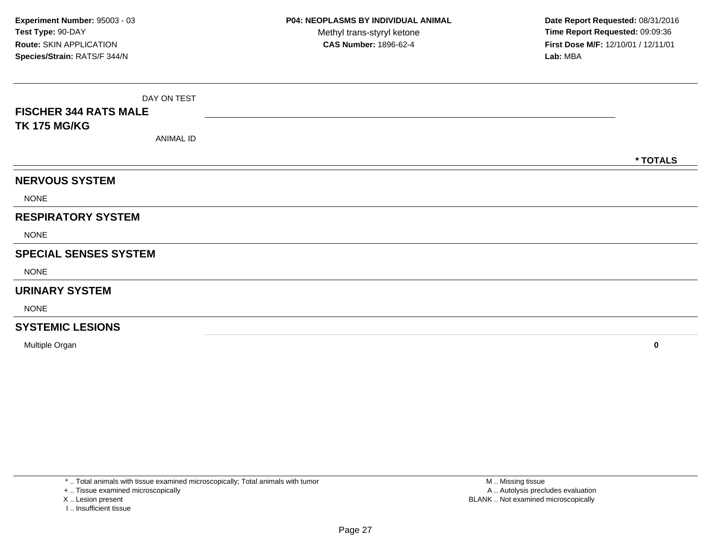| <b>FISCHER 344 RATS MALE</b> | DAY ON TEST      |  |          |
|------------------------------|------------------|--|----------|
| <b>TK 175 MG/KG</b>          | <b>ANIMAL ID</b> |  |          |
|                              |                  |  | * TOTALS |
| <b>NERVOUS SYSTEM</b>        |                  |  |          |
| <b>NONE</b>                  |                  |  |          |
| <b>RESPIRATORY SYSTEM</b>    |                  |  |          |
| <b>NONE</b>                  |                  |  |          |
| <b>SPECIAL SENSES SYSTEM</b> |                  |  |          |
| <b>NONE</b>                  |                  |  |          |
| <b>URINARY SYSTEM</b>        |                  |  |          |
| <b>NONE</b>                  |                  |  |          |
| <b>SYSTEMIC LESIONS</b>      |                  |  |          |

Multiple Organ**<sup>0</sup>**

\* .. Total animals with tissue examined microscopically; Total animals with tumor

+ .. Tissue examined microscopically

X .. Lesion present

I .. Insufficient tissue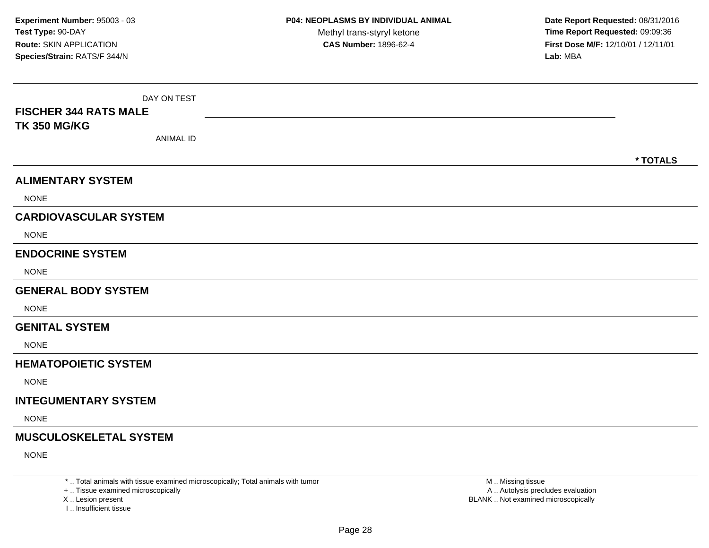| DAY ON TEST<br><b>FISCHER 344 RATS MALE</b><br><b>TK 350 MG/KG</b> |          |
|--------------------------------------------------------------------|----------|
| <b>ANIMAL ID</b>                                                   |          |
|                                                                    | * TOTALS |
| <b>ALIMENTARY SYSTEM</b>                                           |          |
| <b>NONE</b>                                                        |          |
| <b>CARDIOVASCULAR SYSTEM</b>                                       |          |
| <b>NONE</b>                                                        |          |
| <b>ENDOCRINE SYSTEM</b>                                            |          |
| <b>NONE</b>                                                        |          |
| <b>GENERAL BODY SYSTEM</b>                                         |          |
| <b>NONE</b>                                                        |          |
| <b>GENITAL SYSTEM</b>                                              |          |
| <b>NONE</b>                                                        |          |
| <b>HEMATOPOIETIC SYSTEM</b>                                        |          |
| <b>NONE</b>                                                        |          |
| <b>INTEGUMENTARY SYSTEM</b>                                        |          |
| <b>NONE</b>                                                        |          |
| <b>MUSCULOSKELETAL SYSTEM</b>                                      |          |
| <b>NONE</b>                                                        |          |

\* .. Total animals with tissue examined microscopically; Total animals with tumor

+ .. Tissue examined microscopically

X .. Lesion present

I .. Insufficient tissue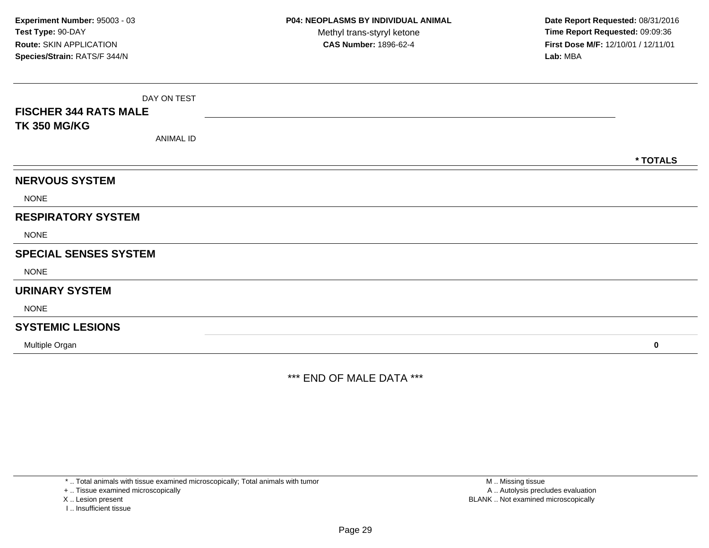| <b>FISCHER 344 RATS MALE</b><br><b>TK 350 MG/KG</b> | DAY ON TEST |          |
|-----------------------------------------------------|-------------|----------|
|                                                     | ANIMAL ID   |          |
|                                                     |             | * TOTALS |
| <b>NERVOUS SYSTEM</b>                               |             |          |
| <b>NONE</b>                                         |             |          |
| <b>RESPIRATORY SYSTEM</b>                           |             |          |
| <b>NONE</b>                                         |             |          |
| <b>SPECIAL SENSES SYSTEM</b>                        |             |          |
| <b>NONE</b>                                         |             |          |
| <b>URINARY SYSTEM</b>                               |             |          |
| <b>NONE</b>                                         |             |          |
| <b>SYSTEMIC LESIONS</b>                             |             |          |
| Multiple Organ                                      |             | 0        |

\*\*\* END OF MALE DATA \*\*\*

\* .. Total animals with tissue examined microscopically; Total animals with tumor

+ .. Tissue examined microscopically

X .. Lesion present

I .. Insufficient tissue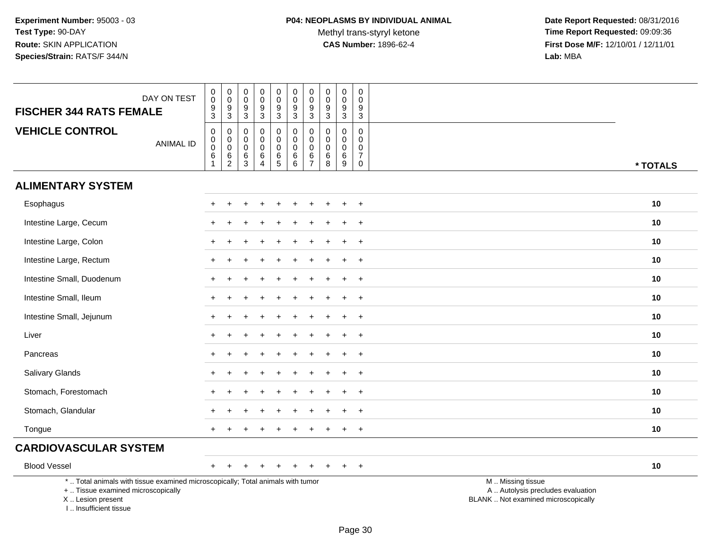| DAY ON TEST<br><b>FISCHER 344 RATS FEMALE</b>                                                                                                                       | $\pmb{0}$<br>$\mathbf 0$<br>$\frac{9}{3}$      | 0<br>$\overline{0}$<br>$\frac{9}{3}$                                   | $\pmb{0}$<br>$\overline{0}$<br>9<br>$\mathbf{3}$          | 0<br>$\mathbf 0$<br>9<br>3                             | $_{\rm 0}^{\rm 0}$<br>$\frac{9}{3}$                                    | 0<br>$\pmb{0}$<br>$\boldsymbol{9}$<br>3     | $\pmb{0}$<br>$\ddot{\mathbf{0}}$<br>$\boldsymbol{9}$<br>$\mathbf{3}$ | 0<br>$\mathsf{O}\xspace$<br>9<br>$\mathbf{3}$             | $_{\rm 0}^{\rm 0}$<br>$\frac{9}{3}$                               | $\pmb{0}$<br>$\Omega$<br>9<br>$\mathbf{3}$                       |                                                                                               |  |
|---------------------------------------------------------------------------------------------------------------------------------------------------------------------|------------------------------------------------|------------------------------------------------------------------------|-----------------------------------------------------------|--------------------------------------------------------|------------------------------------------------------------------------|---------------------------------------------|----------------------------------------------------------------------|-----------------------------------------------------------|-------------------------------------------------------------------|------------------------------------------------------------------|-----------------------------------------------------------------------------------------------|--|
| <b>VEHICLE CONTROL</b><br><b>ANIMAL ID</b>                                                                                                                          | 0<br>0<br>$\pmb{0}$<br>$\,6$<br>$\overline{1}$ | $\mathbf 0$<br>$\overline{0}$<br>0<br>$6\phantom{a}$<br>$\overline{2}$ | $\mathbf 0$<br>$\mathbf 0$<br>$\mathbf 0$<br>$\,6\,$<br>3 | $\mathbf 0$<br>$\mathbf 0$<br>0<br>6<br>$\overline{4}$ | $\pmb{0}$<br>$\mathsf{O}\xspace$<br>$\mathbf 0$<br>$6\phantom{a}$<br>5 | 0<br>$\mathbf 0$<br>0<br>$\,6\,$<br>$\,6\,$ | $\pmb{0}$<br>$\mathbf 0$<br>$\mathbf 0$<br>6<br>$\overline{7}$       | $\mathbf 0$<br>$\mathbf 0$<br>$\mathbf 0$<br>$\,6\,$<br>8 | $\mathbf 0$<br>$\mathbf 0$<br>$\mathbf 0$<br>$6\overline{6}$<br>9 | $\mathbf 0$<br>0<br>$\mathbf 0$<br>$\overline{7}$<br>$\mathbf 0$ | * TOTALS                                                                                      |  |
| <b>ALIMENTARY SYSTEM</b>                                                                                                                                            |                                                |                                                                        |                                                           |                                                        |                                                                        |                                             |                                                                      |                                                           |                                                                   |                                                                  |                                                                                               |  |
| Esophagus                                                                                                                                                           | $\div$                                         | $\ddot{}$                                                              | $\div$                                                    | +                                                      |                                                                        | $\div$                                      |                                                                      |                                                           |                                                                   | $^{+}$                                                           | 10                                                                                            |  |
| Intestine Large, Cecum                                                                                                                                              |                                                |                                                                        |                                                           |                                                        |                                                                        |                                             |                                                                      |                                                           |                                                                   | $\overline{1}$                                                   | 10                                                                                            |  |
| Intestine Large, Colon                                                                                                                                              |                                                |                                                                        |                                                           |                                                        |                                                                        |                                             |                                                                      |                                                           |                                                                   | $\overline{1}$                                                   | 10                                                                                            |  |
| Intestine Large, Rectum                                                                                                                                             | $\ddot{}$                                      | $\div$                                                                 | $\div$                                                    |                                                        |                                                                        |                                             |                                                                      |                                                           |                                                                   | $+$                                                              | 10                                                                                            |  |
| Intestine Small, Duodenum                                                                                                                                           | $\ddot{}$                                      |                                                                        |                                                           |                                                        |                                                                        |                                             |                                                                      |                                                           |                                                                   | $\ddot{}$                                                        | 10                                                                                            |  |
| Intestine Small, Ileum                                                                                                                                              |                                                |                                                                        |                                                           |                                                        |                                                                        |                                             |                                                                      |                                                           |                                                                   | $\overline{ }$                                                   | 10                                                                                            |  |
| Intestine Small, Jejunum                                                                                                                                            |                                                |                                                                        |                                                           |                                                        |                                                                        |                                             |                                                                      |                                                           |                                                                   | $\overline{1}$                                                   | 10                                                                                            |  |
| Liver                                                                                                                                                               |                                                |                                                                        |                                                           |                                                        |                                                                        |                                             |                                                                      |                                                           |                                                                   | $+$                                                              | 10                                                                                            |  |
| Pancreas                                                                                                                                                            |                                                |                                                                        |                                                           |                                                        |                                                                        |                                             |                                                                      |                                                           |                                                                   | $\overline{1}$                                                   | 10                                                                                            |  |
| Salivary Glands                                                                                                                                                     |                                                |                                                                        |                                                           |                                                        |                                                                        |                                             |                                                                      |                                                           |                                                                   | $\overline{1}$                                                   | 10                                                                                            |  |
| Stomach, Forestomach                                                                                                                                                | ÷                                              |                                                                        |                                                           |                                                        |                                                                        |                                             |                                                                      |                                                           |                                                                   | $+$                                                              | 10                                                                                            |  |
| Stomach, Glandular                                                                                                                                                  |                                                |                                                                        |                                                           |                                                        |                                                                        |                                             |                                                                      |                                                           |                                                                   | $\ddot{}$                                                        | 10                                                                                            |  |
| Tongue                                                                                                                                                              |                                                |                                                                        |                                                           |                                                        |                                                                        |                                             |                                                                      |                                                           |                                                                   | $\overline{1}$                                                   | 10                                                                                            |  |
| <b>CARDIOVASCULAR SYSTEM</b>                                                                                                                                        |                                                |                                                                        |                                                           |                                                        |                                                                        |                                             |                                                                      |                                                           |                                                                   |                                                                  |                                                                                               |  |
| <b>Blood Vessel</b>                                                                                                                                                 | $\div$                                         |                                                                        |                                                           |                                                        |                                                                        |                                             |                                                                      |                                                           |                                                                   | $^{+}$                                                           | 10                                                                                            |  |
| *  Total animals with tissue examined microscopically; Total animals with tumor<br>+  Tissue examined microscopically<br>X  Lesion present<br>I Insufficient tissue |                                                |                                                                        |                                                           |                                                        |                                                                        |                                             |                                                                      |                                                           |                                                                   |                                                                  | M  Missing tissue<br>A  Autolysis precludes evaluation<br>BLANK  Not examined microscopically |  |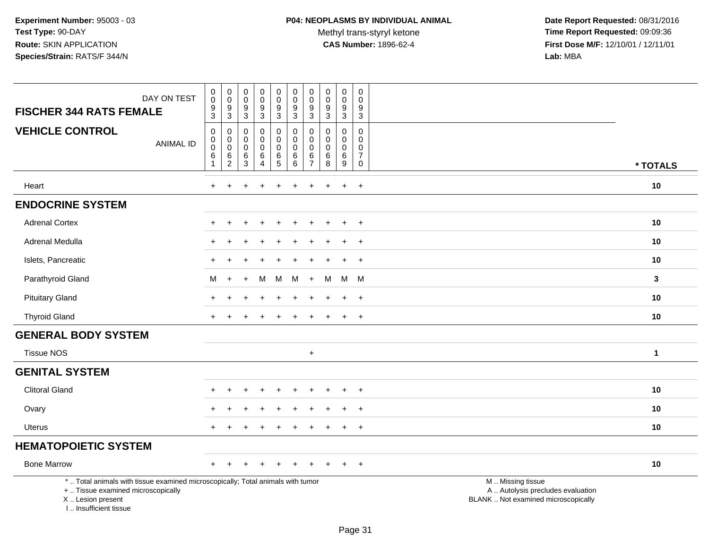| DAY ON TEST<br><b>FISCHER 344 RATS FEMALE</b>                                                                                                                         | $\mathbf 0$<br>$\pmb{0}$<br>$\boldsymbol{9}$<br>3                  | $\mathbf 0$<br>$\overline{0}$<br>9<br>3              | $_{\rm 0}^{\rm 0}$<br>$\boldsymbol{9}$<br>$\sqrt{3}$               | $\pmb{0}$<br>$\overline{0}$<br>$\frac{9}{3}$         | $\mathbf 0$<br>$\mathbf 0$<br>$\boldsymbol{9}$<br>$\mathsf 3$      | $\mathbf 0$<br>$\mathsf 0$<br>9<br>3                    | 0<br>0<br>9<br>3                             | $\mathbf 0$<br>$\overline{0}$<br>$\boldsymbol{9}$<br>$\mathfrak{Z}$ | $\pmb{0}$<br>$\overline{0}$<br>9<br>3                  | $\mathbf 0$<br>$\mathbf 0$<br>9<br>$\mathbf{3}$                      |                                                                                               |
|-----------------------------------------------------------------------------------------------------------------------------------------------------------------------|--------------------------------------------------------------------|------------------------------------------------------|--------------------------------------------------------------------|------------------------------------------------------|--------------------------------------------------------------------|---------------------------------------------------------|----------------------------------------------|---------------------------------------------------------------------|--------------------------------------------------------|----------------------------------------------------------------------|-----------------------------------------------------------------------------------------------|
| <b>VEHICLE CONTROL</b><br><b>ANIMAL ID</b>                                                                                                                            | $\mathbf 0$<br>$\mathbf 0$<br>$\mathsf 0$<br>$\,6$<br>$\mathbf{1}$ | 0<br>$\mathbf 0$<br>$\pmb{0}$<br>6<br>$\overline{c}$ | $\mathbf 0$<br>$\mathbf 0$<br>$\pmb{0}$<br>$\,6\,$<br>$\mathbf{3}$ | $\mathbf 0$<br>0<br>$\pmb{0}$<br>6<br>$\overline{4}$ | $\mathbf 0$<br>$\mathbf 0$<br>$\mathbf 0$<br>$\,6\,$<br>$\sqrt{5}$ | $\pmb{0}$<br>$\mathsf 0$<br>$\mathbf 0$<br>$\,6\,$<br>6 | 0<br>0<br>$\mathbf 0$<br>6<br>$\overline{7}$ | $\mathbf 0$<br>$\mathbf 0$<br>$\mathsf{O}\xspace$<br>$\,6\,$<br>8   | $\mathbf 0$<br>0<br>$\mathbf 0$<br>$\overline{6}$<br>9 | $\Omega$<br>$\mathbf 0$<br>$\Omega$<br>$\overline{7}$<br>$\mathbf 0$ | * TOTALS                                                                                      |
| Heart                                                                                                                                                                 | $\ddot{}$                                                          | $\ddot{}$                                            |                                                                    | $\ddot{}$                                            | $\ddot{}$                                                          | $\ddot{}$                                               | $\ddot{}$                                    | $\ddot{}$                                                           | $+$                                                    | $+$                                                                  | 10                                                                                            |
| <b>ENDOCRINE SYSTEM</b>                                                                                                                                               |                                                                    |                                                      |                                                                    |                                                      |                                                                    |                                                         |                                              |                                                                     |                                                        |                                                                      |                                                                                               |
| <b>Adrenal Cortex</b>                                                                                                                                                 |                                                                    |                                                      |                                                                    |                                                      |                                                                    |                                                         |                                              |                                                                     |                                                        | $\ddot{}$                                                            | 10                                                                                            |
| Adrenal Medulla                                                                                                                                                       |                                                                    |                                                      |                                                                    |                                                      |                                                                    |                                                         |                                              |                                                                     |                                                        | $\overline{1}$                                                       | 10                                                                                            |
| Islets, Pancreatic                                                                                                                                                    | $\ddot{}$                                                          | $\div$                                               |                                                                    |                                                      |                                                                    |                                                         |                                              |                                                                     | $\overline{+}$                                         | $+$                                                                  | 10                                                                                            |
| Parathyroid Gland                                                                                                                                                     | м                                                                  | $+$                                                  |                                                                    | M                                                    | M                                                                  | M                                                       | $+$                                          | M                                                                   | M M                                                    |                                                                      | 3                                                                                             |
| <b>Pituitary Gland</b>                                                                                                                                                |                                                                    |                                                      |                                                                    |                                                      |                                                                    |                                                         |                                              |                                                                     |                                                        | $\ddot{}$                                                            | 10                                                                                            |
| <b>Thyroid Gland</b>                                                                                                                                                  | $+$                                                                |                                                      |                                                                    |                                                      |                                                                    |                                                         |                                              |                                                                     | $+$                                                    | $+$                                                                  | 10                                                                                            |
| <b>GENERAL BODY SYSTEM</b>                                                                                                                                            |                                                                    |                                                      |                                                                    |                                                      |                                                                    |                                                         |                                              |                                                                     |                                                        |                                                                      |                                                                                               |
| <b>Tissue NOS</b>                                                                                                                                                     |                                                                    |                                                      |                                                                    |                                                      |                                                                    |                                                         | $\ddot{}$                                    |                                                                     |                                                        |                                                                      | 1                                                                                             |
| <b>GENITAL SYSTEM</b>                                                                                                                                                 |                                                                    |                                                      |                                                                    |                                                      |                                                                    |                                                         |                                              |                                                                     |                                                        |                                                                      |                                                                                               |
| <b>Clitoral Gland</b>                                                                                                                                                 |                                                                    |                                                      |                                                                    |                                                      |                                                                    |                                                         |                                              |                                                                     |                                                        | $\overline{1}$                                                       | 10                                                                                            |
| Ovary                                                                                                                                                                 |                                                                    |                                                      |                                                                    |                                                      |                                                                    |                                                         |                                              |                                                                     | $\ddot{}$                                              | $+$                                                                  | 10                                                                                            |
| Uterus                                                                                                                                                                |                                                                    |                                                      |                                                                    |                                                      |                                                                    |                                                         |                                              |                                                                     | $\ddot{}$                                              | $+$                                                                  | 10                                                                                            |
| <b>HEMATOPOIETIC SYSTEM</b>                                                                                                                                           |                                                                    |                                                      |                                                                    |                                                      |                                                                    |                                                         |                                              |                                                                     |                                                        |                                                                      |                                                                                               |
| <b>Bone Marrow</b>                                                                                                                                                    |                                                                    |                                                      |                                                                    |                                                      |                                                                    |                                                         |                                              |                                                                     |                                                        | $+$                                                                  | 10                                                                                            |
| *  Total animals with tissue examined microscopically; Total animals with tumor<br>+  Tissue examined microscopically<br>X  Lesion present<br>I., Insufficient tissue |                                                                    |                                                      |                                                                    |                                                      |                                                                    |                                                         |                                              |                                                                     |                                                        |                                                                      | M  Missing tissue<br>A  Autolysis precludes evaluation<br>BLANK  Not examined microscopically |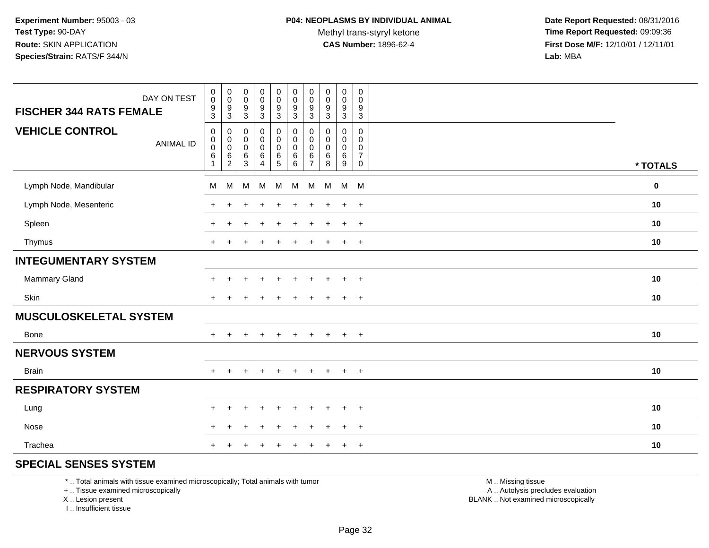Methyl trans-styryl ketone<br>CAS Number: 1896-62-4

 **Date Report Requested:** 08/31/2016 **Time Report Requested:** 09:09:36 **First Dose M/F:** 12/10/01 / 12/11/01<br>**Lab:** MBA **Lab:** MBA

| DAY ON TEST<br><b>FISCHER 344 RATS FEMALE</b> | $_{\rm 0}^{\rm 0}$<br>$\frac{9}{3}$                                | $\begin{smallmatrix} 0\\0 \end{smallmatrix}$<br>$\frac{9}{3}$ | $_{\rm 0}^{\rm 0}$<br>$\boldsymbol{9}$<br>$\mathbf{3}$    | $\pmb{0}$<br>$\mathsf{O}\xspace$<br>$\boldsymbol{9}$<br>$\mathfrak{S}$ | $\pmb{0}$<br>$\mathsf{O}\xspace$<br>9<br>$\mathbf{3}$           | $\pmb{0}$<br>$\pmb{0}$<br>$\boldsymbol{9}$<br>$\mathbf{3}$ | $\pmb{0}$<br>$\pmb{0}$<br>9<br>$\mathfrak{Z}$ | $\pmb{0}$<br>$\pmb{0}$<br>$\boldsymbol{9}$<br>$\mathbf{3}$ | $\pmb{0}$<br>$\pmb{0}$<br>$\boldsymbol{9}$<br>$\mathbf{3}$     | $\pmb{0}$<br>$\mathbf 0$<br>9<br>$\sqrt{3}$                      |             |
|-----------------------------------------------|--------------------------------------------------------------------|---------------------------------------------------------------|-----------------------------------------------------------|------------------------------------------------------------------------|-----------------------------------------------------------------|------------------------------------------------------------|-----------------------------------------------|------------------------------------------------------------|----------------------------------------------------------------|------------------------------------------------------------------|-------------|
| <b>VEHICLE CONTROL</b><br><b>ANIMAL ID</b>    | $\mathbf 0$<br>$\mathbf 0$<br>$\mathsf 0$<br>$\,6$<br>$\mathbf{1}$ | 0<br>$\mathbf 0$<br>$\mathbf 0$<br>$\frac{6}{2}$              | $\pmb{0}$<br>$\mathbf 0$<br>$\mathsf{O}\xspace$<br>6<br>3 | $\pmb{0}$<br>$\mathbf 0$<br>$\mathbf 0$<br>$\,6$<br>$\overline{4}$     | $\pmb{0}$<br>$\mathbf 0$<br>$\mathbf 0$<br>6<br>$5\phantom{.0}$ | 0<br>$\mathbf 0$<br>$\mathbf 0$<br>6<br>$6\phantom{a}$     | 0<br>0<br>0<br>6<br>$\overline{7}$            | $\mathbf 0$<br>$\mathbf 0$<br>$\pmb{0}$<br>$\,6\,$<br>8    | 0<br>$\mathbf 0$<br>$\mathbf 0$<br>$\,6\,$<br>$\boldsymbol{9}$ | $\mathbf 0$<br>$\mathbf 0$<br>$\mathbf 0$<br>$\overline{7}$<br>0 | * TOTALS    |
| Lymph Node, Mandibular                        | M                                                                  | M                                                             | M                                                         | M                                                                      | M                                                               | M                                                          | M                                             | M                                                          | M M                                                            |                                                                  | $\mathbf 0$ |
| Lymph Node, Mesenteric                        | $\ddot{}$                                                          |                                                               |                                                           |                                                                        |                                                                 | ٠                                                          | ÷                                             |                                                            | $+$                                                            | $+$                                                              | 10          |
| Spleen                                        | $+$                                                                | ÷                                                             |                                                           | $\ddot{}$                                                              | ÷                                                               | $\ddot{}$                                                  | $\pm$                                         | $\ddot{}$                                                  | $\ddot{}$                                                      | $+$                                                              | 10          |
| Thymus                                        | $+$                                                                |                                                               |                                                           |                                                                        |                                                                 | ÷.                                                         |                                               |                                                            | $\ddot{}$                                                      | $+$                                                              | 10          |
| <b>INTEGUMENTARY SYSTEM</b>                   |                                                                    |                                                               |                                                           |                                                                        |                                                                 |                                                            |                                               |                                                            |                                                                |                                                                  |             |
| <b>Mammary Gland</b>                          | $+$                                                                |                                                               |                                                           |                                                                        |                                                                 |                                                            |                                               |                                                            | $\ddot{}$                                                      | $+$                                                              | 10          |
| Skin                                          | $+$                                                                |                                                               |                                                           |                                                                        |                                                                 |                                                            |                                               |                                                            | $\ddot{}$                                                      | $\overline{+}$                                                   | 10          |
| <b>MUSCULOSKELETAL SYSTEM</b>                 |                                                                    |                                                               |                                                           |                                                                        |                                                                 |                                                            |                                               |                                                            |                                                                |                                                                  |             |
| Bone                                          | $+$                                                                | $+$                                                           | $\pm$                                                     | $+$                                                                    | $\ddot{}$                                                       | $+$                                                        | $+$                                           | $+$                                                        | $+$                                                            | $+$                                                              | 10          |
| <b>NERVOUS SYSTEM</b>                         |                                                                    |                                                               |                                                           |                                                                        |                                                                 |                                                            |                                               |                                                            |                                                                |                                                                  |             |
| <b>Brain</b>                                  | $+$                                                                |                                                               |                                                           | $\ddot{}$                                                              |                                                                 | $\ddot{}$                                                  | $\pm$                                         | $\div$                                                     | $\ddot{}$                                                      | $+$                                                              | 10          |
| <b>RESPIRATORY SYSTEM</b>                     |                                                                    |                                                               |                                                           |                                                                        |                                                                 |                                                            |                                               |                                                            |                                                                |                                                                  |             |
| Lung                                          | $+$                                                                | ÷                                                             |                                                           |                                                                        |                                                                 |                                                            |                                               |                                                            | $\ddot{}$                                                      | $+$                                                              | 10          |
| Nose                                          | $\pm$                                                              |                                                               |                                                           |                                                                        |                                                                 |                                                            |                                               |                                                            | $\ddot{}$                                                      | $\overline{+}$                                                   | 10          |
| Trachea                                       | $\pm$                                                              |                                                               |                                                           |                                                                        |                                                                 |                                                            |                                               |                                                            | $\ddot{}$                                                      | $\overline{+}$                                                   | 10          |

### **SPECIAL SENSES SYSTEM**

\* .. Total animals with tissue examined microscopically; Total animals with tumor

+ .. Tissue examined microscopically

X .. Lesion present

I .. Insufficient tissue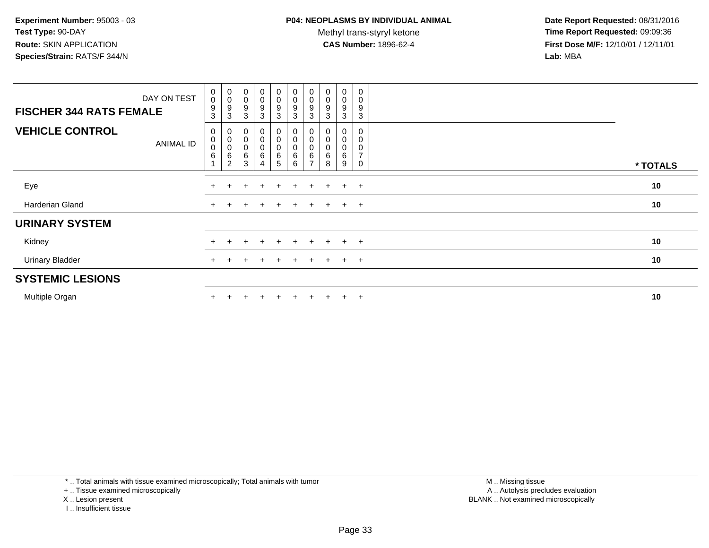Methyl trans-styryl ketone<br>CAS Number: 1896-62-4

 **Date Report Requested:** 08/31/2016 **Time Report Requested:** 09:09:36 **First Dose M/F:** 12/10/01 / 12/11/01<br>**Lab:** MBA **Lab:** MBA

| <b>FISCHER 344 RATS FEMALE</b> | DAY ON TEST      | 0<br>$\bar{0}$<br>9<br>3       | $\pmb{0}$<br>$\pmb{0}$<br>9<br>3                       | $\begin{smallmatrix}0\\0\end{smallmatrix}$<br>9<br>3                | $_{\rm 0}^{\rm 0}$<br>$\overline{9}$<br>$\mathbf{3}$                   | 0<br>$_{9}^{\rm 0}$<br>3           | $\begin{smallmatrix}0\\0\\9\end{smallmatrix}$<br>$\mathbf{3}$ | $_{\rm 0}^{\rm 0}$<br>9<br>3           | $\begin{smallmatrix}0\\0\end{smallmatrix}$<br>$\boldsymbol{9}$<br>3 | $\begin{smallmatrix}0\0\0\end{smallmatrix}$<br>$\boldsymbol{9}$<br>3 | 0<br>0<br>9<br>3                   |          |
|--------------------------------|------------------|--------------------------------|--------------------------------------------------------|---------------------------------------------------------------------|------------------------------------------------------------------------|------------------------------------|---------------------------------------------------------------|----------------------------------------|---------------------------------------------------------------------|----------------------------------------------------------------------|------------------------------------|----------|
| <b>VEHICLE CONTROL</b>         | <b>ANIMAL ID</b> | 0<br>$\pmb{0}$<br>0<br>$\,6\,$ | 0<br>$\mathsf 0$<br>$\mathbf 0$<br>6<br>$\overline{2}$ | $\begin{smallmatrix}0\\0\end{smallmatrix}$<br>$\mathbf 0$<br>6<br>3 | $\begin{smallmatrix}0\0\0\end{smallmatrix}$<br>$\pmb{0}$<br>$\,6$<br>4 | 0<br>0<br>0<br>$6\phantom{.}$<br>5 | $\begin{matrix} 0 \\ 0 \\ 0 \\ 6 \end{matrix}$<br>6           | $_{\rm 0}^{\rm 0}$<br>$\mathsf 0$<br>6 | $\mathbf 0$<br>$\mathbf 0$<br>6<br>8                                | 0<br>$\mathbf 0$<br>0<br>6<br>9                                      | 0<br>0<br>0<br>$\overline{ }$<br>0 | * TOTALS |
| Eye                            |                  |                                |                                                        |                                                                     | $\ddot{}$                                                              | $\pm$                              | $+$                                                           | $\pm$                                  | $+$                                                                 | $+$                                                                  | $+$                                | 10       |
| Harderian Gland                |                  |                                |                                                        |                                                                     |                                                                        | $\pm$                              | $\pm$                                                         | $+$                                    | $+$                                                                 | $+$ $+$                                                              |                                    | 10       |
| <b>URINARY SYSTEM</b>          |                  |                                |                                                        |                                                                     |                                                                        |                                    |                                                               |                                        |                                                                     |                                                                      |                                    |          |
| Kidney                         |                  |                                |                                                        |                                                                     |                                                                        | $+$                                | $\div$                                                        |                                        |                                                                     | $+$                                                                  | $+$                                | 10       |
| <b>Urinary Bladder</b>         |                  | $+$                            |                                                        | $\pm$                                                               | $\pm$                                                                  | $+$                                | $+$                                                           | $\pm$                                  | $+$                                                                 | $+$ $+$                                                              |                                    | 10       |
| <b>SYSTEMIC LESIONS</b>        |                  |                                |                                                        |                                                                     |                                                                        |                                    |                                                               |                                        |                                                                     |                                                                      |                                    |          |
| Multiple Organ                 |                  |                                |                                                        |                                                                     | $\div$                                                                 | $\pm$                              | $\div$                                                        |                                        |                                                                     | $+$                                                                  | $+$                                | 10       |

\* .. Total animals with tissue examined microscopically; Total animals with tumor

+ .. Tissue examined microscopically

- X .. Lesion present
- I .. Insufficient tissue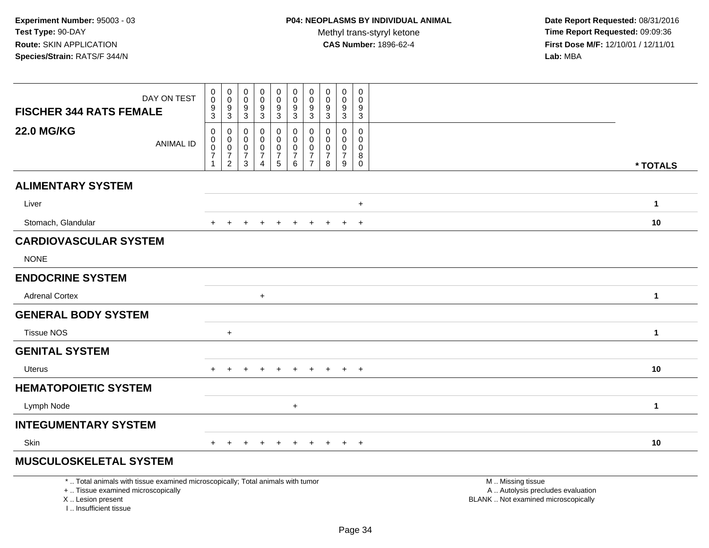| DAY ON TEST<br><b>FISCHER 344 RATS FEMALE</b>                                                                                                                         | $\mathbf 0$<br>$\pmb{0}$<br>$\boldsymbol{9}$                                                 | $\mathsf 0$<br>$\mathbf 0$<br>9                                                                | $\pmb{0}$<br>$\mathbf 0$<br>$\boldsymbol{9}$                                     | $\mathsf{O}\xspace$<br>$\mathsf{O}\xspace$<br>$9\,$          | $\mathbf 0$<br>$\mathbf 0$<br>$\boldsymbol{9}$                      | $\pmb{0}$<br>$\mathbf 0$<br>$\boldsymbol{9}$                      | $\mathbf 0$<br>$\mathbf 0$<br>$9\,$                                                 | $\mathbf 0$<br>$\ddot{\mathbf{0}}$<br>$\boldsymbol{9}$<br>3      | $\pmb{0}$<br>$\mathbf 0$<br>$\boldsymbol{9}$                | $\mathsf 0$<br>$\Omega$<br>9<br>3                             |                                                                                               |                      |
|-----------------------------------------------------------------------------------------------------------------------------------------------------------------------|----------------------------------------------------------------------------------------------|------------------------------------------------------------------------------------------------|----------------------------------------------------------------------------------|--------------------------------------------------------------|---------------------------------------------------------------------|-------------------------------------------------------------------|-------------------------------------------------------------------------------------|------------------------------------------------------------------|-------------------------------------------------------------|---------------------------------------------------------------|-----------------------------------------------------------------------------------------------|----------------------|
| <b>22.0 MG/KG</b><br><b>ANIMAL ID</b>                                                                                                                                 | $\sqrt{3}$<br>$\pmb{0}$<br>$\boldsymbol{0}$<br>$\mathbf 0$<br>$\overline{7}$<br>$\mathbf{1}$ | $\ensuremath{\mathsf{3}}$<br>0<br>$\mathbf 0$<br>$\pmb{0}$<br>$\overline{7}$<br>$\overline{2}$ | $\mathbf{3}$<br>$\mathbf 0$<br>$\mathbf 0$<br>$\mathbf 0$<br>$\overline{7}$<br>3 | 3<br>$\mathsf{O}$<br>0<br>$\mathbf 0$<br>$\overline{7}$<br>4 | 3<br>0<br>$\mathbf 0$<br>$\mathsf{O}\xspace$<br>$\overline{7}$<br>5 | 3<br>$\mathbf 0$<br>$\pmb{0}$<br>$\pmb{0}$<br>$\overline{7}$<br>6 | 3<br>$\mathbf 0$<br>$\mathbf{0}$<br>$\mathbf 0$<br>$\overline{7}$<br>$\overline{7}$ | $\mathbf 0$<br>$\mathbf 0$<br>$\mathbf 0$<br>$\overline{7}$<br>8 | 3<br>0<br>$\mathbf 0$<br>$\mathbf 0$<br>$\overline{7}$<br>9 | $\mathbf 0$<br>$\mathbf 0$<br>$\mathbf 0$<br>8<br>$\mathbf 0$ |                                                                                               | * TOTALS             |
| <b>ALIMENTARY SYSTEM</b>                                                                                                                                              |                                                                                              |                                                                                                |                                                                                  |                                                              |                                                                     |                                                                   |                                                                                     |                                                                  |                                                             |                                                               |                                                                                               |                      |
| Liver                                                                                                                                                                 |                                                                                              |                                                                                                |                                                                                  |                                                              |                                                                     |                                                                   |                                                                                     |                                                                  |                                                             | $\ddot{}$                                                     |                                                                                               | $\mathbf{1}$         |
| Stomach, Glandular                                                                                                                                                    |                                                                                              |                                                                                                |                                                                                  |                                                              |                                                                     | $\div$                                                            | $\pm$                                                                               |                                                                  | $+$                                                         | $+$                                                           |                                                                                               | 10                   |
| <b>CARDIOVASCULAR SYSTEM</b>                                                                                                                                          |                                                                                              |                                                                                                |                                                                                  |                                                              |                                                                     |                                                                   |                                                                                     |                                                                  |                                                             |                                                               |                                                                                               |                      |
| <b>NONE</b>                                                                                                                                                           |                                                                                              |                                                                                                |                                                                                  |                                                              |                                                                     |                                                                   |                                                                                     |                                                                  |                                                             |                                                               |                                                                                               |                      |
| <b>ENDOCRINE SYSTEM</b>                                                                                                                                               |                                                                                              |                                                                                                |                                                                                  |                                                              |                                                                     |                                                                   |                                                                                     |                                                                  |                                                             |                                                               |                                                                                               |                      |
| <b>Adrenal Cortex</b>                                                                                                                                                 |                                                                                              |                                                                                                |                                                                                  | $\ddot{}$                                                    |                                                                     |                                                                   |                                                                                     |                                                                  |                                                             |                                                               |                                                                                               | $\blacktriangleleft$ |
| <b>GENERAL BODY SYSTEM</b>                                                                                                                                            |                                                                                              |                                                                                                |                                                                                  |                                                              |                                                                     |                                                                   |                                                                                     |                                                                  |                                                             |                                                               |                                                                                               |                      |
| <b>Tissue NOS</b>                                                                                                                                                     |                                                                                              | $\ddot{}$                                                                                      |                                                                                  |                                                              |                                                                     |                                                                   |                                                                                     |                                                                  |                                                             |                                                               |                                                                                               | $\mathbf{1}$         |
| <b>GENITAL SYSTEM</b>                                                                                                                                                 |                                                                                              |                                                                                                |                                                                                  |                                                              |                                                                     |                                                                   |                                                                                     |                                                                  |                                                             |                                                               |                                                                                               |                      |
| Uterus                                                                                                                                                                |                                                                                              |                                                                                                |                                                                                  |                                                              |                                                                     |                                                                   |                                                                                     |                                                                  | $\pm$                                                       | $+$                                                           |                                                                                               | 10                   |
| <b>HEMATOPOIETIC SYSTEM</b>                                                                                                                                           |                                                                                              |                                                                                                |                                                                                  |                                                              |                                                                     |                                                                   |                                                                                     |                                                                  |                                                             |                                                               |                                                                                               |                      |
| Lymph Node                                                                                                                                                            |                                                                                              |                                                                                                |                                                                                  |                                                              |                                                                     | $+$                                                               |                                                                                     |                                                                  |                                                             |                                                               |                                                                                               | $\mathbf{1}$         |
| <b>INTEGUMENTARY SYSTEM</b>                                                                                                                                           |                                                                                              |                                                                                                |                                                                                  |                                                              |                                                                     |                                                                   |                                                                                     |                                                                  |                                                             |                                                               |                                                                                               |                      |
| Skin                                                                                                                                                                  | $+$                                                                                          | $\overline{+}$                                                                                 |                                                                                  | $\overline{+}$                                               | $\ddot{}$                                                           | $\ddot{}$                                                         | $\ddot{}$                                                                           | $+$                                                              | $+$                                                         | $+$                                                           |                                                                                               | 10                   |
| <b>MUSCULOSKELETAL SYSTEM</b>                                                                                                                                         |                                                                                              |                                                                                                |                                                                                  |                                                              |                                                                     |                                                                   |                                                                                     |                                                                  |                                                             |                                                               |                                                                                               |                      |
| *  Total animals with tissue examined microscopically; Total animals with tumor<br>+  Tissue examined microscopically<br>X  Lesion present<br>L., Insufficient tissue |                                                                                              |                                                                                                |                                                                                  |                                                              |                                                                     |                                                                   |                                                                                     |                                                                  |                                                             |                                                               | M  Missing tissue<br>A  Autolysis precludes evaluation<br>BLANK  Not examined microscopically |                      |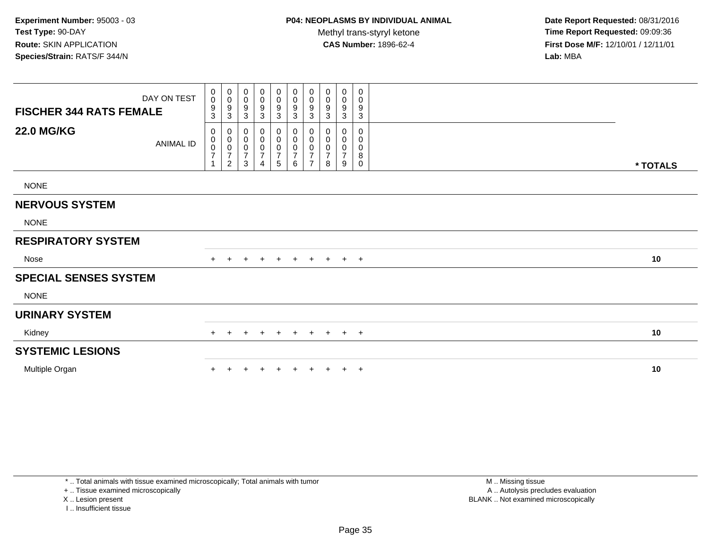| DAY ON TEST<br><b>FISCHER 344 RATS FEMALE</b> | $_{\rm 0}^{\rm 0}$<br>$\frac{9}{3}$       | $_{\rm 0}^{\rm 0}$<br>$\boldsymbol{9}$<br>$\mathbf{3}$       | $\pmb{0}$<br>0<br>9<br>3                                        | $\begin{smallmatrix} 0\\0 \end{smallmatrix}$<br>9<br>$\mathbf{3}$ | $\mathbf 0$<br>$\boldsymbol{0}$<br>9<br>3 | $\begin{smallmatrix} 0\\0 \end{smallmatrix}$<br>$\boldsymbol{9}$<br>$\mathbf{3}$ | 0<br>0<br>9<br>3                                                | $\mathbf 0$<br>0<br>9<br>3    | $\begin{smallmatrix} 0\\0 \end{smallmatrix}$<br>$\boldsymbol{9}$<br>$\sqrt{3}$ | 0<br>$\pmb{0}$<br>9<br>$\mathbf{3}$     |          |  |
|-----------------------------------------------|-------------------------------------------|--------------------------------------------------------------|-----------------------------------------------------------------|-------------------------------------------------------------------|-------------------------------------------|----------------------------------------------------------------------------------|-----------------------------------------------------------------|-------------------------------|--------------------------------------------------------------------------------|-----------------------------------------|----------|--|
| <b>22.0 MG/KG</b><br>ANIMAL ID                | 0<br>0<br>$\frac{0}{7}$<br>$\overline{A}$ | $\boldsymbol{0}$<br>$\pmb{0}$<br>$\frac{0}{7}$<br>$\sqrt{2}$ | 0<br>$\pmb{0}$<br>$\pmb{0}$<br>$\boldsymbol{7}$<br>$\mathbf{3}$ | 0<br>$\pmb{0}$<br>$\pmb{0}$<br>$\overline{7}$<br>4                | 0<br>0<br>0<br>$\boldsymbol{7}$<br>5      | 0<br>$\pmb{0}$<br>$\frac{0}{7}$<br>6                                             | 0<br>$\pmb{0}$<br>$\pmb{0}$<br>$\overline{7}$<br>$\overline{ }$ | 0<br>0<br>$\overline{7}$<br>8 | 0<br>$\pmb{0}$<br>$\pmb{0}$<br>$\overline{7}$<br>$\boldsymbol{9}$              | 0<br>0<br>$\pmb{0}$<br>8<br>$\mathbf 0$ | * TOTALS |  |
| <b>NONE</b>                                   |                                           |                                                              |                                                                 |                                                                   |                                           |                                                                                  |                                                                 |                               |                                                                                |                                         |          |  |
| <b>NERVOUS SYSTEM</b>                         |                                           |                                                              |                                                                 |                                                                   |                                           |                                                                                  |                                                                 |                               |                                                                                |                                         |          |  |
| <b>NONE</b>                                   |                                           |                                                              |                                                                 |                                                                   |                                           |                                                                                  |                                                                 |                               |                                                                                |                                         |          |  |
| <b>RESPIRATORY SYSTEM</b>                     |                                           |                                                              |                                                                 |                                                                   |                                           |                                                                                  |                                                                 |                               |                                                                                |                                         |          |  |
| Nose                                          | $+$                                       |                                                              |                                                                 | $\pm$                                                             | $+$                                       | $+$                                                                              | $+$                                                             | $+$                           |                                                                                | $+$ $+$                                 | 10       |  |
| <b>SPECIAL SENSES SYSTEM</b>                  |                                           |                                                              |                                                                 |                                                                   |                                           |                                                                                  |                                                                 |                               |                                                                                |                                         |          |  |
| <b>NONE</b>                                   |                                           |                                                              |                                                                 |                                                                   |                                           |                                                                                  |                                                                 |                               |                                                                                |                                         |          |  |
| <b>URINARY SYSTEM</b>                         |                                           |                                                              |                                                                 |                                                                   |                                           |                                                                                  |                                                                 |                               |                                                                                |                                         |          |  |
| Kidney                                        | $+$                                       | $\pm$                                                        | $\pm$                                                           | $\pm$                                                             | $+$                                       | $+$                                                                              | $+$                                                             | $+$                           |                                                                                | $+$ $+$                                 | 10       |  |
| <b>SYSTEMIC LESIONS</b>                       |                                           |                                                              |                                                                 |                                                                   |                                           |                                                                                  |                                                                 |                               |                                                                                |                                         |          |  |
| Multiple Organ                                |                                           |                                                              |                                                                 |                                                                   |                                           |                                                                                  |                                                                 | $+$                           | $+$                                                                            | $+$                                     | 10       |  |

\* .. Total animals with tissue examined microscopically; Total animals with tumor

+ .. Tissue examined microscopically

X .. Lesion present

I .. Insufficient tissue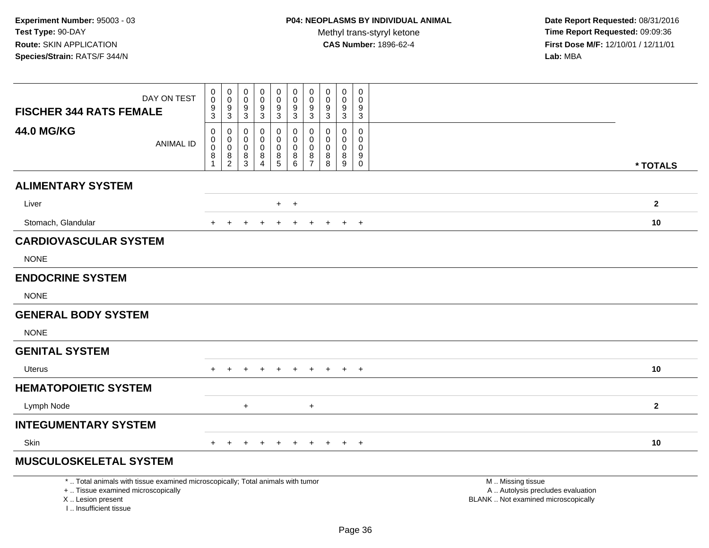| DAY ON TEST<br><b>FISCHER 344 RATS FEMALE</b>                                                                                                                       | $\mathbf 0$<br>$\pmb{0}$<br>$\frac{9}{3}$ | $\mathbf 0$<br>$\mathsf{O}\xspace$<br>$^9_3$                   | $\boldsymbol{0}$<br>$\mathbf 0$<br>$\frac{9}{3}$ | $\pmb{0}$<br>$\mathbf 0$<br>$\frac{9}{3}$            | $\mathsf 0$<br>$\tilde{0}$<br>$\boldsymbol{9}$<br>$\mathbf{3}$ | $\boldsymbol{0}$<br>$\mathbf 0$<br>$\frac{9}{3}$ | $\pmb{0}$<br>$\mathbf 0$<br>$\boldsymbol{9}$<br>$\mathbf{3}$     | $\mathsf{O}\xspace$<br>0<br>$9\,$<br>3 | $\mathsf{O}\xspace$<br>$\mathbf 0$<br>$\boldsymbol{9}$<br>$\mathbf 3$ | 0<br>$\Omega$<br>9<br>$\sqrt{3}$                    |                                                                                               |
|---------------------------------------------------------------------------------------------------------------------------------------------------------------------|-------------------------------------------|----------------------------------------------------------------|--------------------------------------------------|------------------------------------------------------|----------------------------------------------------------------|--------------------------------------------------|------------------------------------------------------------------|----------------------------------------|-----------------------------------------------------------------------|-----------------------------------------------------|-----------------------------------------------------------------------------------------------|
| <b>44.0 MG/KG</b><br><b>ANIMAL ID</b>                                                                                                                               | 0<br>0<br>$\pmb{0}$<br>$\bf 8$<br>1       | 0<br>$\mathbf 0$<br>$\mathsf{O}\xspace$<br>8<br>$\overline{2}$ | 0<br>0<br>$\boldsymbol{0}$<br>8<br>3             | $\mathbf 0$<br>0<br>$\pmb{0}$<br>8<br>$\overline{4}$ | 0<br>0<br>$\mathsf{O}\xspace$<br>$^8$ 5                        | 0<br>0<br>$\mathbf 0$<br>8<br>$6\phantom{1}$     | $\mathbf 0$<br>$\mathbf 0$<br>$\mathbf 0$<br>8<br>$\overline{7}$ | 0<br>$\Omega$<br>$\mathbf 0$<br>8<br>8 | $\mathbf 0$<br>$\Omega$<br>$\mathbf 0$<br>8<br>9                      | $\mathbf 0$<br>0<br>$\mathbf 0$<br>9<br>$\mathsf 0$ | * TOTALS                                                                                      |
| <b>ALIMENTARY SYSTEM</b>                                                                                                                                            |                                           |                                                                |                                                  |                                                      |                                                                |                                                  |                                                                  |                                        |                                                                       |                                                     |                                                                                               |
| Liver                                                                                                                                                               |                                           |                                                                |                                                  |                                                      | $+$                                                            | $+$                                              |                                                                  |                                        |                                                                       |                                                     | $\boldsymbol{2}$                                                                              |
| Stomach, Glandular                                                                                                                                                  | $+$                                       | $\ddot{}$                                                      | $\ddot{}$                                        | $\div$                                               | $+$                                                            | $+$                                              | $+$                                                              | $+$                                    |                                                                       | $+$ $+$                                             | 10                                                                                            |
| <b>CARDIOVASCULAR SYSTEM</b>                                                                                                                                        |                                           |                                                                |                                                  |                                                      |                                                                |                                                  |                                                                  |                                        |                                                                       |                                                     |                                                                                               |
| <b>NONE</b>                                                                                                                                                         |                                           |                                                                |                                                  |                                                      |                                                                |                                                  |                                                                  |                                        |                                                                       |                                                     |                                                                                               |
| <b>ENDOCRINE SYSTEM</b>                                                                                                                                             |                                           |                                                                |                                                  |                                                      |                                                                |                                                  |                                                                  |                                        |                                                                       |                                                     |                                                                                               |
| <b>NONE</b>                                                                                                                                                         |                                           |                                                                |                                                  |                                                      |                                                                |                                                  |                                                                  |                                        |                                                                       |                                                     |                                                                                               |
| <b>GENERAL BODY SYSTEM</b>                                                                                                                                          |                                           |                                                                |                                                  |                                                      |                                                                |                                                  |                                                                  |                                        |                                                                       |                                                     |                                                                                               |
| <b>NONE</b>                                                                                                                                                         |                                           |                                                                |                                                  |                                                      |                                                                |                                                  |                                                                  |                                        |                                                                       |                                                     |                                                                                               |
| <b>GENITAL SYSTEM</b>                                                                                                                                               |                                           |                                                                |                                                  |                                                      |                                                                |                                                  |                                                                  |                                        |                                                                       |                                                     |                                                                                               |
| <b>Uterus</b>                                                                                                                                                       |                                           | $\ddot{}$                                                      | $\ddot{}$                                        | $\pm$                                                | $\overline{+}$                                                 | $+$                                              | $+$                                                              | $+$                                    |                                                                       | $+$ $+$                                             | 10                                                                                            |
| <b>HEMATOPOIETIC SYSTEM</b>                                                                                                                                         |                                           |                                                                |                                                  |                                                      |                                                                |                                                  |                                                                  |                                        |                                                                       |                                                     |                                                                                               |
| Lymph Node                                                                                                                                                          |                                           |                                                                | $\ddot{}$                                        |                                                      |                                                                |                                                  | $\ddot{}$                                                        |                                        |                                                                       |                                                     | $\mathbf{2}$                                                                                  |
| <b>INTEGUMENTARY SYSTEM</b>                                                                                                                                         |                                           |                                                                |                                                  |                                                      |                                                                |                                                  |                                                                  |                                        |                                                                       |                                                     |                                                                                               |
| Skin                                                                                                                                                                | $+$                                       | $+$                                                            | $+$                                              | $\pm$                                                | $+$                                                            | $+$                                              | $+$                                                              | $+$                                    |                                                                       | $+$ $+$                                             | 10                                                                                            |
| <b>MUSCULOSKELETAL SYSTEM</b>                                                                                                                                       |                                           |                                                                |                                                  |                                                      |                                                                |                                                  |                                                                  |                                        |                                                                       |                                                     |                                                                                               |
| *  Total animals with tissue examined microscopically; Total animals with tumor<br>+  Tissue examined microscopically<br>X  Lesion present<br>I Insufficient tissue |                                           |                                                                |                                                  |                                                      |                                                                |                                                  |                                                                  |                                        |                                                                       |                                                     | M  Missing tissue<br>A  Autolysis precludes evaluation<br>BLANK  Not examined microscopically |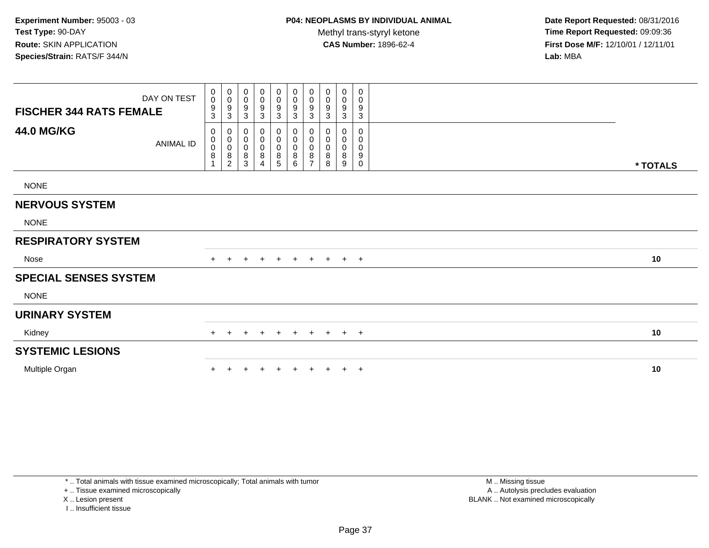**Date Report Requested:** 08/31/2016 **Time Report Requested:** 09:09:36 **First Dose M/F:** 12/10/01 / 12/11/01<br>**Lab:** MBA **Lab:** MBA

| <b>FISCHER 344 RATS FEMALE</b> | DAY ON TEST      | 0<br>$\pmb{0}$<br>9<br>3                    | $\pmb{0}$<br>$\pmb{0}$<br>$\boldsymbol{9}$<br>$\mathsf 3$        | 0<br>$\pmb{0}$<br>9<br>3                        | 0<br>$\pmb{0}$<br>$\frac{9}{3}$                          | $\begin{array}{c} 0 \\ 0 \\ 9 \\ 3 \end{array}$              | $\begin{array}{c} 0 \\ 0 \\ 9 \\ 3 \end{array}$ | $\begin{smallmatrix} 0\\0 \end{smallmatrix}$<br>$\boldsymbol{9}$<br>$\sqrt{3}$ | 0<br>$\pmb{0}$<br>9<br>$\mathbf{3}$ | $\pmb{0}$<br>0<br>$\boldsymbol{9}$<br>$\mathfrak{Z}$ | 0<br>0<br>9<br>$\mathfrak{Z}$ |          |
|--------------------------------|------------------|---------------------------------------------|------------------------------------------------------------------|-------------------------------------------------|----------------------------------------------------------|--------------------------------------------------------------|-------------------------------------------------|--------------------------------------------------------------------------------|-------------------------------------|------------------------------------------------------|-------------------------------|----------|
| <b>44.0 MG/KG</b>              | <b>ANIMAL ID</b> | 0<br>$\,0\,$<br>$\mathbf 0$<br>$\bf 8$<br>1 | $\pmb{0}$<br>$\,0\,$<br>$\mathbf 0$<br>$\bf 8$<br>$\overline{c}$ | 0<br>$\mathbf 0$<br>$\mathbf 0$<br>$\bf 8$<br>3 | 0<br>$\pmb{0}$<br>$\pmb{0}$<br>$\bf 8$<br>$\overline{4}$ | $\pmb{0}$<br>$\begin{array}{c} 0 \\ 0 \\ 8 \\ 5 \end{array}$ | 0<br>0<br>$\mathsf{O}\xspace$<br>$\frac{8}{6}$  | $\pmb{0}$<br>$\pmb{0}$<br>$\pmb{0}$<br>8<br>$\overline{7}$                     | 0<br>$\pmb{0}$<br>0<br>8<br>8       | 0<br>0<br>$\mathsf 0$<br>8<br>9                      | 0<br>0<br>0<br>9<br>0         | * TOTALS |
| <b>NONE</b>                    |                  |                                             |                                                                  |                                                 |                                                          |                                                              |                                                 |                                                                                |                                     |                                                      |                               |          |
| <b>NERVOUS SYSTEM</b>          |                  |                                             |                                                                  |                                                 |                                                          |                                                              |                                                 |                                                                                |                                     |                                                      |                               |          |
| <b>NONE</b>                    |                  |                                             |                                                                  |                                                 |                                                          |                                                              |                                                 |                                                                                |                                     |                                                      |                               |          |
| <b>RESPIRATORY SYSTEM</b>      |                  |                                             |                                                                  |                                                 |                                                          |                                                              |                                                 |                                                                                |                                     |                                                      |                               |          |
| Nose                           |                  | $+$                                         | $\pm$                                                            | $+$                                             | $+$                                                      | $+$                                                          |                                                 | $+$ $+$                                                                        | $+$ $+$ $+$                         |                                                      |                               | 10       |
| <b>SPECIAL SENSES SYSTEM</b>   |                  |                                             |                                                                  |                                                 |                                                          |                                                              |                                                 |                                                                                |                                     |                                                      |                               |          |
| <b>NONE</b>                    |                  |                                             |                                                                  |                                                 |                                                          |                                                              |                                                 |                                                                                |                                     |                                                      |                               |          |
| <b>URINARY SYSTEM</b>          |                  |                                             |                                                                  |                                                 |                                                          |                                                              |                                                 |                                                                                |                                     |                                                      |                               |          |
| Kidney                         |                  |                                             |                                                                  |                                                 | ÷                                                        | $\div$                                                       | $+$                                             | $\pm$                                                                          | $\pm$                               |                                                      | $+$ $+$                       | 10       |
| <b>SYSTEMIC LESIONS</b>        |                  |                                             |                                                                  |                                                 |                                                          |                                                              |                                                 |                                                                                |                                     |                                                      |                               |          |
| Multiple Organ                 |                  |                                             |                                                                  |                                                 |                                                          |                                                              |                                                 | $+$                                                                            | $\pm$                               |                                                      | $+$ $+$                       | 10       |

\* .. Total animals with tissue examined microscopically; Total animals with tumor

+ .. Tissue examined microscopically

X .. Lesion present

I .. Insufficient tissue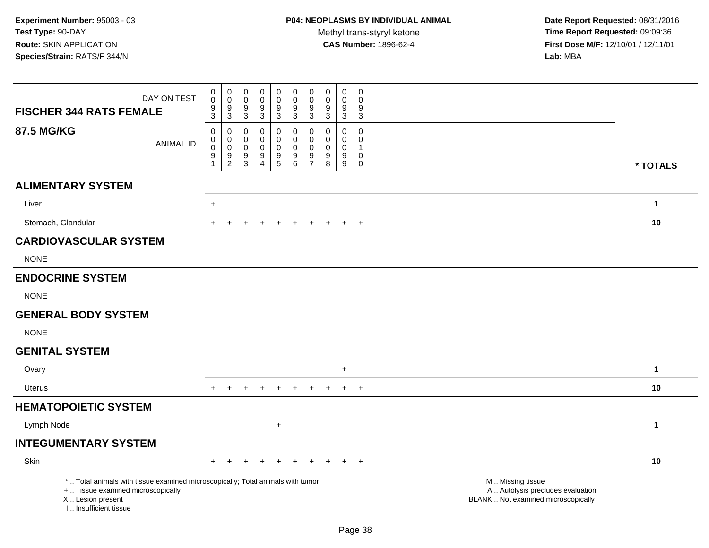| <b>FISCHER 344 RATS FEMALE</b>                                                                                                                                      | DAY ON TEST      | $\begin{smallmatrix} 0\\0 \end{smallmatrix}$<br>$\frac{9}{3}$ | 0<br>$\mathbf 0$<br>9<br>3                              | 0<br>$\mathbf 0$<br>9<br>3                           | $\mathbf 0$<br>$\mathbf 0$<br>9<br>$\mathbf{3}$ | 0<br>$\pmb{0}$<br>9<br>$\mathbf{3}$ | $\pmb{0}$<br>$\pmb{0}$<br>$\boldsymbol{9}$<br>3                        | $\mathbf 0$<br>$\mathbf 0$<br>9<br>3                       | $\mathbf 0$<br>$\pmb{0}$<br>9<br>3       | $\pmb{0}$<br>$\pmb{0}$<br>$\boldsymbol{9}$<br>$\mathfrak{Z}$ | 0<br>$\mathbf 0$<br>9<br>3                                                |                                                                                               |              |
|---------------------------------------------------------------------------------------------------------------------------------------------------------------------|------------------|---------------------------------------------------------------|---------------------------------------------------------|------------------------------------------------------|-------------------------------------------------|-------------------------------------|------------------------------------------------------------------------|------------------------------------------------------------|------------------------------------------|--------------------------------------------------------------|---------------------------------------------------------------------------|-----------------------------------------------------------------------------------------------|--------------|
| <b>87.5 MG/KG</b>                                                                                                                                                   | <b>ANIMAL ID</b> | 0<br>$\mathbf 0$<br>$\pmb{0}$<br>$\boldsymbol{9}$             | 0<br>$\mathbf 0$<br>0<br>$\boldsymbol{9}$<br>$\sqrt{2}$ | $\mathbf 0$<br>$\mathbf{0}$<br>$\mathbf 0$<br>9<br>3 | $\Omega$<br>$\Omega$<br>$\Omega$<br>9<br>4      | 0<br>$\mathbf 0$<br>0<br>9<br>5     | 0<br>$\mathbf 0$<br>$\pmb{0}$<br>$\begin{array}{c} 9 \\ 6 \end{array}$ | $\mathbf 0$<br>$\Omega$<br>$\Omega$<br>9<br>$\overline{7}$ | $\mathbf{0}$<br>0<br>0<br>$_{8}^{\rm 9}$ | $\mathbf 0$<br>0<br>$\pmb{0}$<br>$\boldsymbol{9}$<br>9       | $\mathbf 0$<br>$\mathbf{0}$<br>$\mathbf{1}$<br>$\mathbf 0$<br>$\mathbf 0$ |                                                                                               | * TOTALS     |
| <b>ALIMENTARY SYSTEM</b>                                                                                                                                            |                  |                                                               |                                                         |                                                      |                                                 |                                     |                                                                        |                                                            |                                          |                                                              |                                                                           |                                                                                               |              |
| Liver                                                                                                                                                               |                  | $\ddot{}$                                                     |                                                         |                                                      |                                                 |                                     |                                                                        |                                                            |                                          |                                                              |                                                                           |                                                                                               | $\mathbf{1}$ |
| Stomach, Glandular                                                                                                                                                  |                  | $+$                                                           | $\ddot{}$                                               | $\pm$                                                | $\ddot{}$                                       | $+$                                 | $+$                                                                    | $+$                                                        | $+$                                      | $+$                                                          | $+$                                                                       |                                                                                               | 10           |
| <b>CARDIOVASCULAR SYSTEM</b>                                                                                                                                        |                  |                                                               |                                                         |                                                      |                                                 |                                     |                                                                        |                                                            |                                          |                                                              |                                                                           |                                                                                               |              |
| <b>NONE</b>                                                                                                                                                         |                  |                                                               |                                                         |                                                      |                                                 |                                     |                                                                        |                                                            |                                          |                                                              |                                                                           |                                                                                               |              |
| <b>ENDOCRINE SYSTEM</b>                                                                                                                                             |                  |                                                               |                                                         |                                                      |                                                 |                                     |                                                                        |                                                            |                                          |                                                              |                                                                           |                                                                                               |              |
| <b>NONE</b>                                                                                                                                                         |                  |                                                               |                                                         |                                                      |                                                 |                                     |                                                                        |                                                            |                                          |                                                              |                                                                           |                                                                                               |              |
| <b>GENERAL BODY SYSTEM</b>                                                                                                                                          |                  |                                                               |                                                         |                                                      |                                                 |                                     |                                                                        |                                                            |                                          |                                                              |                                                                           |                                                                                               |              |
| <b>NONE</b>                                                                                                                                                         |                  |                                                               |                                                         |                                                      |                                                 |                                     |                                                                        |                                                            |                                          |                                                              |                                                                           |                                                                                               |              |
| <b>GENITAL SYSTEM</b>                                                                                                                                               |                  |                                                               |                                                         |                                                      |                                                 |                                     |                                                                        |                                                            |                                          |                                                              |                                                                           |                                                                                               |              |
| Ovary                                                                                                                                                               |                  |                                                               |                                                         |                                                      |                                                 |                                     |                                                                        |                                                            |                                          | $\ddot{}$                                                    |                                                                           |                                                                                               | $\mathbf{1}$ |
| <b>Uterus</b>                                                                                                                                                       |                  | $\pm$                                                         |                                                         |                                                      |                                                 |                                     |                                                                        |                                                            |                                          | $\ddot{}$                                                    | $+$                                                                       |                                                                                               | 10           |
| <b>HEMATOPOIETIC SYSTEM</b>                                                                                                                                         |                  |                                                               |                                                         |                                                      |                                                 |                                     |                                                                        |                                                            |                                          |                                                              |                                                                           |                                                                                               |              |
| Lymph Node                                                                                                                                                          |                  |                                                               |                                                         |                                                      |                                                 | $\ddot{}$                           |                                                                        |                                                            |                                          |                                                              |                                                                           |                                                                                               | $\mathbf{1}$ |
| <b>INTEGUMENTARY SYSTEM</b>                                                                                                                                         |                  |                                                               |                                                         |                                                      |                                                 |                                     |                                                                        |                                                            |                                          |                                                              |                                                                           |                                                                                               |              |
| Skin                                                                                                                                                                |                  |                                                               |                                                         |                                                      |                                                 |                                     |                                                                        |                                                            |                                          |                                                              | $\ddot{}$                                                                 |                                                                                               | 10           |
| *  Total animals with tissue examined microscopically; Total animals with tumor<br>+  Tissue examined microscopically<br>X  Lesion present<br>I Insufficient tissue |                  |                                                               |                                                         |                                                      |                                                 |                                     |                                                                        |                                                            |                                          |                                                              |                                                                           | M  Missing tissue<br>A  Autolysis precludes evaluation<br>BLANK  Not examined microscopically |              |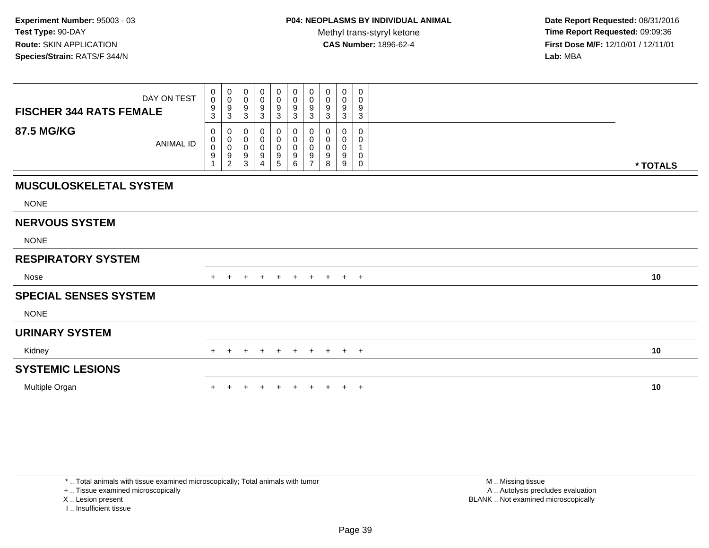| <b>FISCHER 344 RATS FEMALE</b> | DAY ON TEST      | 0<br>$\mathbf 0$<br>9<br>3              | $\begin{smallmatrix}0\\0\\9\end{smallmatrix}$<br>$\mathbf{3}$        | 0<br>$\mathbf 0$<br>9<br>3    | 0<br>0<br>9<br>3      | $\mathbf 0$<br>$\pmb{0}$<br>9<br>3    | $\pmb{0}$<br>$\pmb{0}$<br>$\boldsymbol{9}$<br>$\sqrt{3}$ | 0<br>$\pmb{0}$<br>9<br>3                     | 0<br>0<br>9<br>3      | 0<br>$\pmb{0}$<br>$9\,$<br>$\mathbf{3}$           | 0<br>$\pmb{0}$<br>9<br>$\mathsf 3$      |          |
|--------------------------------|------------------|-----------------------------------------|----------------------------------------------------------------------|-------------------------------|-----------------------|---------------------------------------|----------------------------------------------------------|----------------------------------------------|-----------------------|---------------------------------------------------|-----------------------------------------|----------|
| <b>87.5 MG/KG</b>              | <b>ANIMAL ID</b> | 0<br>0<br>$\bar{0}$<br>$\boldsymbol{9}$ | 0<br>$\begin{smallmatrix}0\\0\\9\end{smallmatrix}$<br>$\overline{2}$ | 0<br>0<br>$\pmb{0}$<br>9<br>3 | 0<br>0<br>0<br>9<br>4 | 0<br>$\pmb{0}$<br>$\pmb{0}$<br>9<br>5 | 0<br>0<br>$\pmb{0}$<br>$\boldsymbol{9}$<br>6             | 0<br>0<br>$\mathbf 0$<br>9<br>$\overline{ }$ | 0<br>0<br>0<br>9<br>8 | 0<br>0<br>$\overline{0}$<br>$\boldsymbol{9}$<br>9 | 0<br>0<br>$\pmb{0}$<br>$\boldsymbol{0}$ | * TOTALS |
| <b>MUSCULOSKELETAL SYSTEM</b>  |                  |                                         |                                                                      |                               |                       |                                       |                                                          |                                              |                       |                                                   |                                         |          |
| <b>NONE</b>                    |                  |                                         |                                                                      |                               |                       |                                       |                                                          |                                              |                       |                                                   |                                         |          |
| <b>NERVOUS SYSTEM</b>          |                  |                                         |                                                                      |                               |                       |                                       |                                                          |                                              |                       |                                                   |                                         |          |
| <b>NONE</b>                    |                  |                                         |                                                                      |                               |                       |                                       |                                                          |                                              |                       |                                                   |                                         |          |
| <b>RESPIRATORY SYSTEM</b>      |                  |                                         |                                                                      |                               |                       |                                       |                                                          |                                              |                       |                                                   |                                         |          |
| Nose                           |                  |                                         |                                                                      | $+$                           | $\pm$                 | $+$                                   | $+$                                                      | $+$                                          | $+$                   | $+$ $+$                                           |                                         | 10       |
| <b>SPECIAL SENSES SYSTEM</b>   |                  |                                         |                                                                      |                               |                       |                                       |                                                          |                                              |                       |                                                   |                                         |          |
| <b>NONE</b>                    |                  |                                         |                                                                      |                               |                       |                                       |                                                          |                                              |                       |                                                   |                                         |          |
| <b>URINARY SYSTEM</b>          |                  |                                         |                                                                      |                               |                       |                                       |                                                          |                                              |                       |                                                   |                                         |          |
| Kidney                         |                  | $+$                                     | $\pm$                                                                | $\ddot{}$                     | $\pm$                 | $+$                                   | $+$                                                      | $+$                                          |                       | $+$ $+$ $+$                                       |                                         | 10       |
| <b>SYSTEMIC LESIONS</b>        |                  |                                         |                                                                      |                               |                       |                                       |                                                          |                                              |                       |                                                   |                                         |          |
| Multiple Organ                 |                  |                                         |                                                                      |                               |                       |                                       |                                                          |                                              |                       | $+$                                               | $+$                                     | 10       |

\* .. Total animals with tissue examined microscopically; Total animals with tumor

+ .. Tissue examined microscopically

X .. Lesion present

I .. Insufficient tissue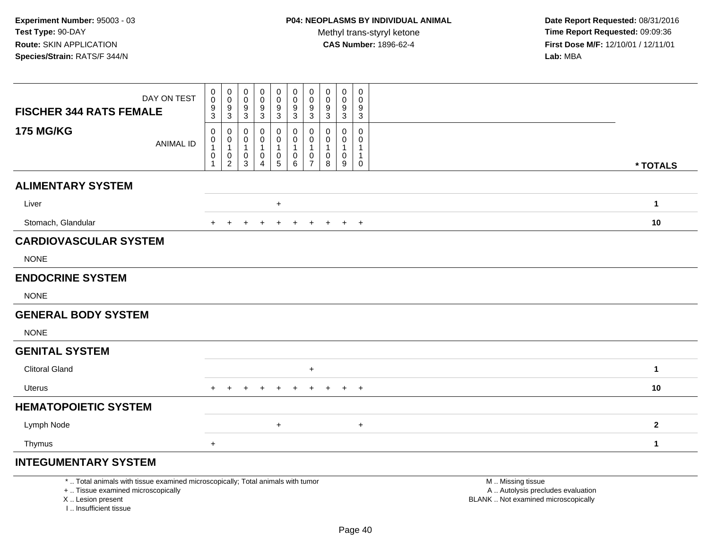| <b>FISCHER 344 RATS FEMALE</b>                                                                                                                                      | DAY ON TEST      | 0<br>$\mathbf 0$<br>$\frac{9}{3}$                             | $\boldsymbol{0}$<br>$\pmb{0}$<br>9<br>$\overline{3}$                   | $\mathbf 0$<br>$\mathbf 0$<br>9<br>$\overline{3}$ | $\pmb{0}$<br>0<br>$\frac{9}{3}$                         | $\mathsf{O}\xspace$<br>$\ddot{\mathbf{0}}$<br>$\frac{9}{3}$ | $\pmb{0}$<br>$\mathsf{O}\xspace$<br>$\frac{9}{3}$    | $\mathbf 0$<br>$\mathbf 0$<br>9<br>$\overline{3}$                           | $\pmb{0}$<br>0<br>9<br>3 | $\pmb{0}$<br>$\pmb{0}$<br>$\frac{9}{3}$              | 0<br>$\Omega$<br>9<br>3                                                |                                                                                               |                  |
|---------------------------------------------------------------------------------------------------------------------------------------------------------------------|------------------|---------------------------------------------------------------|------------------------------------------------------------------------|---------------------------------------------------|---------------------------------------------------------|-------------------------------------------------------------|------------------------------------------------------|-----------------------------------------------------------------------------|--------------------------|------------------------------------------------------|------------------------------------------------------------------------|-----------------------------------------------------------------------------------------------|------------------|
| <b>175 MG/KG</b>                                                                                                                                                    | <b>ANIMAL ID</b> | $\mathbf 0$<br>$\pmb{0}$<br>$\mathbf{1}$<br>0<br>$\mathbf{1}$ | 0<br>$\boldsymbol{0}$<br>$\mathbf{1}$<br>$\mathbf 0$<br>$\overline{2}$ | 0<br>0<br>$\mathbf{1}$<br>$\mathbf 0$<br>3        | 0<br>0<br>$\mathbf{1}$<br>$\mathbf 0$<br>$\overline{4}$ | 0<br>0<br>$\mathbf{1}$<br>$\pmb{0}$<br>5                    | 0<br>$\mathbf 0$<br>$\mathbf{1}$<br>$\mathbf 0$<br>6 | $\mathbf 0$<br>$\mathbf 0$<br>$\mathbf{1}$<br>$\mathbf 0$<br>$\overline{7}$ | 0<br>0<br>1<br>0<br>8    | $\mathbf 0$<br>0<br>$\mathbf{1}$<br>$\mathbf 0$<br>9 | $\mathbf 0$<br>$\Omega$<br>$\mathbf{1}$<br>$\mathbf{1}$<br>$\mathbf 0$ |                                                                                               | * TOTALS         |
| <b>ALIMENTARY SYSTEM</b>                                                                                                                                            |                  |                                                               |                                                                        |                                                   |                                                         |                                                             |                                                      |                                                                             |                          |                                                      |                                                                        |                                                                                               |                  |
| Liver                                                                                                                                                               |                  |                                                               |                                                                        |                                                   |                                                         | $\ddot{}$                                                   |                                                      |                                                                             |                          |                                                      |                                                                        |                                                                                               | $\mathbf{1}$     |
| Stomach, Glandular                                                                                                                                                  |                  | $\pm$                                                         |                                                                        |                                                   |                                                         | $\overline{1}$                                              | $\ddot{}$                                            | $+$                                                                         | $+$                      | $+$                                                  | $+$                                                                    |                                                                                               | 10               |
| <b>CARDIOVASCULAR SYSTEM</b>                                                                                                                                        |                  |                                                               |                                                                        |                                                   |                                                         |                                                             |                                                      |                                                                             |                          |                                                      |                                                                        |                                                                                               |                  |
| <b>NONE</b>                                                                                                                                                         |                  |                                                               |                                                                        |                                                   |                                                         |                                                             |                                                      |                                                                             |                          |                                                      |                                                                        |                                                                                               |                  |
| <b>ENDOCRINE SYSTEM</b>                                                                                                                                             |                  |                                                               |                                                                        |                                                   |                                                         |                                                             |                                                      |                                                                             |                          |                                                      |                                                                        |                                                                                               |                  |
| <b>NONE</b>                                                                                                                                                         |                  |                                                               |                                                                        |                                                   |                                                         |                                                             |                                                      |                                                                             |                          |                                                      |                                                                        |                                                                                               |                  |
| <b>GENERAL BODY SYSTEM</b>                                                                                                                                          |                  |                                                               |                                                                        |                                                   |                                                         |                                                             |                                                      |                                                                             |                          |                                                      |                                                                        |                                                                                               |                  |
| <b>NONE</b>                                                                                                                                                         |                  |                                                               |                                                                        |                                                   |                                                         |                                                             |                                                      |                                                                             |                          |                                                      |                                                                        |                                                                                               |                  |
| <b>GENITAL SYSTEM</b>                                                                                                                                               |                  |                                                               |                                                                        |                                                   |                                                         |                                                             |                                                      |                                                                             |                          |                                                      |                                                                        |                                                                                               |                  |
| <b>Clitoral Gland</b>                                                                                                                                               |                  |                                                               |                                                                        |                                                   |                                                         |                                                             |                                                      | $+$                                                                         |                          |                                                      |                                                                        |                                                                                               | $\mathbf{1}$     |
| <b>Uterus</b>                                                                                                                                                       |                  | $\pm$                                                         |                                                                        |                                                   |                                                         |                                                             |                                                      |                                                                             |                          |                                                      | $+$                                                                    |                                                                                               | 10               |
| <b>HEMATOPOIETIC SYSTEM</b>                                                                                                                                         |                  |                                                               |                                                                        |                                                   |                                                         |                                                             |                                                      |                                                                             |                          |                                                      |                                                                        |                                                                                               |                  |
| Lymph Node                                                                                                                                                          |                  |                                                               |                                                                        |                                                   |                                                         | $\ddot{}$                                                   |                                                      |                                                                             |                          |                                                      | $+$                                                                    |                                                                                               | $\boldsymbol{2}$ |
| Thymus                                                                                                                                                              |                  | $\ddot{}$                                                     |                                                                        |                                                   |                                                         |                                                             |                                                      |                                                                             |                          |                                                      |                                                                        |                                                                                               | $\mathbf{1}$     |
| <b>INTEGUMENTARY SYSTEM</b>                                                                                                                                         |                  |                                                               |                                                                        |                                                   |                                                         |                                                             |                                                      |                                                                             |                          |                                                      |                                                                        |                                                                                               |                  |
| *  Total animals with tissue examined microscopically; Total animals with tumor<br>+  Tissue examined microscopically<br>X  Lesion present<br>I Insufficient tissue |                  |                                                               |                                                                        |                                                   |                                                         |                                                             |                                                      |                                                                             |                          |                                                      |                                                                        | M  Missing tissue<br>A  Autolysis precludes evaluation<br>BLANK  Not examined microscopically |                  |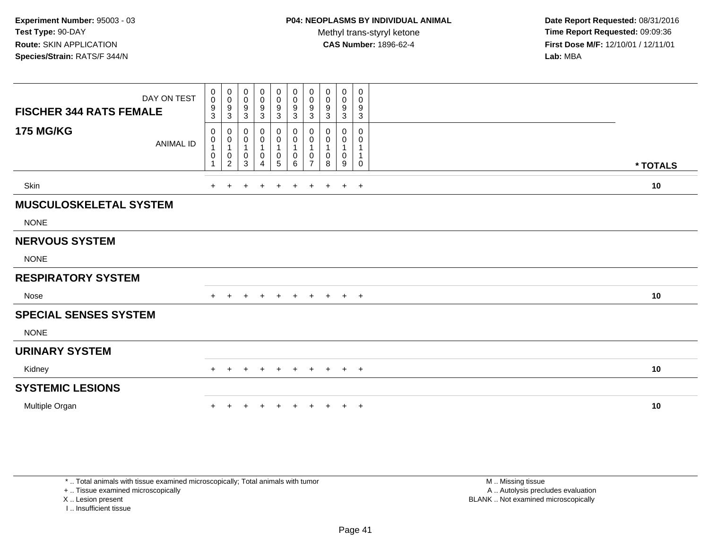**Date Report Requested:** 08/31/2016 **Time Report Requested:** 09:09:36 **First Dose M/F:** 12/10/01 / 12/11/01<br>**Lab:** MBA **Lab:** MBA

| DAY ON TEST<br><b>FISCHER 344 RATS FEMALE</b> | $\mathbf 0$<br>$\boldsymbol{0}$<br>$\boldsymbol{9}$<br>3 | 0<br>$\pmb{0}$<br>$\boldsymbol{9}$<br>$\sqrt{3}$              | $\pmb{0}$<br>0<br>$\boldsymbol{9}$<br>$\mathbf{3}$ | $\boldsymbol{0}$<br>$\pmb{0}$<br>$\boldsymbol{9}$<br>$\mathbf{3}$ | $\mathbf 0$<br>$\mathsf 0$<br>$\frac{9}{3}$                  | 0<br>$\mathbf 0$<br>$\boldsymbol{9}$<br>$\mathbf{3}$ | $\pmb{0}$<br>$\mathbf 0$<br>9<br>3 | 0<br>0<br>9<br>3             | 0<br>$\mathbf 0$<br>9<br>$\mathbf{3}$ | 0<br>0<br>9<br>$\mathbf{3}$ |          |
|-----------------------------------------------|----------------------------------------------------------|---------------------------------------------------------------|----------------------------------------------------|-------------------------------------------------------------------|--------------------------------------------------------------|------------------------------------------------------|------------------------------------|------------------------------|---------------------------------------|-----------------------------|----------|
| <b>175 MG/KG</b><br><b>ANIMAL ID</b>          | 0<br>0<br>$\mathbf{1}$<br>0                              | 0<br>$\pmb{0}$<br>$\mathbf{1}$<br>$\pmb{0}$<br>$\overline{c}$ | 0<br>0<br>$\mathbf 1$<br>0<br>3                    | 0<br>$\pmb{0}$<br>$\pmb{0}$<br>4                                  | 0<br>$\mathsf 0$<br>$\mathbf 1$<br>$\mathbf 0$<br>$\sqrt{5}$ | 0<br>$\pmb{0}$<br>$\mathbf{1}$<br>$\pmb{0}$<br>6     | 0<br>0<br>1<br>0<br>$\overline{7}$ | $\Omega$<br>0<br>1<br>0<br>8 | 0<br>0<br>0<br>9                      | 0<br>0<br>1<br>1<br>0       | * TOTALS |
| Skin                                          | $+$                                                      | $\div$                                                        | $\div$                                             | $\div$                                                            | $\overline{+}$                                               | $+$                                                  | $\ddot{}$                          | $\pm$                        | $\ddot{}$                             | $+$                         | 10       |
| <b>MUSCULOSKELETAL SYSTEM</b>                 |                                                          |                                                               |                                                    |                                                                   |                                                              |                                                      |                                    |                              |                                       |                             |          |
| <b>NONE</b>                                   |                                                          |                                                               |                                                    |                                                                   |                                                              |                                                      |                                    |                              |                                       |                             |          |
| <b>NERVOUS SYSTEM</b>                         |                                                          |                                                               |                                                    |                                                                   |                                                              |                                                      |                                    |                              |                                       |                             |          |
| <b>NONE</b>                                   |                                                          |                                                               |                                                    |                                                                   |                                                              |                                                      |                                    |                              |                                       |                             |          |
| <b>RESPIRATORY SYSTEM</b>                     |                                                          |                                                               |                                                    |                                                                   |                                                              |                                                      |                                    |                              |                                       |                             |          |
| Nose                                          | $+$                                                      | $\pm$                                                         | $+$                                                | $+$                                                               | $+$                                                          | $+$                                                  | $+$                                | $+$                          | $+$                                   | $+$                         | 10       |
| <b>SPECIAL SENSES SYSTEM</b>                  |                                                          |                                                               |                                                    |                                                                   |                                                              |                                                      |                                    |                              |                                       |                             |          |
| <b>NONE</b>                                   |                                                          |                                                               |                                                    |                                                                   |                                                              |                                                      |                                    |                              |                                       |                             |          |
| <b>URINARY SYSTEM</b>                         |                                                          |                                                               |                                                    |                                                                   |                                                              |                                                      |                                    |                              |                                       |                             |          |
| Kidney                                        | $+$                                                      | $\pm$                                                         | $\div$                                             | $\pm$                                                             | $\pm$                                                        | $+$                                                  | $+$                                | $\pm$                        | $+$                                   | $+$                         | 10       |
| <b>SYSTEMIC LESIONS</b>                       |                                                          |                                                               |                                                    |                                                                   |                                                              |                                                      |                                    |                              |                                       |                             |          |
| Multiple Organ                                |                                                          |                                                               |                                                    |                                                                   |                                                              |                                                      |                                    |                              | $\pm$                                 | $+$                         | 10       |

\* .. Total animals with tissue examined microscopically; Total animals with tumor

+ .. Tissue examined microscopically

X .. Lesion present

I .. Insufficient tissue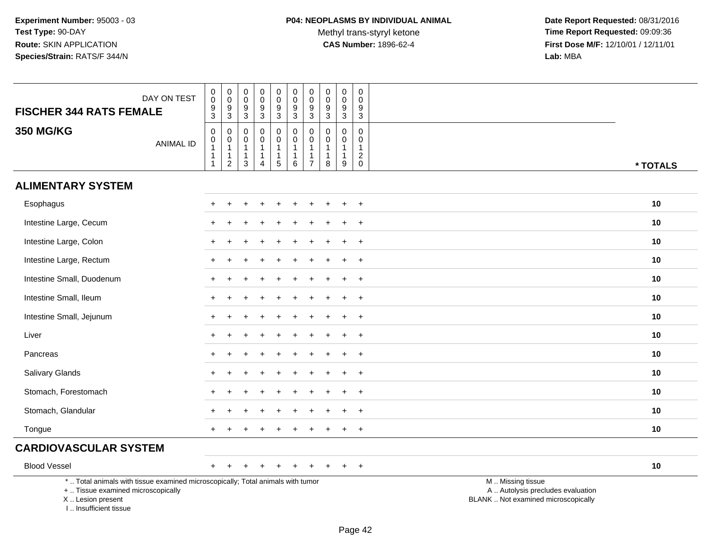Methyl trans-styryl ketone<br>CAS Number: 1896-62-4

| DAY ON TEST<br><b>FISCHER 344 RATS FEMALE</b>                                                                                                                       | 0<br>$\ddot{\mathbf{0}}$<br>$^9_3$                    | $\begin{smallmatrix} 0\\0 \end{smallmatrix}$<br>$9\,$<br>$\overline{3}$      | 0<br>$\pmb{0}$<br>9<br>$\overline{3}$    | $\mathbf 0$<br>$\pmb{0}$<br>$\boldsymbol{9}$<br>$\overline{3}$         | $\pmb{0}$<br>$\ddot{\mathbf{0}}$<br>$\frac{9}{3}$           | $\mathbf 0$<br>$\mathsf{O}\xspace$<br>9<br>$\overline{3}$           | $\boldsymbol{0}$<br>$\ddot{\mathbf{0}}$<br>$9$<br>$\overline{3}$                 | $\pmb{0}$<br>$\mathbf 0$<br>9<br>$\sqrt{3}$          | $\pmb{0}$<br>$\mathbf 0$<br>9<br>$\overline{3}$           | $\pmb{0}$<br>$\mathsf{O}\xspace$<br>9<br>$\overline{3}$ |                                                                                               |
|---------------------------------------------------------------------------------------------------------------------------------------------------------------------|-------------------------------------------------------|------------------------------------------------------------------------------|------------------------------------------|------------------------------------------------------------------------|-------------------------------------------------------------|---------------------------------------------------------------------|----------------------------------------------------------------------------------|------------------------------------------------------|-----------------------------------------------------------|---------------------------------------------------------|-----------------------------------------------------------------------------------------------|
| <b>350 MG/KG</b><br><b>ANIMAL ID</b>                                                                                                                                | 0<br>$\pmb{0}$<br>$\overline{1}$<br>$\mathbf 1$<br>-1 | $\mathbf 0$<br>$\pmb{0}$<br>$\overline{1}$<br>$\mathbf{1}$<br>$\overline{2}$ | 0<br>$\pmb{0}$<br>1<br>1<br>$\mathbf{3}$ | $\mathbf 0$<br>$\Omega$<br>1<br>$\mathbf{1}$<br>$\boldsymbol{\Lambda}$ | $\pmb{0}$<br>$\pmb{0}$<br>$\mathbf{1}$<br>$\mathbf{1}$<br>5 | 0<br>$\mathbf 0$<br>$\overline{1}$<br>$\mathbf 1$<br>$6\phantom{1}$ | $\mathbf 0$<br>$\mathbf 0$<br>$\overline{1}$<br>$\overline{1}$<br>$\overline{7}$ | $\mathbf 0$<br>$\mathbf 0$<br>$\mathbf{1}$<br>1<br>8 | 0<br>$\mathbf 0$<br>$\mathbf{1}$<br>$\mathbf{1}$<br>$9\,$ | 0<br>$\Omega$<br>$\mathbf{1}$<br>$^2_{0}$               | * TOTALS                                                                                      |
| <b>ALIMENTARY SYSTEM</b>                                                                                                                                            |                                                       |                                                                              |                                          |                                                                        |                                                             |                                                                     |                                                                                  |                                                      |                                                           |                                                         |                                                                                               |
| Esophagus                                                                                                                                                           |                                                       |                                                                              |                                          |                                                                        |                                                             |                                                                     |                                                                                  |                                                      |                                                           | $\ddot{}$                                               | 10                                                                                            |
| Intestine Large, Cecum                                                                                                                                              |                                                       |                                                                              |                                          |                                                                        |                                                             |                                                                     |                                                                                  |                                                      |                                                           | +                                                       | 10                                                                                            |
| Intestine Large, Colon                                                                                                                                              |                                                       |                                                                              |                                          |                                                                        |                                                             |                                                                     |                                                                                  |                                                      |                                                           | $\ddot{}$                                               | 10                                                                                            |
| Intestine Large, Rectum                                                                                                                                             |                                                       |                                                                              |                                          |                                                                        |                                                             |                                                                     |                                                                                  |                                                      |                                                           | $\div$                                                  | 10                                                                                            |
| Intestine Small, Duodenum                                                                                                                                           |                                                       |                                                                              |                                          |                                                                        |                                                             |                                                                     |                                                                                  |                                                      |                                                           | $\ddot{}$                                               | 10                                                                                            |
| Intestine Small, Ileum                                                                                                                                              |                                                       |                                                                              |                                          |                                                                        |                                                             |                                                                     |                                                                                  |                                                      |                                                           | $\ddot{}$                                               | 10                                                                                            |
| Intestine Small, Jejunum                                                                                                                                            | $\pm$                                                 |                                                                              |                                          |                                                                        |                                                             |                                                                     |                                                                                  |                                                      |                                                           | $\ddot{}$                                               | 10                                                                                            |
| Liver                                                                                                                                                               |                                                       |                                                                              |                                          |                                                                        |                                                             |                                                                     |                                                                                  |                                                      |                                                           | $\div$                                                  | 10                                                                                            |
| Pancreas                                                                                                                                                            | +                                                     |                                                                              |                                          |                                                                        |                                                             |                                                                     |                                                                                  |                                                      |                                                           | $\ddot{}$                                               | 10                                                                                            |
| Salivary Glands                                                                                                                                                     | $\pm$                                                 |                                                                              |                                          |                                                                        |                                                             |                                                                     |                                                                                  |                                                      |                                                           | $\overline{+}$                                          | 10                                                                                            |
| Stomach, Forestomach                                                                                                                                                |                                                       |                                                                              |                                          |                                                                        |                                                             |                                                                     |                                                                                  |                                                      |                                                           | $\ddot{}$                                               | 10                                                                                            |
| Stomach, Glandular                                                                                                                                                  |                                                       |                                                                              |                                          |                                                                        |                                                             |                                                                     |                                                                                  |                                                      |                                                           |                                                         | 10                                                                                            |
| Tongue                                                                                                                                                              |                                                       |                                                                              |                                          |                                                                        |                                                             |                                                                     |                                                                                  |                                                      |                                                           | $\ddot{}$                                               | 10                                                                                            |
| <b>CARDIOVASCULAR SYSTEM</b>                                                                                                                                        |                                                       |                                                                              |                                          |                                                                        |                                                             |                                                                     |                                                                                  |                                                      |                                                           |                                                         |                                                                                               |
| <b>Blood Vessel</b>                                                                                                                                                 | +                                                     |                                                                              |                                          |                                                                        |                                                             |                                                                     |                                                                                  |                                                      |                                                           | $\overline{+}$                                          | 10                                                                                            |
| *  Total animals with tissue examined microscopically; Total animals with tumor<br>+  Tissue examined microscopically<br>X  Lesion present<br>I Insufficient tissue |                                                       |                                                                              |                                          |                                                                        |                                                             |                                                                     |                                                                                  |                                                      |                                                           |                                                         | M  Missing tissue<br>A  Autolysis precludes evaluation<br>BLANK  Not examined microscopically |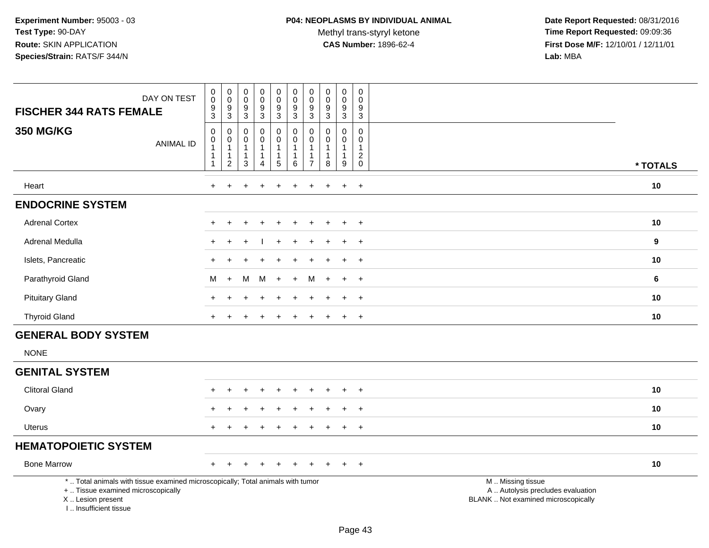| DAY ON TEST<br><b>FISCHER 344 RATS FEMALE</b>                                                                                                                       | 0<br>$\mathbf 0$<br>9<br>$\overline{3}$                                    | 0<br>$\pmb{0}$<br>$\boldsymbol{9}$<br>$\mathbf{3}$ | 0<br>$\mathbf 0$<br>9<br>$\sqrt{3}$         | $\pmb{0}$<br>$\pmb{0}$<br>9<br>$\sqrt{3}$              | $\pmb{0}$<br>$\pmb{0}$<br>9<br>$\overline{3}$                                | $\mathbf 0$<br>$\mathbf 0$<br>9<br>$\overline{3}$                     | 0<br>$\mathbf 0$<br>9<br>3 | $\mathbf 0$<br>$\mathbf 0$<br>9<br>$\sqrt{3}$ | $\pmb{0}$<br>$\pmb{0}$<br>9<br>$\overline{3}$ | $\mathbf 0$<br>$\mathbf 0$<br>9<br>$\mathbf{3}$         |                                                                                               |          |
|---------------------------------------------------------------------------------------------------------------------------------------------------------------------|----------------------------------------------------------------------------|----------------------------------------------------|---------------------------------------------|--------------------------------------------------------|------------------------------------------------------------------------------|-----------------------------------------------------------------------|----------------------------|-----------------------------------------------|-----------------------------------------------|---------------------------------------------------------|-----------------------------------------------------------------------------------------------|----------|
| <b>350 MG/KG</b><br><b>ANIMAL ID</b>                                                                                                                                | $\pmb{0}$<br>$\pmb{0}$<br>$\overline{1}$<br>$\overline{1}$<br>$\mathbf{1}$ | 0<br>$\pmb{0}$<br>$\mathbf{1}$<br>1<br>$\sqrt{2}$  | 0<br>0<br>$\mathbf{1}$<br>$\mathbf{1}$<br>3 | $\mathbf 0$<br>$\mathbf 0$<br>1<br>1<br>$\overline{4}$ | $\mathbf 0$<br>$\boldsymbol{0}$<br>$\mathbf 1$<br>$\mathbf{1}$<br>$\sqrt{5}$ | $\mathbf 0$<br>$\mathbf 0$<br>$\mathbf{1}$<br>$\mathbf{1}$<br>$\,6\,$ | 0<br>0<br>$\overline{7}$   | $\mathbf 0$<br>$\Omega$<br>1<br>1<br>8        | 0<br>0<br>$\mathbf{1}$<br>$\mathbf{1}$<br>9   | 0<br>$\mathbf 0$<br>-1<br>$\overline{a}$<br>$\mathbf 0$ |                                                                                               |          |
|                                                                                                                                                                     |                                                                            |                                                    |                                             |                                                        |                                                                              |                                                                       |                            |                                               |                                               |                                                         |                                                                                               | * TOTALS |
| Heart                                                                                                                                                               | $+$                                                                        | $\ddot{}$                                          |                                             | $\div$                                                 | $\ddot{}$                                                                    | $\ddot{}$                                                             | $\ddot{}$                  |                                               | $\ddot{}$                                     | $+$                                                     |                                                                                               | 10       |
| <b>ENDOCRINE SYSTEM</b>                                                                                                                                             |                                                                            |                                                    |                                             |                                                        |                                                                              |                                                                       |                            |                                               |                                               |                                                         |                                                                                               |          |
| <b>Adrenal Cortex</b>                                                                                                                                               |                                                                            |                                                    |                                             |                                                        |                                                                              |                                                                       |                            |                                               |                                               | $\div$                                                  |                                                                                               | 10       |
| Adrenal Medulla                                                                                                                                                     |                                                                            |                                                    |                                             |                                                        |                                                                              |                                                                       |                            |                                               |                                               | $\pm$                                                   |                                                                                               | 9        |
| Islets, Pancreatic                                                                                                                                                  | $\pm$                                                                      |                                                    |                                             |                                                        |                                                                              |                                                                       |                            |                                               | $\ddot{}$                                     | $+$                                                     |                                                                                               | 10       |
| Parathyroid Gland                                                                                                                                                   | M                                                                          | $+$                                                | М                                           | M                                                      | $+$                                                                          | $\div$                                                                | м                          |                                               | $\ddot{}$                                     | $+$                                                     |                                                                                               | 6        |
| <b>Pituitary Gland</b>                                                                                                                                              |                                                                            |                                                    |                                             |                                                        |                                                                              |                                                                       |                            |                                               |                                               | $\div$                                                  |                                                                                               | 10       |
| <b>Thyroid Gland</b>                                                                                                                                                | $\pm$                                                                      |                                                    |                                             |                                                        |                                                                              |                                                                       |                            |                                               | $\pm$                                         | $+$                                                     |                                                                                               | 10       |
| <b>GENERAL BODY SYSTEM</b>                                                                                                                                          |                                                                            |                                                    |                                             |                                                        |                                                                              |                                                                       |                            |                                               |                                               |                                                         |                                                                                               |          |
| <b>NONE</b>                                                                                                                                                         |                                                                            |                                                    |                                             |                                                        |                                                                              |                                                                       |                            |                                               |                                               |                                                         |                                                                                               |          |
| <b>GENITAL SYSTEM</b>                                                                                                                                               |                                                                            |                                                    |                                             |                                                        |                                                                              |                                                                       |                            |                                               |                                               |                                                         |                                                                                               |          |
| <b>Clitoral Gland</b>                                                                                                                                               |                                                                            |                                                    |                                             |                                                        |                                                                              |                                                                       |                            |                                               |                                               | $\div$                                                  |                                                                                               | 10       |
| Ovary                                                                                                                                                               |                                                                            |                                                    |                                             |                                                        |                                                                              |                                                                       |                            |                                               | $\ddot{}$                                     | $^{+}$                                                  |                                                                                               | 10       |
| <b>Uterus</b>                                                                                                                                                       | $\ddot{}$                                                                  |                                                    |                                             |                                                        |                                                                              |                                                                       |                            |                                               | $\ddot{}$                                     | $+$                                                     |                                                                                               | 10       |
| <b>HEMATOPOIETIC SYSTEM</b>                                                                                                                                         |                                                                            |                                                    |                                             |                                                        |                                                                              |                                                                       |                            |                                               |                                               |                                                         |                                                                                               |          |
| <b>Bone Marrow</b>                                                                                                                                                  |                                                                            |                                                    |                                             |                                                        |                                                                              |                                                                       |                            |                                               |                                               | $^{+}$                                                  |                                                                                               | 10       |
| *  Total animals with tissue examined microscopically; Total animals with tumor<br>+  Tissue examined microscopically<br>X  Lesion present<br>I Insufficient tissue |                                                                            |                                                    |                                             |                                                        |                                                                              |                                                                       |                            |                                               |                                               |                                                         | M  Missing tissue<br>A  Autolysis precludes evaluation<br>BLANK  Not examined microscopically |          |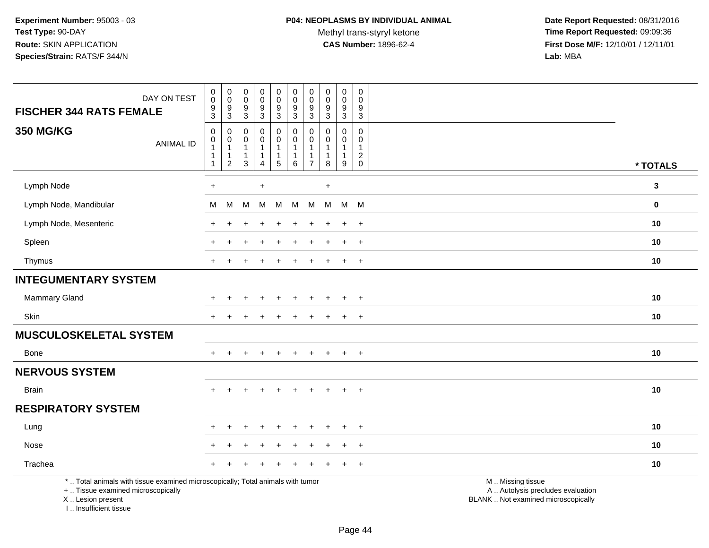**Date Report Requested:** 08/31/2016 **Time Report Requested:** 09:09:36 **First Dose M/F:** 12/10/01 / 12/11/01<br>Lab: MBA **Lab:** MBA

| DAY ON TEST<br><b>FISCHER 344 RATS FEMALE</b>                                                                                              | $\pmb{0}$<br>$\mathbf 0$<br>$\boldsymbol{9}$<br>3 | $\pmb{0}$<br>$\pmb{0}$<br>9<br>$\mathbf{3}$              | $\pmb{0}$<br>$\pmb{0}$<br>$9\,$<br>$\mathbf{3}$                         | $\pmb{0}$<br>$\mathbf 0$<br>$\boldsymbol{9}$<br>$\mathbf{3}$ | $\mathbf 0$<br>$\mathbf 0$<br>$\boldsymbol{9}$<br>3     | $\pmb{0}$<br>$\mathbf 0$<br>$\boldsymbol{9}$<br>$\mathbf{3}$ | $\mathbf 0$<br>$\mathbf 0$<br>9<br>3             | $\pmb{0}$<br>$\mathbf 0$<br>9<br>3                | $\pmb{0}$<br>$\pmb{0}$<br>$\boldsymbol{9}$<br>3            | $\pmb{0}$<br>$\mathbf 0$<br>9<br>$\mathsf 3$             |                                                                                               |              |
|--------------------------------------------------------------------------------------------------------------------------------------------|---------------------------------------------------|----------------------------------------------------------|-------------------------------------------------------------------------|--------------------------------------------------------------|---------------------------------------------------------|--------------------------------------------------------------|--------------------------------------------------|---------------------------------------------------|------------------------------------------------------------|----------------------------------------------------------|-----------------------------------------------------------------------------------------------|--------------|
| <b>350 MG/KG</b><br><b>ANIMAL ID</b>                                                                                                       | 0<br>0<br>$\overline{1}$                          | 0<br>0<br>$\overline{1}$<br>$\overline{1}$<br>$\sqrt{2}$ | $\Omega$<br>$\mathbf 0$<br>$\mathbf{1}$<br>$\mathbf{1}$<br>$\mathbf{3}$ | 0<br>$\mathsf 0$<br>$\mathbf{1}$<br>$\overline{4}$           | 0<br>$\mathbf 0$<br>1<br>$\mathbf{1}$<br>$\overline{5}$ | $\mathbf 0$<br>$\mathbf 0$<br>1<br>6                         | $\mathbf{0}$<br>$\Omega$<br>-1<br>$\overline{7}$ | $\Omega$<br>$\mathbf 0$<br>1<br>$\mathbf{1}$<br>8 | 0<br>0<br>$\mathbf{1}$<br>$\mathbf{1}$<br>$\boldsymbol{9}$ | $\mathbf 0$<br>$\mathbf 0$<br>$\mathbf{1}$<br>$_{0}^{2}$ |                                                                                               | * TOTALS     |
| Lymph Node                                                                                                                                 | $\ddot{}$                                         |                                                          |                                                                         | $\begin{array}{c} + \end{array}$                             |                                                         |                                                              |                                                  | $\ddot{}$                                         |                                                            |                                                          |                                                                                               | $\mathbf{3}$ |
| Lymph Node, Mandibular                                                                                                                     | М                                                 | M                                                        | M                                                                       | M                                                            | M                                                       | M                                                            | M                                                |                                                   | M M M                                                      |                                                          |                                                                                               | $\mathbf 0$  |
| Lymph Node, Mesenteric                                                                                                                     |                                                   |                                                          |                                                                         |                                                              |                                                         |                                                              |                                                  |                                                   | $\ddot{}$                                                  | $+$                                                      |                                                                                               | 10           |
| Spleen                                                                                                                                     | ÷                                                 |                                                          |                                                                         |                                                              |                                                         |                                                              |                                                  |                                                   | $\ddot{}$                                                  | $\ddot{}$                                                |                                                                                               | 10           |
| Thymus                                                                                                                                     | $+$                                               |                                                          |                                                                         |                                                              |                                                         |                                                              |                                                  |                                                   | $\ddot{}$                                                  | $+$                                                      |                                                                                               | 10           |
| <b>INTEGUMENTARY SYSTEM</b>                                                                                                                |                                                   |                                                          |                                                                         |                                                              |                                                         |                                                              |                                                  |                                                   |                                                            |                                                          |                                                                                               |              |
| Mammary Gland                                                                                                                              |                                                   |                                                          |                                                                         |                                                              |                                                         |                                                              |                                                  |                                                   |                                                            | $\overline{+}$                                           |                                                                                               | 10           |
| Skin                                                                                                                                       | $\pm$                                             |                                                          |                                                                         |                                                              |                                                         |                                                              |                                                  |                                                   | $\ddot{}$                                                  | $+$                                                      |                                                                                               | 10           |
| <b>MUSCULOSKELETAL SYSTEM</b>                                                                                                              |                                                   |                                                          |                                                                         |                                                              |                                                         |                                                              |                                                  |                                                   |                                                            |                                                          |                                                                                               |              |
| Bone                                                                                                                                       | $\ddot{}$                                         |                                                          |                                                                         |                                                              |                                                         |                                                              |                                                  |                                                   | $\ddot{}$                                                  | $^{+}$                                                   |                                                                                               | 10           |
| <b>NERVOUS SYSTEM</b>                                                                                                                      |                                                   |                                                          |                                                                         |                                                              |                                                         |                                                              |                                                  |                                                   |                                                            |                                                          |                                                                                               |              |
| <b>Brain</b>                                                                                                                               | $+$                                               | $+$                                                      | $+$                                                                     | $+$                                                          | $+$                                                     | $+$                                                          | $\pm$                                            | $+$                                               | $+$                                                        | $+$                                                      |                                                                                               | 10           |
| <b>RESPIRATORY SYSTEM</b>                                                                                                                  |                                                   |                                                          |                                                                         |                                                              |                                                         |                                                              |                                                  |                                                   |                                                            |                                                          |                                                                                               |              |
| Lung                                                                                                                                       |                                                   |                                                          |                                                                         |                                                              |                                                         |                                                              |                                                  |                                                   |                                                            | $\ddot{}$                                                |                                                                                               | 10           |
| Nose                                                                                                                                       |                                                   |                                                          |                                                                         |                                                              |                                                         |                                                              |                                                  |                                                   | $\ddot{}$                                                  | $+$                                                      |                                                                                               | 10           |
| Trachea                                                                                                                                    |                                                   |                                                          |                                                                         |                                                              |                                                         |                                                              |                                                  |                                                   |                                                            | $+$                                                      |                                                                                               | 10           |
| *  Total animals with tissue examined microscopically; Total animals with tumor<br>+  Tissue examined microscopically<br>X  Lesion present |                                                   |                                                          |                                                                         |                                                              |                                                         |                                                              |                                                  |                                                   |                                                            |                                                          | M  Missing tissue<br>A  Autolysis precludes evaluation<br>BLANK  Not examined microscopically |              |

I .. Insufficient tissue

Page 44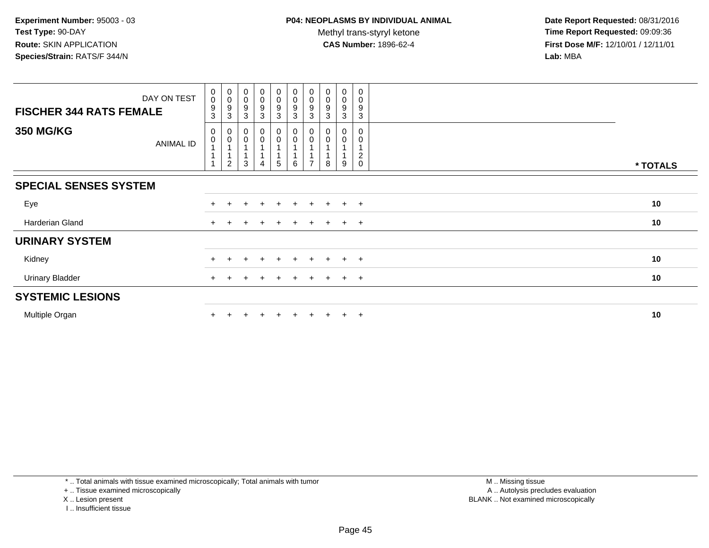| DAY ON TEST                          | $_{\rm 0}^{\rm 0}$                                          | $_{\rm 0}^{\rm 0}$               | $\begin{smallmatrix} 0\\0 \end{smallmatrix}$ | $\begin{smallmatrix}0\0\0\end{smallmatrix}$ | $_{\rm 0}^{\rm 0}$ | $_{\rm 0}^{\rm 0}$             | $\begin{smallmatrix} 0\\0 \end{smallmatrix}$ | $_{\rm 0}^{\rm 0}$ | 0<br>$\mathbf 0$ | 0<br>$\mathbf 0$              |          |
|--------------------------------------|-------------------------------------------------------------|----------------------------------|----------------------------------------------|---------------------------------------------|--------------------|--------------------------------|----------------------------------------------|--------------------|------------------|-------------------------------|----------|
| <b>FISCHER 344 RATS FEMALE</b>       | 9<br>3                                                      | 9<br>3                           | $\boldsymbol{9}$<br>3                        | 9<br>3                                      | 9<br>$\sqrt{3}$    | $\boldsymbol{9}$<br>$\sqrt{3}$ | 9<br>3                                       | 9<br>3             | 9<br>3           | 9<br>$\sqrt{3}$               |          |
| <b>350 MG/KG</b><br><b>ANIMAL ID</b> | $\pmb{0}$<br>$\pmb{0}$<br>$\mathbf{1}$<br>$\mathbf{1}$<br>1 | 0<br>$\pmb{0}$<br>$\overline{c}$ | $\mathbf 0$<br>3                             | 0<br>0                                      | 0<br>0<br>5        | $\pmb{0}$<br>$\pmb{0}$<br>6    | 0<br>0                                       | 8                  | 0<br>0<br>9      | $\overline{c}$<br>$\mathbf 0$ | * TOTALS |
| <b>SPECIAL SENSES SYSTEM</b>         |                                                             |                                  |                                              |                                             |                    |                                |                                              |                    |                  |                               |          |
| Eye                                  | $+$                                                         |                                  |                                              | $\pm$                                       | $+$                | $\pm$                          | $\pm$                                        | $+$                | $\pm$            | $+$                           | 10       |
| Harderian Gland                      | $+$                                                         |                                  |                                              | $\pm$                                       | $\pm$              | $+$                            | $+$                                          | $+$                | $\pm$            | $+$                           | 10       |
| <b>URINARY SYSTEM</b>                |                                                             |                                  |                                              |                                             |                    |                                |                                              |                    |                  |                               |          |
| Kidney                               |                                                             |                                  |                                              |                                             | $+$                |                                |                                              |                    | $\pm$            | $\pm$                         | 10       |
| <b>Urinary Bladder</b>               | $+$                                                         |                                  |                                              | $\ddot{}$                                   | $+$                | $+$                            | $+$                                          | $+$                | $+$              | $+$                           | 10       |
| <b>SYSTEMIC LESIONS</b>              |                                                             |                                  |                                              |                                             |                    |                                |                                              |                    |                  |                               |          |
| Multiple Organ                       |                                                             |                                  |                                              |                                             | $+$                | $+$                            | $\pm$                                        | $+$                | $\pm$            | $+$                           | 10       |

\* .. Total animals with tissue examined microscopically; Total animals with tumor

+ .. Tissue examined microscopically

- X .. Lesion present
- I .. Insufficient tissue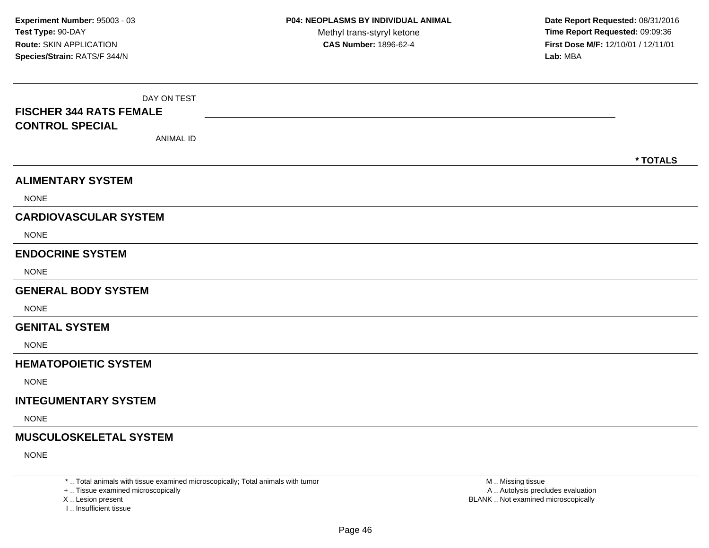| DAY ON TEST<br><b>FISCHER 344 RATS FEMALE</b><br><b>CONTROL SPECIAL</b><br><b>ANIMAL ID</b> | * TOTALS |
|---------------------------------------------------------------------------------------------|----------|
| <b>ALIMENTARY SYSTEM</b>                                                                    |          |
| <b>NONE</b>                                                                                 |          |
| <b>CARDIOVASCULAR SYSTEM</b>                                                                |          |
| <b>NONE</b>                                                                                 |          |
| <b>ENDOCRINE SYSTEM</b>                                                                     |          |
| <b>NONE</b>                                                                                 |          |
| <b>GENERAL BODY SYSTEM</b>                                                                  |          |
| <b>NONE</b>                                                                                 |          |
| <b>GENITAL SYSTEM</b>                                                                       |          |
| <b>NONE</b>                                                                                 |          |
| <b>HEMATOPOIETIC SYSTEM</b>                                                                 |          |
| <b>NONE</b>                                                                                 |          |
| <b>INTEGUMENTARY SYSTEM</b>                                                                 |          |
| <b>NONE</b>                                                                                 |          |
| <b>MUSCULOSKELETAL SYSTEM</b>                                                               |          |
| <b>NONE</b>                                                                                 |          |

\* .. Total animals with tissue examined microscopically; Total animals with tumor

+ .. Tissue examined microscopically

X .. Lesion present

I .. Insufficient tissue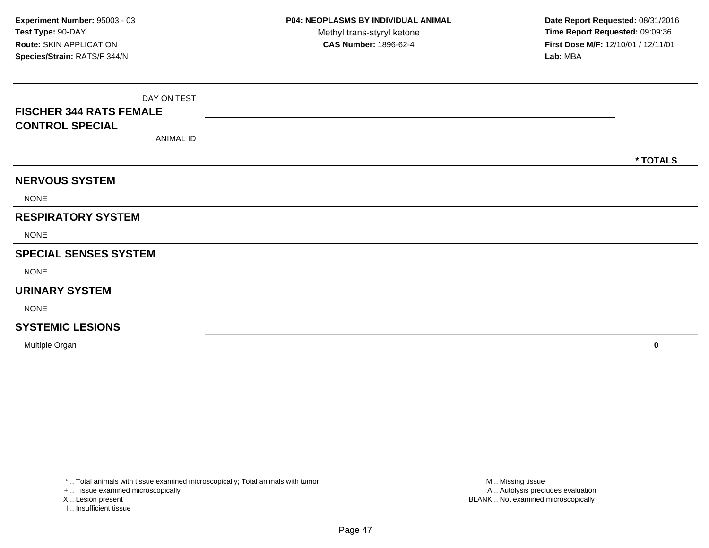| DAY ON TEST<br><b>FISCHER 344 RATS FEMALE</b><br><b>CONTROL SPECIAL</b> |          |
|-------------------------------------------------------------------------|----------|
| ANIMAL ID                                                               |          |
|                                                                         | * TOTALS |
| <b>NERVOUS SYSTEM</b>                                                   |          |
| <b>NONE</b>                                                             |          |
| <b>RESPIRATORY SYSTEM</b>                                               |          |
| <b>NONE</b>                                                             |          |
| <b>SPECIAL SENSES SYSTEM</b>                                            |          |
| <b>NONE</b>                                                             |          |
| <b>URINARY SYSTEM</b>                                                   |          |
| <b>NONE</b>                                                             |          |
| <b>SYSTEMIC LESIONS</b>                                                 |          |

Multiple Organ**<sup>0</sup>**

\* .. Total animals with tissue examined microscopically; Total animals with tumor

+ .. Tissue examined microscopically

X .. Lesion present

I .. Insufficient tissue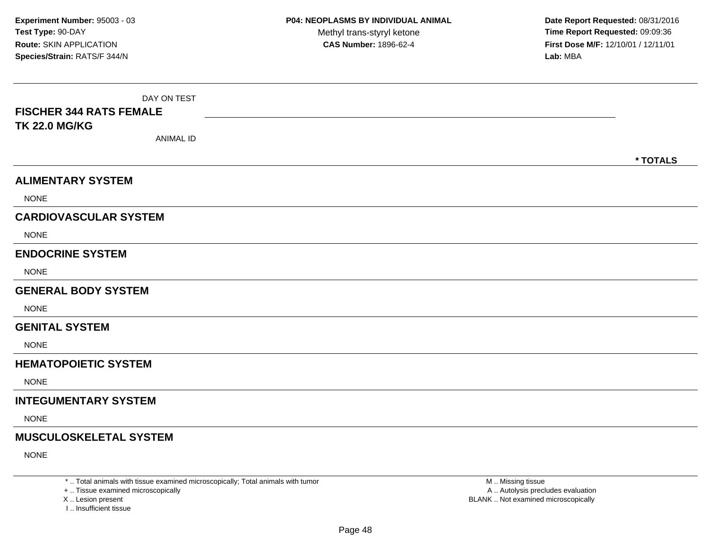| DAY ON TEST                              |          |
|------------------------------------------|----------|
| <b>FISCHER 344 RATS FEMALE</b>           |          |
| <b>TK 22.0 MG/KG</b><br><b>ANIMAL ID</b> |          |
|                                          |          |
|                                          | * TOTALS |
| <b>ALIMENTARY SYSTEM</b>                 |          |
| <b>NONE</b>                              |          |
| <b>CARDIOVASCULAR SYSTEM</b>             |          |
| <b>NONE</b>                              |          |
| <b>ENDOCRINE SYSTEM</b>                  |          |
| <b>NONE</b>                              |          |
| <b>GENERAL BODY SYSTEM</b>               |          |
| <b>NONE</b>                              |          |
| <b>GENITAL SYSTEM</b>                    |          |
| <b>NONE</b>                              |          |
| <b>HEMATOPOIETIC SYSTEM</b>              |          |
| <b>NONE</b>                              |          |
| <b>INTEGUMENTARY SYSTEM</b>              |          |
| <b>NONE</b>                              |          |
| <b>MUSCULOSKELETAL SYSTEM</b>            |          |
| <b>NONE</b>                              |          |

\* .. Total animals with tissue examined microscopically; Total animals with tumor

+ .. Tissue examined microscopically

X .. Lesion present

I .. Insufficient tissue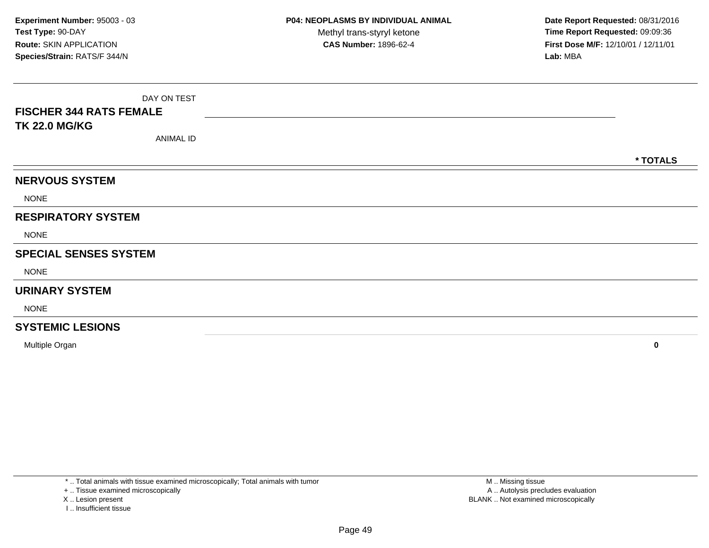| <b>FISCHER 344 RATS FEMALE</b> | DAY ON TEST      |          |
|--------------------------------|------------------|----------|
| <b>TK 22.0 MG/KG</b>           | <b>ANIMAL ID</b> |          |
|                                |                  | * TOTALS |
| <b>NERVOUS SYSTEM</b>          |                  |          |
| <b>NONE</b>                    |                  |          |
| <b>RESPIRATORY SYSTEM</b>      |                  |          |
| <b>NONE</b>                    |                  |          |
| <b>SPECIAL SENSES SYSTEM</b>   |                  |          |
| <b>NONE</b>                    |                  |          |
| <b>URINARY SYSTEM</b>          |                  |          |
| <b>NONE</b>                    |                  |          |
| <b>SYSTEMIC LESIONS</b>        |                  |          |

Multiple Organ**<sup>0</sup>**

\* .. Total animals with tissue examined microscopically; Total animals with tumor

+ .. Tissue examined microscopically

X .. Lesion present

I .. Insufficient tissue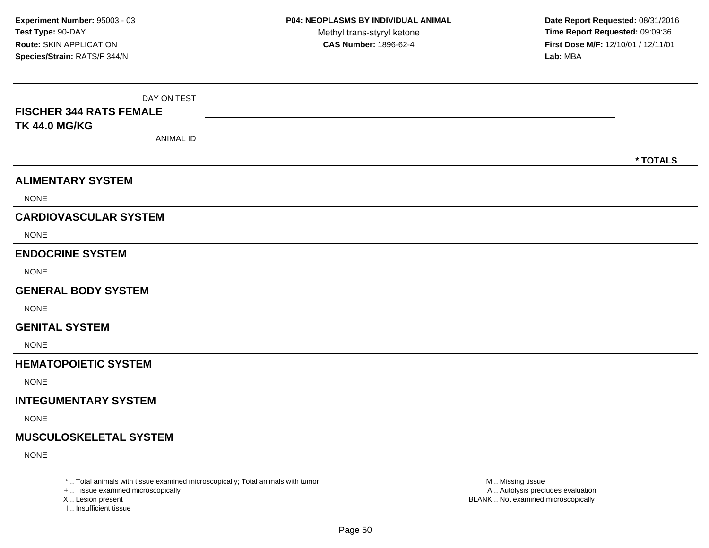| DAY ON TEST<br><b>FISCHER 344 RATS FEMALE</b><br><b>TK 44.0 MG/KG</b> |          |
|-----------------------------------------------------------------------|----------|
| <b>ANIMAL ID</b>                                                      |          |
|                                                                       | * TOTALS |
| <b>ALIMENTARY SYSTEM</b>                                              |          |
| <b>NONE</b>                                                           |          |
| <b>CARDIOVASCULAR SYSTEM</b>                                          |          |
| <b>NONE</b>                                                           |          |
| <b>ENDOCRINE SYSTEM</b>                                               |          |
| <b>NONE</b>                                                           |          |
| <b>GENERAL BODY SYSTEM</b>                                            |          |
| <b>NONE</b>                                                           |          |
| <b>GENITAL SYSTEM</b>                                                 |          |
| <b>NONE</b>                                                           |          |
| <b>HEMATOPOIETIC SYSTEM</b>                                           |          |
| <b>NONE</b>                                                           |          |
| <b>INTEGUMENTARY SYSTEM</b>                                           |          |
| <b>NONE</b>                                                           |          |
| <b>MUSCULOSKELETAL SYSTEM</b>                                         |          |
| <b>NONE</b>                                                           |          |

\* .. Total animals with tissue examined microscopically; Total animals with tumor

+ .. Tissue examined microscopically

X .. Lesion present

I .. Insufficient tissue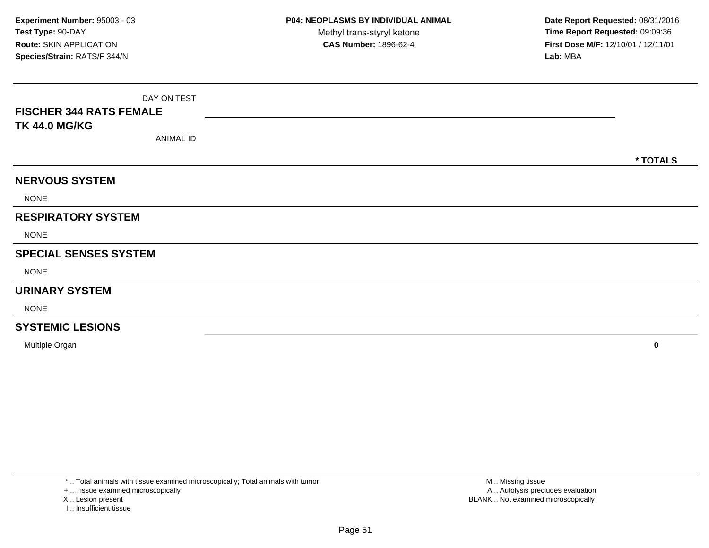| <b>FISCHER 344 RATS FEMALE</b> | DAY ON TEST      |          |
|--------------------------------|------------------|----------|
| <b>TK 44.0 MG/KG</b>           | <b>ANIMAL ID</b> |          |
|                                |                  | * TOTALS |
| <b>NERVOUS SYSTEM</b>          |                  |          |
| <b>NONE</b>                    |                  |          |
| <b>RESPIRATORY SYSTEM</b>      |                  |          |
| <b>NONE</b>                    |                  |          |
| <b>SPECIAL SENSES SYSTEM</b>   |                  |          |
| <b>NONE</b>                    |                  |          |
| <b>URINARY SYSTEM</b>          |                  |          |
| <b>NONE</b>                    |                  |          |
| <b>SYSTEMIC LESIONS</b>        |                  |          |

Multiple Organ**<sup>0</sup>**

\* .. Total animals with tissue examined microscopically; Total animals with tumor

+ .. Tissue examined microscopically

X .. Lesion present

I .. Insufficient tissue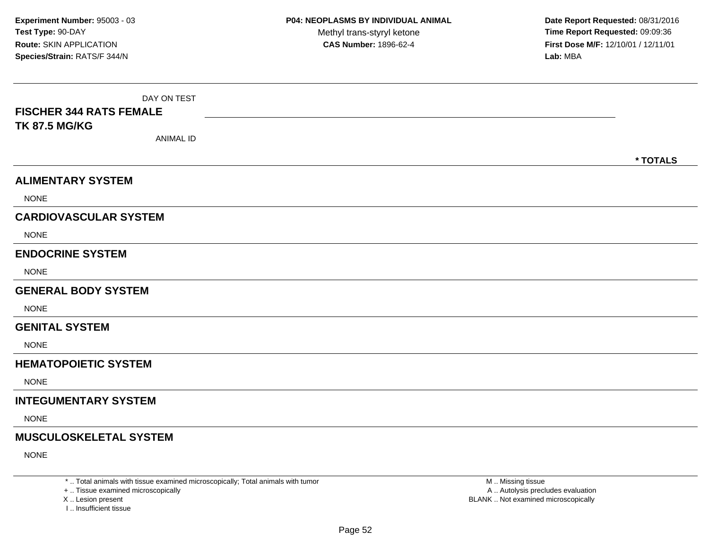| DAY ON TEST<br><b>FISCHER 344 RATS FEMALE</b> |          |
|-----------------------------------------------|----------|
| <b>TK 87.5 MG/KG</b><br><b>ANIMAL ID</b>      |          |
|                                               | * TOTALS |
| <b>ALIMENTARY SYSTEM</b>                      |          |
| <b>NONE</b>                                   |          |
| <b>CARDIOVASCULAR SYSTEM</b>                  |          |
| <b>NONE</b>                                   |          |
| <b>ENDOCRINE SYSTEM</b>                       |          |
| <b>NONE</b>                                   |          |
| <b>GENERAL BODY SYSTEM</b>                    |          |
| <b>NONE</b>                                   |          |
| <b>GENITAL SYSTEM</b>                         |          |
| <b>NONE</b>                                   |          |
| <b>HEMATOPOIETIC SYSTEM</b>                   |          |
| <b>NONE</b>                                   |          |
| <b>INTEGUMENTARY SYSTEM</b>                   |          |
| <b>NONE</b>                                   |          |
| <b>MUSCULOSKELETAL SYSTEM</b>                 |          |
| <b>NONE</b>                                   |          |

\* .. Total animals with tissue examined microscopically; Total animals with tumor

+ .. Tissue examined microscopically

X .. Lesion present

I .. Insufficient tissue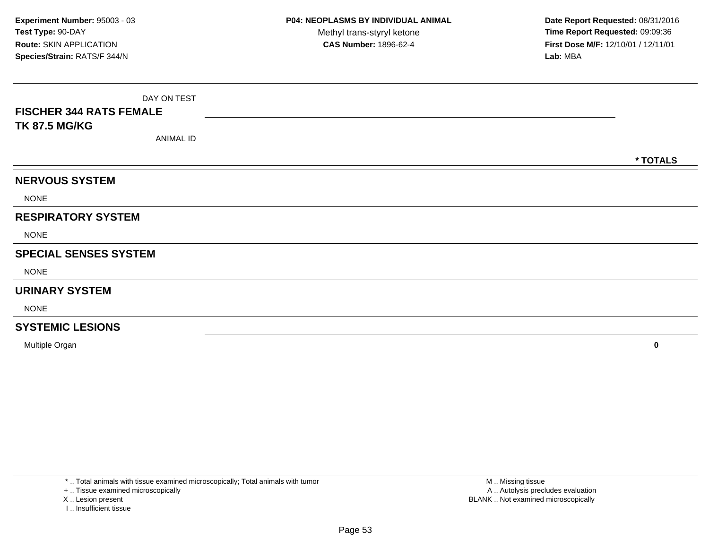| <b>FISCHER 344 RATS FEMALE</b> | DAY ON TEST      |          |
|--------------------------------|------------------|----------|
| <b>TK 87.5 MG/KG</b>           | <b>ANIMAL ID</b> |          |
|                                |                  | * TOTALS |
| <b>NERVOUS SYSTEM</b>          |                  |          |
| <b>NONE</b>                    |                  |          |
| <b>RESPIRATORY SYSTEM</b>      |                  |          |
| <b>NONE</b>                    |                  |          |
| <b>SPECIAL SENSES SYSTEM</b>   |                  |          |
| <b>NONE</b>                    |                  |          |
| <b>URINARY SYSTEM</b>          |                  |          |
| <b>NONE</b>                    |                  |          |
| <b>SYSTEMIC LESIONS</b>        |                  |          |

Multiple Organ**<sup>0</sup>**

\* .. Total animals with tissue examined microscopically; Total animals with tumor

+ .. Tissue examined microscopically

X .. Lesion present

I .. Insufficient tissue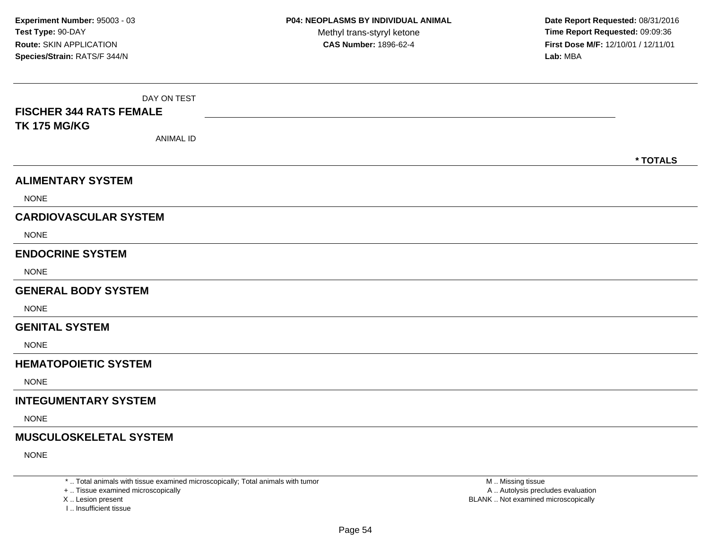| DAY ON TEST<br><b>FISCHER 344 RATS FEMALE</b> |          |
|-----------------------------------------------|----------|
| <b>TK 175 MG/KG</b>                           |          |
| <b>ANIMAL ID</b>                              |          |
|                                               | * TOTALS |
| <b>ALIMENTARY SYSTEM</b>                      |          |
| <b>NONE</b>                                   |          |
| <b>CARDIOVASCULAR SYSTEM</b>                  |          |
| <b>NONE</b>                                   |          |
| <b>ENDOCRINE SYSTEM</b>                       |          |
| <b>NONE</b>                                   |          |
| <b>GENERAL BODY SYSTEM</b>                    |          |
| <b>NONE</b>                                   |          |
| <b>GENITAL SYSTEM</b>                         |          |
| <b>NONE</b>                                   |          |
| <b>HEMATOPOIETIC SYSTEM</b>                   |          |
| <b>NONE</b>                                   |          |
| <b>INTEGUMENTARY SYSTEM</b>                   |          |
| <b>NONE</b>                                   |          |
| <b>MUSCULOSKELETAL SYSTEM</b>                 |          |
| <b>NONE</b>                                   |          |

\* .. Total animals with tissue examined microscopically; Total animals with tumor

+ .. Tissue examined microscopically

X .. Lesion present

I .. Insufficient tissue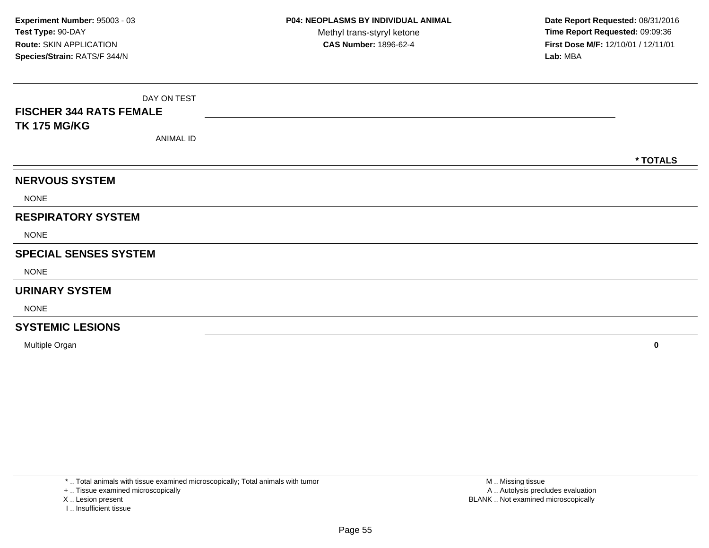| <b>FISCHER 344 RATS FEMALE</b> | DAY ON TEST      |  |          |
|--------------------------------|------------------|--|----------|
| <b>TK 175 MG/KG</b>            | <b>ANIMAL ID</b> |  |          |
|                                |                  |  | * TOTALS |
| <b>NERVOUS SYSTEM</b>          |                  |  |          |
| <b>NONE</b>                    |                  |  |          |
| <b>RESPIRATORY SYSTEM</b>      |                  |  |          |
| <b>NONE</b>                    |                  |  |          |
| <b>SPECIAL SENSES SYSTEM</b>   |                  |  |          |
| <b>NONE</b>                    |                  |  |          |
| <b>URINARY SYSTEM</b>          |                  |  |          |
| <b>NONE</b>                    |                  |  |          |
| <b>SYSTEMIC LESIONS</b>        |                  |  |          |

Multiple Organ**<sup>0</sup>**

\* .. Total animals with tissue examined microscopically; Total animals with tumor

+ .. Tissue examined microscopically

X .. Lesion present

I .. Insufficient tissue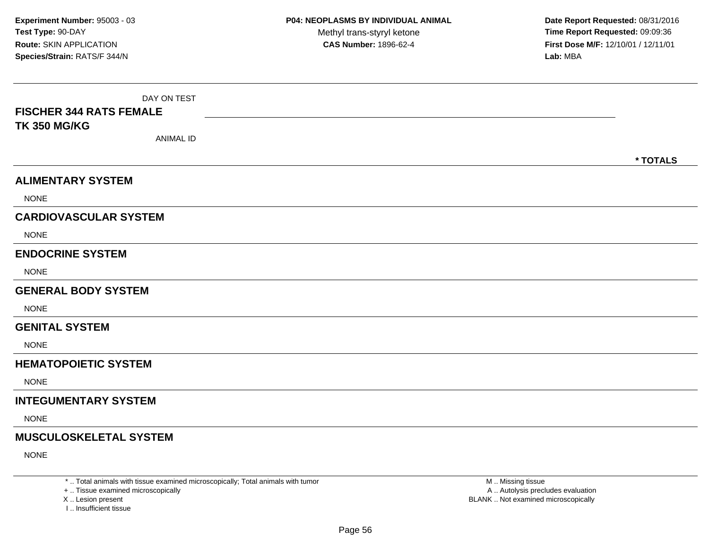| DAY ON TEST<br><b>FISCHER 344 RATS FEMALE</b> |          |
|-----------------------------------------------|----------|
| <b>TK 350 MG/KG</b><br><b>ANIMAL ID</b>       |          |
|                                               | * TOTALS |
| <b>ALIMENTARY SYSTEM</b>                      |          |
| <b>NONE</b>                                   |          |
| <b>CARDIOVASCULAR SYSTEM</b>                  |          |
| <b>NONE</b>                                   |          |
| <b>ENDOCRINE SYSTEM</b>                       |          |
| <b>NONE</b>                                   |          |
| <b>GENERAL BODY SYSTEM</b>                    |          |
| <b>NONE</b>                                   |          |
| <b>GENITAL SYSTEM</b>                         |          |
| <b>NONE</b>                                   |          |
| <b>HEMATOPOIETIC SYSTEM</b>                   |          |
| <b>NONE</b>                                   |          |
| <b>INTEGUMENTARY SYSTEM</b>                   |          |
| <b>NONE</b>                                   |          |
| <b>MUSCULOSKELETAL SYSTEM</b>                 |          |
| <b>NONE</b>                                   |          |

\* .. Total animals with tissue examined microscopically; Total animals with tumor

+ .. Tissue examined microscopically

X .. Lesion present

I .. Insufficient tissue